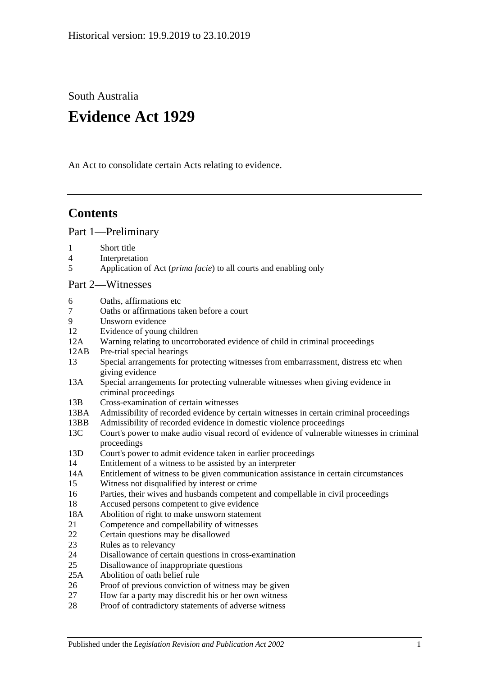South Australia

# **Evidence Act 1929**

An Act to consolidate certain Acts relating to evidence.

## **Contents**

[Part 1—Preliminary](#page-6-0)

- 1 [Short title](#page-6-1)
- 4 [Interpretation](#page-6-2)
- 5 Application of Act (*prima facie*[\) to all courts and enabling only](#page-8-0)

## [Part 2—Witnesses](#page-10-0)

- 6 [Oaths, affirmations etc](#page-10-1)
- 7 [Oaths or affirmations taken before a court](#page-10-2)
- 9 [Unsworn evidence](#page-10-3)
- 12 [Evidence of young children](#page-11-0)
- 12A [Warning relating to uncorroborated evidence of child in criminal proceedings](#page-11-1)
- 12AB [Pre-trial special hearings](#page-12-0)
- 13 [Special arrangements for protecting witnesses from embarrassment, distress etc when](#page-15-0)  [giving evidence](#page-15-0)
- 13A [Special arrangements for protecting vulnerable witnesses when giving evidence in](#page-16-0)  [criminal proceedings](#page-16-0)
- 13B [Cross-examination of certain witnesses](#page-19-0)
- 13BA [Admissibility of recorded evidence by certain witnesses in certain criminal proceedings](#page-20-0)
- 13BB [Admissibility of recorded evidence in domestic violence proceedings](#page-21-0)
- 13C [Court's power to make audio visual record of evidence of vulnerable witnesses in criminal](#page-24-0)  [proceedings](#page-24-0)
- 13D [Court's power to admit evidence taken in earlier proceedings](#page-24-1)
- 14 [Entitlement of a witness to be assisted by an interpreter](#page-25-0)
- 14A [Entitlement of witness to be given communication assistance in certain circumstances](#page-25-1)
- 15 [Witness not disqualified by interest or](#page-26-0) crime
- 16 [Parties, their wives and husbands competent and compellable in civil proceedings](#page-26-1)
- 18 [Accused persons competent to give evidence](#page-26-2)
- 18A [Abolition of right to make unsworn statement](#page-27-0)
- 21 [Competence and compellability of witnesses](#page-28-0)
- 22 [Certain questions may be disallowed](#page-29-0)
- 23 [Rules as to relevancy](#page-29-1)
- 24 [Disallowance of certain questions in cross-examination](#page-29-2)
- 25 [Disallowance of inappropriate questions](#page-29-3)
- 25A [Abolition of oath belief rule](#page-30-0)
- 26 [Proof of previous conviction of witness may be given](#page-31-0)
- 27 [How far a party may discredit his or her own witness](#page-31-1)
- 28 [Proof of contradictory statements of adverse witness](#page-31-2)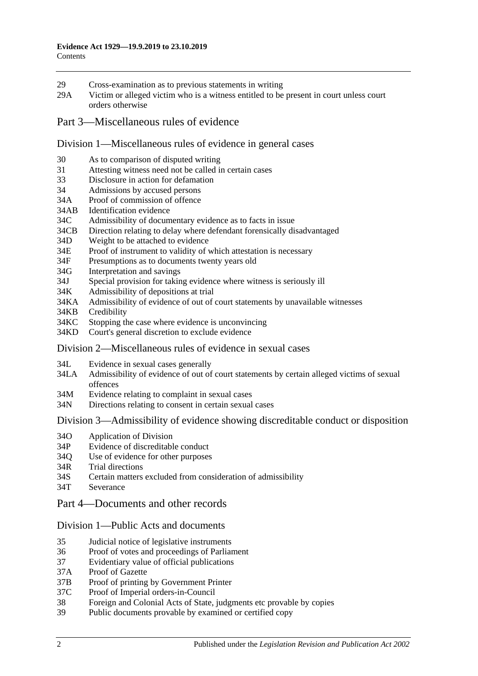- 29 [Cross-examination as to previous statements in writing](#page-31-3)
- 29A [Victim or alleged victim who is a witness entitled to be present in court unless](#page-31-4) court [orders otherwise](#page-31-4)
- [Part 3—Miscellaneous rules of evidence](#page-32-0)

#### [Division 1—Miscellaneous rules of evidence in general cases](#page-32-1)

- 30 [As to comparison of disputed writing](#page-32-2)
- 31 [Attesting witness need not be called in certain cases](#page-32-3)
- 33 [Disclosure in action for defamation](#page-32-4)
- 34 [Admissions by accused persons](#page-32-5)
- 34A [Proof of commission of offence](#page-32-6)
- 34AB [Identification evidence](#page-32-7)
- 34C [Admissibility of documentary evidence as to facts in issue](#page-33-0)
- 34CB [Direction relating to delay where defendant forensically disadvantaged](#page-34-0)
- 34D [Weight to be attached to evidence](#page-35-0)
- 34E [Proof of instrument to validity of which attestation is necessary](#page-35-1)
- 34F [Presumptions as to documents twenty years old](#page-35-2)
- 34G [Interpretation and savings](#page-35-3)
- 34J [Special provision for taking evidence where witness is seriously ill](#page-36-0)
- 34K [Admissibility of depositions at trial](#page-36-1)
- 34KA [Admissibility of evidence of out of court statements by unavailable witnesses](#page-36-2)
- 34KB [Credibility](#page-38-0)
- 34KC [Stopping the case where evidence is unconvincing](#page-38-1)
- 34KD [Court's general discretion to exclude evidence](#page-39-0)

#### [Division 2—Miscellaneous rules of evidence in sexual cases](#page-39-1)

- 34L [Evidence in sexual cases generally](#page-39-2)
- 34LA [Admissibility of evidence of out of court statements by certain alleged victims of sexual](#page-40-0)  [offences](#page-40-0)
- 34M [Evidence relating to complaint in sexual cases](#page-41-0)
- 34N [Directions relating to consent in certain sexual cases](#page-42-0)

Division [3—Admissibility of evidence showing discreditable conduct or disposition](#page-42-1)

- 34O [Application of Division](#page-42-2)
- 34P [Evidence of discreditable conduct](#page-43-0)
- 34Q [Use of evidence for other purposes](#page-43-1)
- 34R [Trial directions](#page-43-2)
- 34S [Certain matters excluded from consideration of admissibility](#page-44-0)
- 34T [Severance](#page-44-1)
- [Part 4—Documents and other records](#page-46-0)

#### [Division 1—Public Acts and documents](#page-46-1)

- 35 [Judicial notice of legislative instruments](#page-46-2)
- 36 [Proof of votes and proceedings of Parliament](#page-46-3)
- 37 [Evidentiary value of official publications](#page-46-4)
- 37A [Proof of Gazette](#page-46-5)
- 37B [Proof of printing by Government Printer](#page-47-0)
- 37C [Proof of Imperial orders-in-Council](#page-47-1)
- 38 [Foreign and Colonial Acts of State, judgments etc provable by copies](#page-47-2)
- 39 [Public documents provable by examined or certified copy](#page-48-0)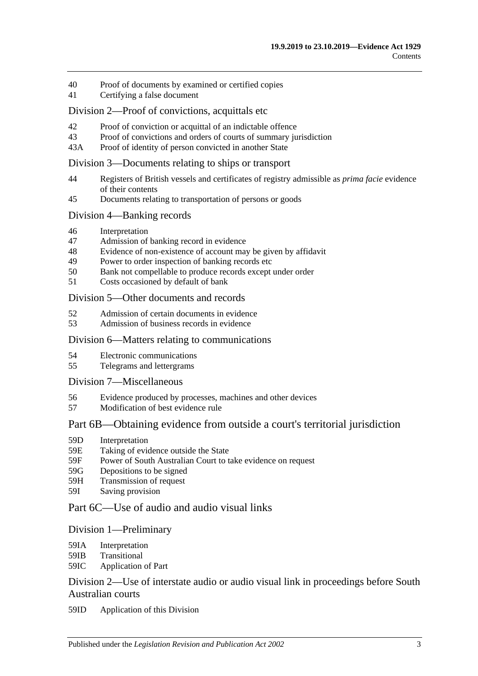- 40 [Proof of documents by examined or certified copies](#page-48-1)
- 41 [Certifying a false document](#page-48-2)

#### [Division 2—Proof of convictions, acquittals etc](#page-48-3)

- 42 [Proof of conviction or acquittal of an indictable offence](#page-48-4)<br>43 Proof of convictions and orders of courts of summary iu
- [Proof of convictions and orders of courts of summary jurisdiction](#page-49-0)
- 43A [Proof of identity of person convicted in another State](#page-49-1)

#### [Division 3—Documents relating to ships or transport](#page-49-2)

- 44 [Registers of British vessels and certificates of registry admissible as](#page-49-3) *prima facie* evidence [of their contents](#page-49-3)
- 45 [Documents relating to transportation of persons or goods](#page-50-0)

#### [Division 4—Banking records](#page-50-1)

- 46 [Interpretation](#page-50-2)
- 47 [Admission of banking record in evidence](#page-51-0)
- 48 [Evidence of non-existence of account may be given by affidavit](#page-51-1)
- 49 [Power to order inspection of banking records etc](#page-51-2)
- 50 [Bank not compellable to produce records except under order](#page-52-0)
- 51 [Costs occasioned by default of bank](#page-53-0)

#### Division [5—Other documents and records](#page-53-1)

- 52 [Admission of certain documents in evidence](#page-53-2)
- 53 [Admission of business records in evidence](#page-53-3)

#### [Division 6—Matters relating to communications](#page-54-0)

- 54 [Electronic communications](#page-54-1)
- 55 [Telegrams and lettergrams](#page-55-0)

#### [Division 7—Miscellaneous](#page-55-1)

- 56 [Evidence produced by processes, machines and other devices](#page-55-2)
- 57 [Modification of best evidence rule](#page-56-0)

## [Part 6B—Obtaining evidence from outside a court's territorial jurisdiction](#page-58-0)

- 59D [Interpretation](#page-58-1)
- 59E [Taking of evidence outside the State](#page-58-2)
- 59F [Power of South Australian Court to take evidence on request](#page-59-0)
- 59G [Depositions to be signed](#page-59-1)
- 59H [Transmission of request](#page-59-2)
- 59I [Saving provision](#page-60-0)

## [Part 6C—Use of audio and audio visual links](#page-62-0)

#### [Division 1—Preliminary](#page-62-1)

- 59IA [Interpretation](#page-62-2)
- 59IB [Transitional](#page-62-3)
- 59IC [Application of Part](#page-62-4)

## [Division 2—Use of interstate audio or audio visual link in proceedings before South](#page-63-0)  [Australian courts](#page-63-0)

59ID [Application of this Division](#page-63-1)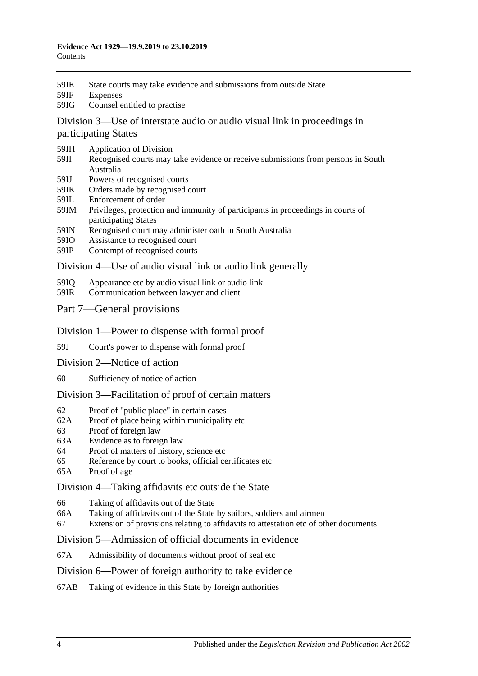- 59IE [State courts may take evidence and submissions from outside State](#page-63-2)
- 59IF [Expenses](#page-63-3)
- 59IG [Counsel entitled to practise](#page-63-4)

[Division 3—Use of interstate audio or audio visual link in proceedings in](#page-64-0)  [participating States](#page-64-0)

- 59IH [Application of Division](#page-64-1)
- 59II [Recognised courts may take evidence or receive submissions from persons in South](#page-64-2)  [Australia](#page-64-2)
- 59IJ [Powers of recognised courts](#page-64-3)
- 59IK [Orders made by recognised court](#page-64-4)
- 59IL [Enforcement of order](#page-64-5)
- 59IM [Privileges, protection and immunity of participants in proceedings in courts of](#page-65-0)  [participating States](#page-65-0)
- 59IN [Recognised court may administer oath in South Australia](#page-65-1)
- 59IO [Assistance to recognised court](#page-65-2)
- 59IP [Contempt of recognised courts](#page-65-3)

[Division 4—Use of audio visual link or audio link generally](#page-66-0)

- 59IQ [Appearance etc by audio visual link or audio link](#page-66-1)
- 59IR [Communication between lawyer and client](#page-67-0)
- [Part 7—General provisions](#page-68-0)
- [Division 1—Power to dispense with formal proof](#page-68-1)
- 59J [Court's power to dispense with formal proof](#page-68-2)
- [Division 2—Notice of action](#page-68-3)
- 60 [Sufficiency of notice of action](#page-68-4)

[Division 3—Facilitation of proof of certain matters](#page-68-5)

- 62 [Proof of "public place" in certain cases](#page-68-6)
- 62A [Proof of place being within municipality etc](#page-68-7)
- 63 [Proof of foreign law](#page-69-0)
- 63A [Evidence as to foreign law](#page-69-1)
- 64 [Proof of matters of history, science etc](#page-69-2)
- 65 [Reference by court to books, official certificates etc](#page-69-3)
- 65A [Proof of age](#page-70-0)

[Division 4—Taking affidavits etc outside the State](#page-70-1)

- 66 [Taking of affidavits out of the State](#page-70-2)
- 66A [Taking of affidavits out of the State by sailors, soldiers and airmen](#page-71-0)
- 67 [Extension of provisions relating to affidavits to attestation etc of other documents](#page-72-0)

[Division 5—Admission of official documents in evidence](#page-72-1)

- 67A [Admissibility of documents without proof of seal etc](#page-72-2)
- [Division 6—Power of foreign authority to take evidence](#page-73-0)
- 67AB [Taking of evidence in this State by foreign authorities](#page-73-1)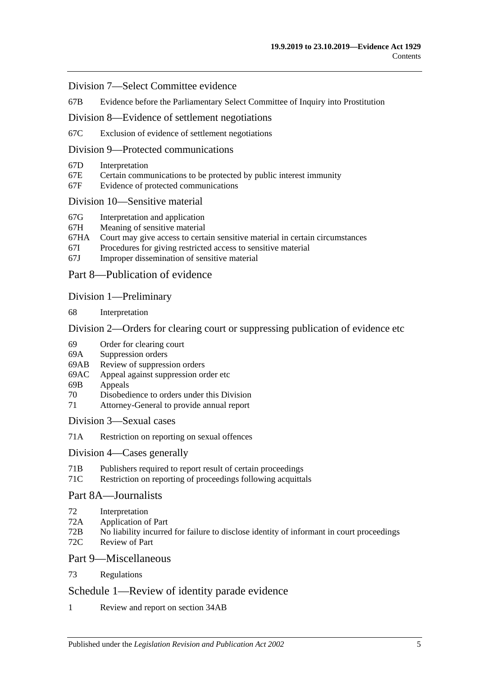#### [Division 7—Select Committee evidence](#page-73-2)

67B [Evidence before the Parliamentary Select Committee of Inquiry into Prostitution](#page-73-3)

[Division 8—Evidence of settlement negotiations](#page-74-0)

67C [Exclusion of evidence of settlement negotiations](#page-74-1)

## [Division 9—Protected communications](#page-75-0)

- 67D [Interpretation](#page-75-1)
- 67E [Certain communications to be protected by public interest immunity](#page-75-2)
- 67F [Evidence of protected communications](#page-76-0)

#### [Division 10—Sensitive material](#page-77-0)

- 67G [Interpretation and application](#page-77-1)
- 67H [Meaning of sensitive material](#page-79-0)
- 67HA [Court may give access to certain sensitive material in certain circumstances](#page-79-1)
- 67I [Procedures for giving restricted access to sensitive material](#page-79-2)
- 67J [Improper dissemination of sensitive material](#page-80-0)

## [Part 8—Publication of evidence](#page-82-0)

#### [Division 1—Preliminary](#page-82-1)

68 [Interpretation](#page-82-2)

#### [Division 2—Orders for clearing court or suppressing publication of evidence etc](#page-82-3)

- 69 [Order for clearing court](#page-82-4)
- 69A [Suppression orders](#page-83-0)
- 69AB [Review of suppression orders](#page-85-0)
- 69AC [Appeal against suppression order etc](#page-86-0)
- 69B [Appeals](#page-87-0)
- 70 [Disobedience to orders under this Division](#page-87-1)
- 71 [Attorney-General to provide annual report](#page-87-2)

[Division 3—Sexual cases](#page-88-0)

71A [Restriction on reporting on sexual offences](#page-88-1)

#### [Division 4—Cases](#page-90-0) generally

- 71B [Publishers required to report result of certain proceedings](#page-90-1)
- 71C [Restriction on reporting of proceedings following acquittals](#page-91-0)

## [Part 8A—Journalists](#page-92-0)

- 72 [Interpretation](#page-92-1)
- 72A [Application of Part](#page-92-2)
- 72B [No liability incurred for failure to disclose identity of informant in court proceedings](#page-92-3)
- 72C [Review of Part](#page-93-0)

## [Part 9—Miscellaneous](#page-94-0)

73 [Regulations](#page-94-1)

## [Schedule 1—Review of identity parade evidence](#page-96-0)

1 [Review and report on section](#page-96-1) 34AB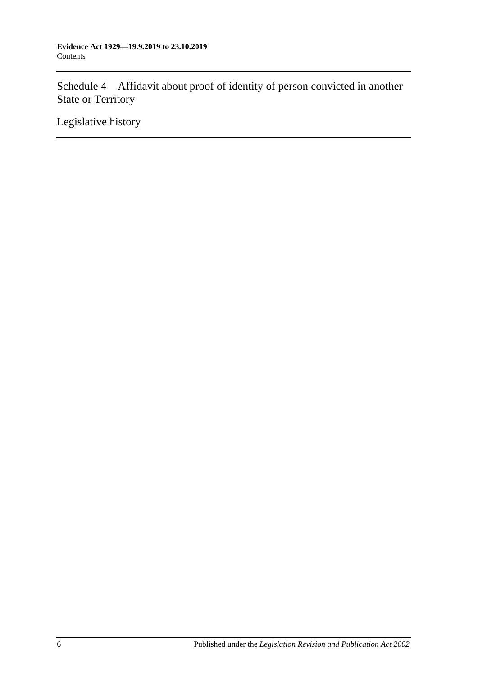[Schedule 4—Affidavit about proof of identity of person convicted in another](#page-97-0)  [State or Territory](#page-97-0)

[Legislative history](#page-98-0)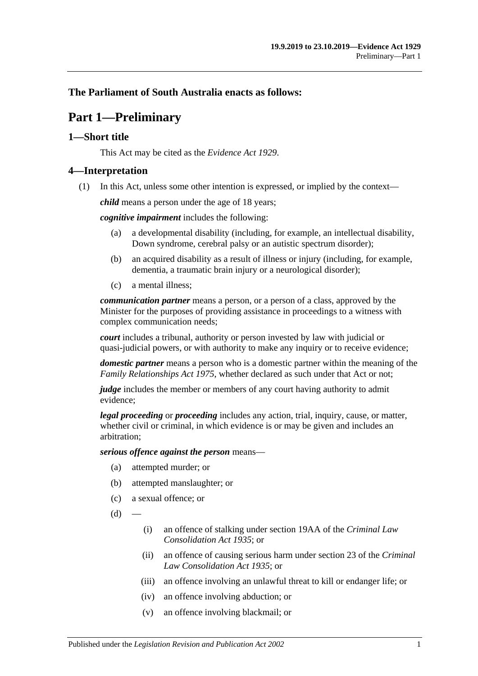## <span id="page-6-0"></span>**The Parliament of South Australia enacts as follows:**

## **Part 1—Preliminary**

## <span id="page-6-1"></span>**1—Short title**

This Act may be cited as the *Evidence Act 1929*.

## <span id="page-6-2"></span>**4—Interpretation**

(1) In this Act, unless some other intention is expressed, or implied by the context—

*child* means a person under the age of 18 years;

*cognitive impairment* includes the following:

- (a) a developmental disability (including, for example, an intellectual disability, Down syndrome, cerebral palsy or an autistic spectrum disorder);
- (b) an acquired disability as a result of illness or injury (including, for example, dementia, a traumatic brain injury or a neurological disorder);
- (c) a mental illness;

*communication partner* means a person, or a person of a class, approved by the Minister for the purposes of providing assistance in proceedings to a witness with complex communication needs;

*court* includes a tribunal, authority or person invested by law with judicial or quasi-judicial powers, or with authority to make any inquiry or to receive evidence;

*domestic partner* means a person who is a domestic partner within the meaning of the *[Family Relationships Act](http://www.legislation.sa.gov.au/index.aspx?action=legref&type=act&legtitle=Family%20Relationships%20Act%201975) 1975*, whether declared as such under that Act or not;

*judge* includes the member or members of any court having authority to admit evidence;

*legal proceeding* or *proceeding* includes any action, trial, inquiry, cause, or matter, whether civil or criminal, in which evidence is or may be given and includes an arbitration;

*serious offence against the person* means—

- (a) attempted murder; or
- (b) attempted manslaughter; or
- (c) a sexual offence; or
- $(d)$ 
	- (i) an offence of stalking under section 19AA of the *[Criminal Law](http://www.legislation.sa.gov.au/index.aspx?action=legref&type=act&legtitle=Criminal%20Law%20Consolidation%20Act%201935)  [Consolidation Act](http://www.legislation.sa.gov.au/index.aspx?action=legref&type=act&legtitle=Criminal%20Law%20Consolidation%20Act%201935) 1935*; or
	- (ii) an offence of causing serious harm under section 23 of the *[Criminal](http://www.legislation.sa.gov.au/index.aspx?action=legref&type=act&legtitle=Criminal%20Law%20Consolidation%20Act%201935)  [Law Consolidation Act](http://www.legislation.sa.gov.au/index.aspx?action=legref&type=act&legtitle=Criminal%20Law%20Consolidation%20Act%201935) 1935*; or
	- (iii) an offence involving an unlawful threat to kill or endanger life; or
	- (iv) an offence involving abduction; or
	- (v) an offence involving blackmail; or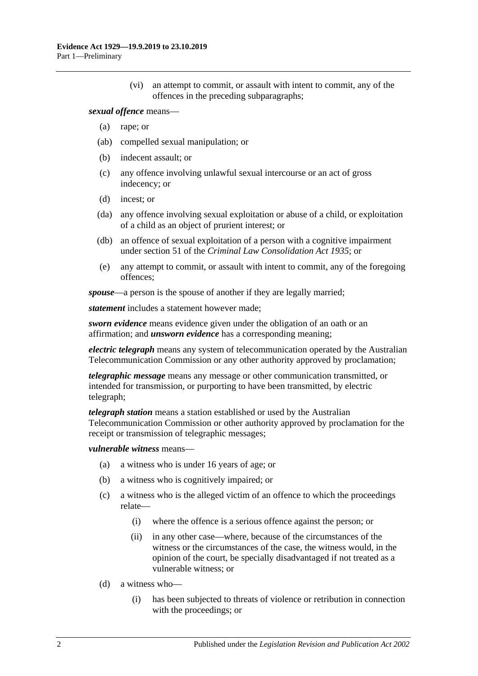(vi) an attempt to commit, or assault with intent to commit, any of the offences in the preceding subparagraphs;

#### *sexual offence* means—

- (a) rape; or
- (ab) compelled sexual manipulation; or
- (b) indecent assault; or
- (c) any offence involving unlawful sexual intercourse or an act of gross indecency; or
- (d) incest; or
- (da) any offence involving sexual exploitation or abuse of a child, or exploitation of a child as an object of prurient interest; or
- (db) an offence of sexual exploitation of a person with a cognitive impairment under section 51 of the *[Criminal Law Consolidation Act](http://www.legislation.sa.gov.au/index.aspx?action=legref&type=act&legtitle=Criminal%20Law%20Consolidation%20Act%201935) 1935*; or
- (e) any attempt to commit, or assault with intent to commit, any of the foregoing offences;

*spouse*—a person is the spouse of another if they are legally married;

*statement* includes a statement however made;

*sworn evidence* means evidence given under the obligation of an oath or an affirmation; and *unsworn evidence* has a corresponding meaning;

*electric telegraph* means any system of telecommunication operated by the Australian Telecommunication Commission or any other authority approved by proclamation;

*telegraphic message* means any message or other communication transmitted, or intended for transmission, or purporting to have been transmitted, by electric telegraph;

*telegraph station* means a station established or used by the Australian Telecommunication Commission or other authority approved by proclamation for the receipt or transmission of telegraphic messages;

#### *vulnerable witness* means—

- (a) a witness who is under 16 years of age; or
- (b) a witness who is cognitively impaired; or
- (c) a witness who is the alleged victim of an offence to which the proceedings relate—
	- (i) where the offence is a serious offence against the person; or
	- (ii) in any other case—where, because of the circumstances of the witness or the circumstances of the case, the witness would, in the opinion of the court, be specially disadvantaged if not treated as a vulnerable witness; or
- (d) a witness who—
	- (i) has been subjected to threats of violence or retribution in connection with the proceedings; or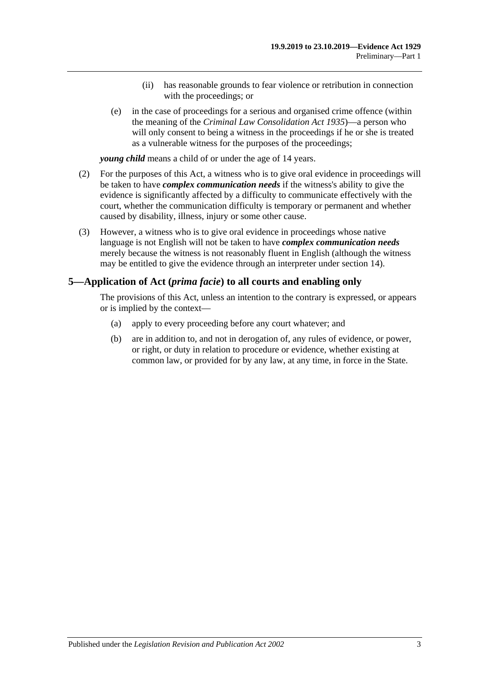- (ii) has reasonable grounds to fear violence or retribution in connection with the proceedings; or
- (e) in the case of proceedings for a serious and organised crime offence (within the meaning of the *[Criminal Law Consolidation Act](http://www.legislation.sa.gov.au/index.aspx?action=legref&type=act&legtitle=Criminal%20Law%20Consolidation%20Act%201935) 1935*)—a person who will only consent to being a witness in the proceedings if he or she is treated as a vulnerable witness for the purposes of the proceedings;

*young child* means a child of or under the age of 14 years.

- (2) For the purposes of this Act, a witness who is to give oral evidence in proceedings will be taken to have *complex communication needs* if the witness's ability to give the evidence is significantly affected by a difficulty to communicate effectively with the court, whether the communication difficulty is temporary or permanent and whether caused by disability, illness, injury or some other cause.
- (3) However, a witness who is to give oral evidence in proceedings whose native language is not English will not be taken to have *complex communication needs* merely because the witness is not reasonably fluent in English (although the witness may be entitled to give the evidence through an interpreter under [section](#page-25-0) 14).

## <span id="page-8-0"></span>**5—Application of Act (***prima facie***) to all courts and enabling only**

The provisions of this Act, unless an intention to the contrary is expressed, or appears or is implied by the context—

- (a) apply to every proceeding before any court whatever; and
- (b) are in addition to, and not in derogation of, any rules of evidence, or power, or right, or duty in relation to procedure or evidence, whether existing at common law, or provided for by any law, at any time, in force in the State.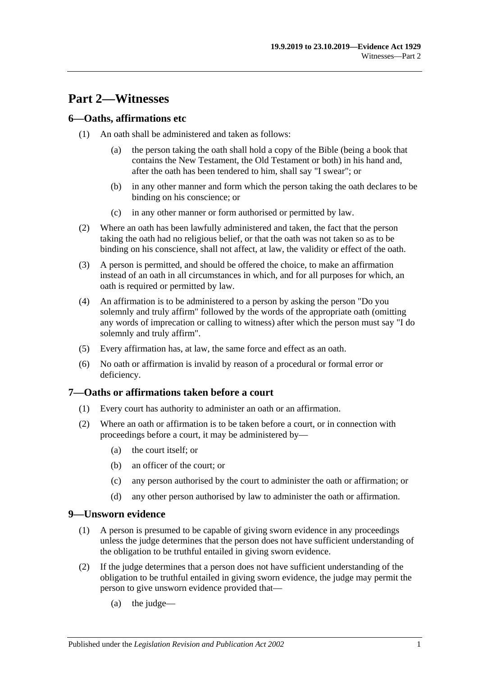## <span id="page-10-0"></span>**Part 2—Witnesses**

## <span id="page-10-1"></span>**6—Oaths, affirmations etc**

- (1) An oath shall be administered and taken as follows:
	- (a) the person taking the oath shall hold a copy of the Bible (being a book that contains the New Testament, the Old Testament or both) in his hand and, after the oath has been tendered to him, shall say "I swear"; or
	- (b) in any other manner and form which the person taking the oath declares to be binding on his conscience; or
	- (c) in any other manner or form authorised or permitted by law.
- (2) Where an oath has been lawfully administered and taken, the fact that the person taking the oath had no religious belief, or that the oath was not taken so as to be binding on his conscience, shall not affect, at law, the validity or effect of the oath.
- (3) A person is permitted, and should be offered the choice, to make an affirmation instead of an oath in all circumstances in which, and for all purposes for which, an oath is required or permitted by law.
- (4) An affirmation is to be administered to a person by asking the person "Do you solemnly and truly affirm" followed by the words of the appropriate oath (omitting any words of imprecation or calling to witness) after which the person must say "I do solemnly and truly affirm".
- (5) Every affirmation has, at law, the same force and effect as an oath.
- (6) No oath or affirmation is invalid by reason of a procedural or formal error or deficiency.

## <span id="page-10-2"></span>**7—Oaths or affirmations taken before a court**

- (1) Every court has authority to administer an oath or an affirmation.
- (2) Where an oath or affirmation is to be taken before a court, or in connection with proceedings before a court, it may be administered by—
	- (a) the court itself; or
	- (b) an officer of the court; or
	- (c) any person authorised by the court to administer the oath or affirmation; or
	- (d) any other person authorised by law to administer the oath or affirmation.

#### <span id="page-10-3"></span>**9—Unsworn evidence**

- (1) A person is presumed to be capable of giving sworn evidence in any proceedings unless the judge determines that the person does not have sufficient understanding of the obligation to be truthful entailed in giving sworn evidence.
- (2) If the judge determines that a person does not have sufficient understanding of the obligation to be truthful entailed in giving sworn evidence, the judge may permit the person to give unsworn evidence provided that—
	- (a) the judge—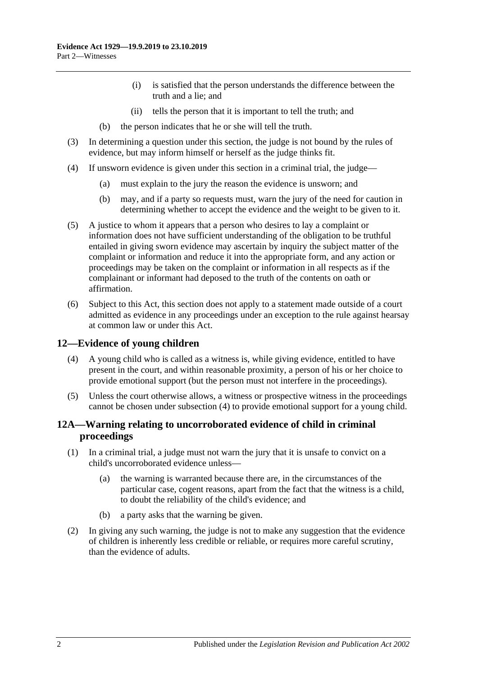- (i) is satisfied that the person understands the difference between the truth and a lie; and
- (ii) tells the person that it is important to tell the truth; and
- (b) the person indicates that he or she will tell the truth.
- (3) In determining a question under this section, the judge is not bound by the rules of evidence, but may inform himself or herself as the judge thinks fit.
- (4) If unsworn evidence is given under this section in a criminal trial, the judge—
	- (a) must explain to the jury the reason the evidence is unsworn; and
	- (b) may, and if a party so requests must, warn the jury of the need for caution in determining whether to accept the evidence and the weight to be given to it.
- (5) A justice to whom it appears that a person who desires to lay a complaint or information does not have sufficient understanding of the obligation to be truthful entailed in giving sworn evidence may ascertain by inquiry the subject matter of the complaint or information and reduce it into the appropriate form, and any action or proceedings may be taken on the complaint or information in all respects as if the complainant or informant had deposed to the truth of the contents on oath or affirmation.
- (6) Subject to this Act, this section does not apply to a statement made outside of a court admitted as evidence in any proceedings under an exception to the rule against hearsay at common law or under this Act.

## <span id="page-11-2"></span><span id="page-11-0"></span>**12—Evidence of young children**

- (4) A young child who is called as a witness is, while giving evidence, entitled to have present in the court, and within reasonable proximity, a person of his or her choice to provide emotional support (but the person must not interfere in the proceedings).
- (5) Unless the court otherwise allows, a witness or prospective witness in the proceedings cannot be chosen under [subsection](#page-11-2) (4) to provide emotional support for a young child.

## <span id="page-11-1"></span>**12A—Warning relating to uncorroborated evidence of child in criminal proceedings**

- (1) In a criminal trial, a judge must not warn the jury that it is unsafe to convict on a child's uncorroborated evidence unless—
	- (a) the warning is warranted because there are, in the circumstances of the particular case, cogent reasons, apart from the fact that the witness is a child, to doubt the reliability of the child's evidence; and
	- (b) a party asks that the warning be given.
- (2) In giving any such warning, the judge is not to make any suggestion that the evidence of children is inherently less credible or reliable, or requires more careful scrutiny, than the evidence of adults.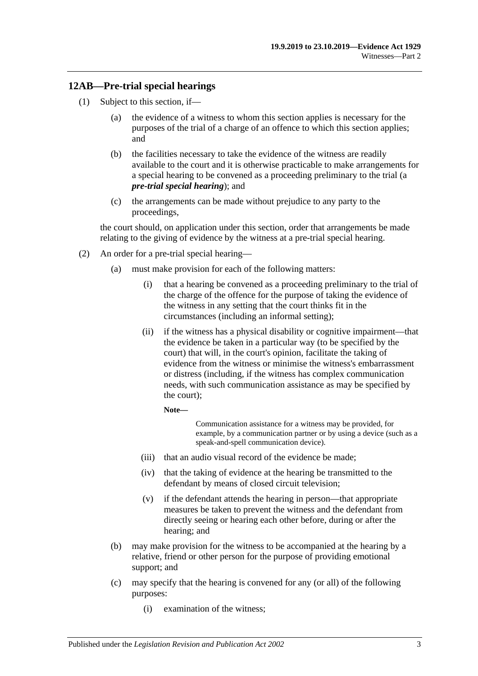## <span id="page-12-0"></span>**12AB—Pre-trial special hearings**

- <span id="page-12-1"></span>(1) Subject to this section, if—
	- (a) the evidence of a witness to whom this section applies is necessary for the purposes of the trial of a charge of an offence to which this section applies; and
	- (b) the facilities necessary to take the evidence of the witness are readily available to the court and it is otherwise practicable to make arrangements for a special hearing to be convened as a proceeding preliminary to the trial (a *pre-trial special hearing*); and
	- (c) the arrangements can be made without prejudice to any party to the proceedings,

<span id="page-12-2"></span>the court should, on application under this section, order that arrangements be made relating to the giving of evidence by the witness at a pre-trial special hearing.

- <span id="page-12-3"></span>(2) An order for a pre-trial special hearing—
	- (a) must make provision for each of the following matters:
		- (i) that a hearing be convened as a proceeding preliminary to the trial of the charge of the offence for the purpose of taking the evidence of the witness in any setting that the court thinks fit in the circumstances (including an informal setting);
		- (ii) if the witness has a physical disability or cognitive impairment—that the evidence be taken in a particular way (to be specified by the court) that will, in the court's opinion, facilitate the taking of evidence from the witness or minimise the witness's embarrassment or distress (including, if the witness has complex communication needs, with such communication assistance as may be specified by the court);

**Note—**

Communication assistance for a witness may be provided, for example, by a communication partner or by using a device (such as a speak-and-spell communication device).

- (iii) that an audio visual record of the evidence be made;
- (iv) that the taking of evidence at the hearing be transmitted to the defendant by means of closed circuit television;
- (v) if the defendant attends the hearing in person—that appropriate measures be taken to prevent the witness and the defendant from directly seeing or hearing each other before, during or after the hearing; and
- (b) may make provision for the witness to be accompanied at the hearing by a relative, friend or other person for the purpose of providing emotional support; and
- (c) may specify that the hearing is convened for any (or all) of the following purposes:
	- (i) examination of the witness;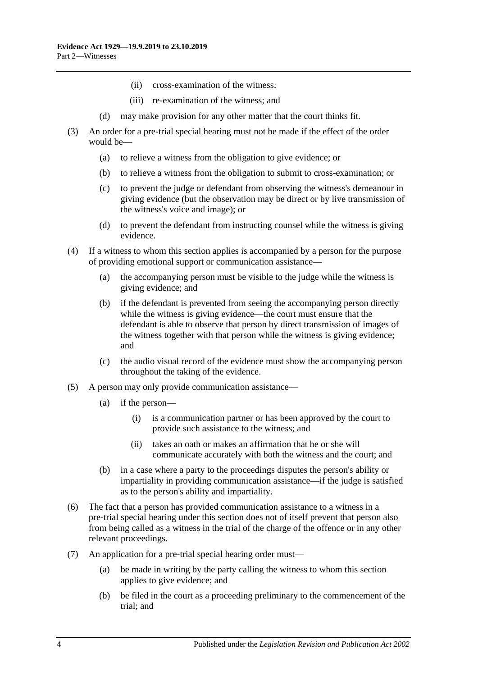- (ii) cross-examination of the witness;
- (iii) re-examination of the witness; and
- (d) may make provision for any other matter that the court thinks fit.
- (3) An order for a pre-trial special hearing must not be made if the effect of the order would be—
	- (a) to relieve a witness from the obligation to give evidence; or
	- (b) to relieve a witness from the obligation to submit to cross-examination; or
	- (c) to prevent the judge or defendant from observing the witness's demeanour in giving evidence (but the observation may be direct or by live transmission of the witness's voice and image); or
	- (d) to prevent the defendant from instructing counsel while the witness is giving evidence.
- (4) If a witness to whom this section applies is accompanied by a person for the purpose of providing emotional support or communication assistance—
	- (a) the accompanying person must be visible to the judge while the witness is giving evidence; and
	- (b) if the defendant is prevented from seeing the accompanying person directly while the witness is giving evidence—the court must ensure that the defendant is able to observe that person by direct transmission of images of the witness together with that person while the witness is giving evidence; and
	- (c) the audio visual record of the evidence must show the accompanying person throughout the taking of the evidence.
- (5) A person may only provide communication assistance—
	- (a) if the person—
		- (i) is a communication partner or has been approved by the court to provide such assistance to the witness; and
		- (ii) takes an oath or makes an affirmation that he or she will communicate accurately with both the witness and the court; and
	- (b) in a case where a party to the proceedings disputes the person's ability or impartiality in providing communication assistance—if the judge is satisfied as to the person's ability and impartiality.
- (6) The fact that a person has provided communication assistance to a witness in a pre-trial special hearing under this section does not of itself prevent that person also from being called as a witness in the trial of the charge of the offence or in any other relevant proceedings.
- (7) An application for a pre-trial special hearing order must—
	- (a) be made in writing by the party calling the witness to whom this section applies to give evidence; and
	- (b) be filed in the court as a proceeding preliminary to the commencement of the trial; and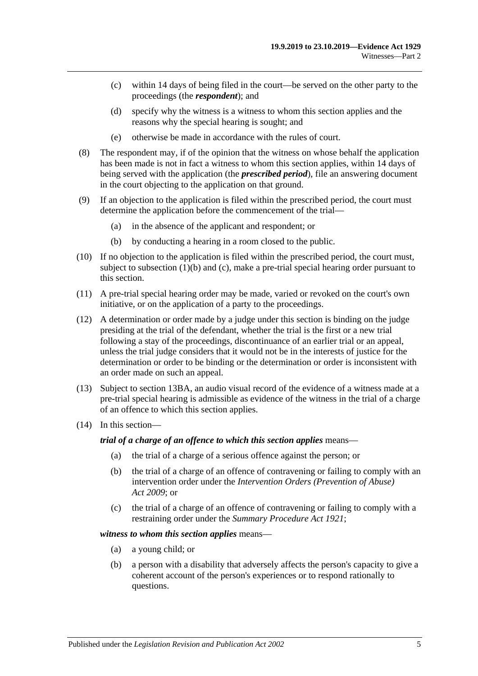- (c) within 14 days of being filed in the court—be served on the other party to the proceedings (the *respondent*); and
- (d) specify why the witness is a witness to whom this section applies and the reasons why the special hearing is sought; and
- (e) otherwise be made in accordance with the rules of court.
- (8) The respondent may, if of the opinion that the witness on whose behalf the application has been made is not in fact a witness to whom this section applies, within 14 days of being served with the application (the *prescribed period*), file an answering document in the court objecting to the application on that ground.
- (9) If an objection to the application is filed within the prescribed period, the court must determine the application before the commencement of the trial—
	- (a) in the absence of the applicant and respondent; or
	- (b) by conducting a hearing in a room closed to the public.
- (10) If no objection to the application is filed within the prescribed period, the court must, subject to [subsection](#page-12-1) (1)(b) and [\(c\),](#page-12-2) make a pre-trial special hearing order pursuant to this section.
- (11) A pre-trial special hearing order may be made, varied or revoked on the court's own initiative, or on the application of a party to the proceedings.
- (12) A determination or order made by a judge under this section is binding on the judge presiding at the trial of the defendant, whether the trial is the first or a new trial following a stay of the proceedings, discontinuance of an earlier trial or an appeal, unless the trial judge considers that it would not be in the interests of justice for the determination or order to be binding or the determination or order is inconsistent with an order made on such an appeal.
- (13) Subject to [section](#page-20-0) 13BA, an audio visual record of the evidence of a witness made at a pre-trial special hearing is admissible as evidence of the witness in the trial of a charge of an offence to which this section applies.
- (14) In this section—

*trial of a charge of an offence to which this section applies* means—

- (a) the trial of a charge of a serious offence against the person; or
- (b) the trial of a charge of an offence of contravening or failing to comply with an intervention order under the *[Intervention Orders \(Prevention of Abuse\)](http://www.legislation.sa.gov.au/index.aspx?action=legref&type=act&legtitle=Intervention%20Orders%20(Prevention%20of%20Abuse)%20Act%202009)  Act [2009](http://www.legislation.sa.gov.au/index.aspx?action=legref&type=act&legtitle=Intervention%20Orders%20(Prevention%20of%20Abuse)%20Act%202009)*; or
- (c) the trial of a charge of an offence of contravening or failing to comply with a restraining order under the *[Summary Procedure Act](http://www.legislation.sa.gov.au/index.aspx?action=legref&type=act&legtitle=Summary%20Procedure%20Act%201921) 1921*;

#### *witness to whom this section applies* means—

- (a) a young child; or
- (b) a person with a disability that adversely affects the person's capacity to give a coherent account of the person's experiences or to respond rationally to questions.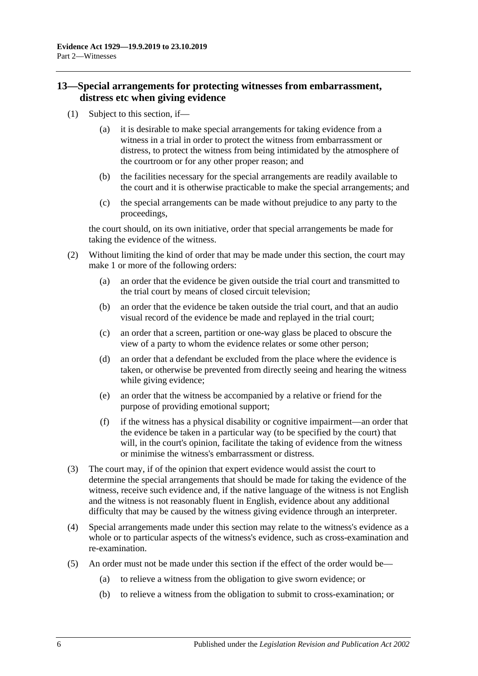## <span id="page-15-0"></span>**13—Special arrangements for protecting witnesses from embarrassment, distress etc when giving evidence**

- (1) Subject to this section, if—
	- (a) it is desirable to make special arrangements for taking evidence from a witness in a trial in order to protect the witness from embarrassment or distress, to protect the witness from being intimidated by the atmosphere of the courtroom or for any other proper reason; and
	- (b) the facilities necessary for the special arrangements are readily available to the court and it is otherwise practicable to make the special arrangements; and
	- (c) the special arrangements can be made without prejudice to any party to the proceedings,

the court should, on its own initiative, order that special arrangements be made for taking the evidence of the witness.

- (2) Without limiting the kind of order that may be made under this section, the court may make 1 or more of the following orders:
	- (a) an order that the evidence be given outside the trial court and transmitted to the trial court by means of closed circuit television;
	- (b) an order that the evidence be taken outside the trial court, and that an audio visual record of the evidence be made and replayed in the trial court;
	- (c) an order that a screen, partition or one-way glass be placed to obscure the view of a party to whom the evidence relates or some other person;
	- (d) an order that a defendant be excluded from the place where the evidence is taken, or otherwise be prevented from directly seeing and hearing the witness while giving evidence;
	- (e) an order that the witness be accompanied by a relative or friend for the purpose of providing emotional support;
	- (f) if the witness has a physical disability or cognitive impairment—an order that the evidence be taken in a particular way (to be specified by the court) that will, in the court's opinion, facilitate the taking of evidence from the witness or minimise the witness's embarrassment or distress.
- (3) The court may, if of the opinion that expert evidence would assist the court to determine the special arrangements that should be made for taking the evidence of the witness, receive such evidence and, if the native language of the witness is not English and the witness is not reasonably fluent in English, evidence about any additional difficulty that may be caused by the witness giving evidence through an interpreter.
- (4) Special arrangements made under this section may relate to the witness's evidence as a whole or to particular aspects of the witness's evidence, such as cross-examination and re-examination.
- (5) An order must not be made under this section if the effect of the order would be—
	- (a) to relieve a witness from the obligation to give sworn evidence; or
	- (b) to relieve a witness from the obligation to submit to cross-examination; or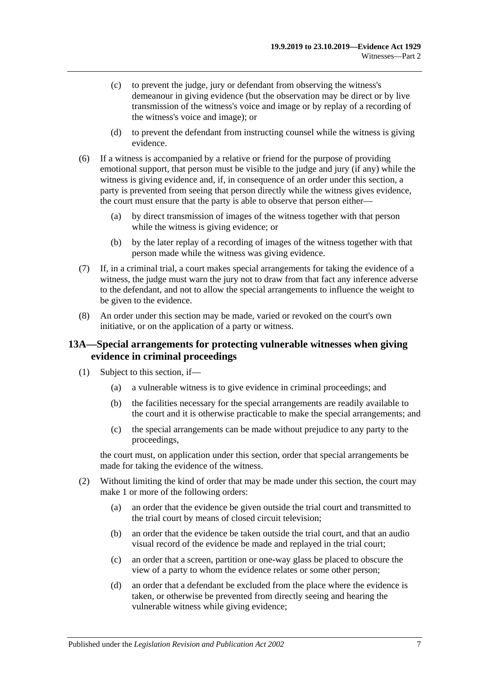- (c) to prevent the judge, jury or defendant from observing the witness's demeanour in giving evidence (but the observation may be direct or by live transmission of the witness's voice and image or by replay of a recording of the witness's voice and image); or
- (d) to prevent the defendant from instructing counsel while the witness is giving evidence.
- (6) If a witness is accompanied by a relative or friend for the purpose of providing emotional support, that person must be visible to the judge and jury (if any) while the witness is giving evidence and, if, in consequence of an order under this section, a party is prevented from seeing that person directly while the witness gives evidence, the court must ensure that the party is able to observe that person either—
	- (a) by direct transmission of images of the witness together with that person while the witness is giving evidence; or
	- (b) by the later replay of a recording of images of the witness together with that person made while the witness was giving evidence.
- (7) If, in a criminal trial, a court makes special arrangements for taking the evidence of a witness, the judge must warn the jury not to draw from that fact any inference adverse to the defendant, and not to allow the special arrangements to influence the weight to be given to the evidence.
- (8) An order under this section may be made, varied or revoked on the court's own initiative, or on the application of a party or witness.

## <span id="page-16-0"></span>**13A—Special arrangements for protecting vulnerable witnesses when giving evidence in criminal proceedings**

- (1) Subject to this section, if—
	- (a) a vulnerable witness is to give evidence in criminal proceedings; and
	- (b) the facilities necessary for the special arrangements are readily available to the court and it is otherwise practicable to make the special arrangements; and
	- (c) the special arrangements can be made without prejudice to any party to the proceedings,

the court must, on application under this section, order that special arrangements be made for taking the evidence of the witness.

- <span id="page-16-1"></span>(2) Without limiting the kind of order that may be made under this section, the court may make 1 or more of the following orders:
	- (a) an order that the evidence be given outside the trial court and transmitted to the trial court by means of closed circuit television;
	- (b) an order that the evidence be taken outside the trial court, and that an audio visual record of the evidence be made and replayed in the trial court;
	- (c) an order that a screen, partition or one-way glass be placed to obscure the view of a party to whom the evidence relates or some other person;
	- (d) an order that a defendant be excluded from the place where the evidence is taken, or otherwise be prevented from directly seeing and hearing the vulnerable witness while giving evidence;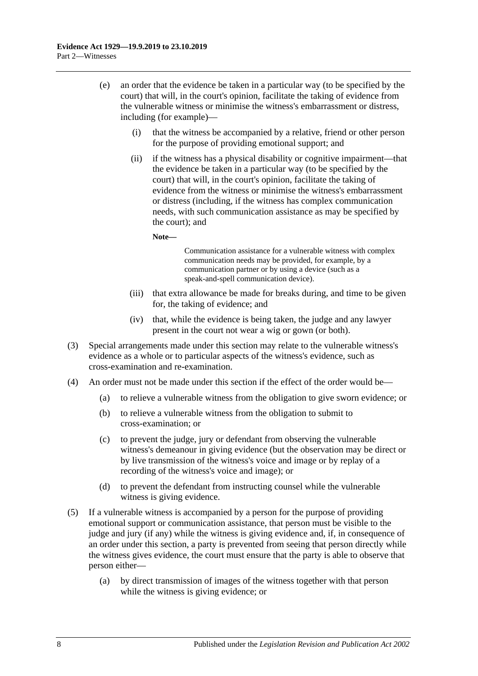- (e) an order that the evidence be taken in a particular way (to be specified by the court) that will, in the court's opinion, facilitate the taking of evidence from the vulnerable witness or minimise the witness's embarrassment or distress, including (for example)—
	- (i) that the witness be accompanied by a relative, friend or other person for the purpose of providing emotional support; and
	- (ii) if the witness has a physical disability or cognitive impairment—that the evidence be taken in a particular way (to be specified by the court) that will, in the court's opinion, facilitate the taking of evidence from the witness or minimise the witness's embarrassment or distress (including, if the witness has complex communication needs, with such communication assistance as may be specified by the court); and

**Note—**

Communication assistance for a vulnerable witness with complex communication needs may be provided, for example, by a communication partner or by using a device (such as a speak-and-spell communication device).

- (iii) that extra allowance be made for breaks during, and time to be given for, the taking of evidence; and
- (iv) that, while the evidence is being taken, the judge and any lawyer present in the court not wear a wig or gown (or both).
- (3) Special arrangements made under this section may relate to the vulnerable witness's evidence as a whole or to particular aspects of the witness's evidence, such as cross-examination and re-examination.
- (4) An order must not be made under this section if the effect of the order would be—
	- (a) to relieve a vulnerable witness from the obligation to give sworn evidence; or
	- (b) to relieve a vulnerable witness from the obligation to submit to cross-examination; or
	- (c) to prevent the judge, jury or defendant from observing the vulnerable witness's demeanour in giving evidence (but the observation may be direct or by live transmission of the witness's voice and image or by replay of a recording of the witness's voice and image); or
	- (d) to prevent the defendant from instructing counsel while the vulnerable witness is giving evidence.
- (5) If a vulnerable witness is accompanied by a person for the purpose of providing emotional support or communication assistance, that person must be visible to the judge and jury (if any) while the witness is giving evidence and, if, in consequence of an order under this section, a party is prevented from seeing that person directly while the witness gives evidence, the court must ensure that the party is able to observe that person either—
	- (a) by direct transmission of images of the witness together with that person while the witness is giving evidence; or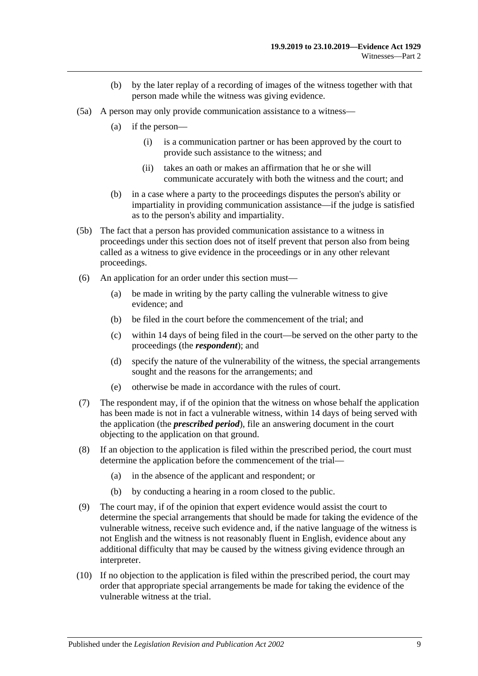- (b) by the later replay of a recording of images of the witness together with that person made while the witness was giving evidence.
- (5a) A person may only provide communication assistance to a witness—
	- (a) if the person—
		- (i) is a communication partner or has been approved by the court to provide such assistance to the witness; and
		- (ii) takes an oath or makes an affirmation that he or she will communicate accurately with both the witness and the court; and
	- (b) in a case where a party to the proceedings disputes the person's ability or impartiality in providing communication assistance—if the judge is satisfied as to the person's ability and impartiality.
- (5b) The fact that a person has provided communication assistance to a witness in proceedings under this section does not of itself prevent that person also from being called as a witness to give evidence in the proceedings or in any other relevant proceedings.
- (6) An application for an order under this section must—
	- (a) be made in writing by the party calling the vulnerable witness to give evidence; and
	- (b) be filed in the court before the commencement of the trial; and
	- (c) within 14 days of being filed in the court—be served on the other party to the proceedings (the *respondent*); and
	- (d) specify the nature of the vulnerability of the witness, the special arrangements sought and the reasons for the arrangements; and
	- (e) otherwise be made in accordance with the rules of court.
- (7) The respondent may, if of the opinion that the witness on whose behalf the application has been made is not in fact a vulnerable witness, within 14 days of being served with the application (the *prescribed period*), file an answering document in the court objecting to the application on that ground.
- (8) If an objection to the application is filed within the prescribed period, the court must determine the application before the commencement of the trial—
	- (a) in the absence of the applicant and respondent; or
	- (b) by conducting a hearing in a room closed to the public.
- (9) The court may, if of the opinion that expert evidence would assist the court to determine the special arrangements that should be made for taking the evidence of the vulnerable witness, receive such evidence and, if the native language of the witness is not English and the witness is not reasonably fluent in English, evidence about any additional difficulty that may be caused by the witness giving evidence through an interpreter.
- (10) If no objection to the application is filed within the prescribed period, the court may order that appropriate special arrangements be made for taking the evidence of the vulnerable witness at the trial.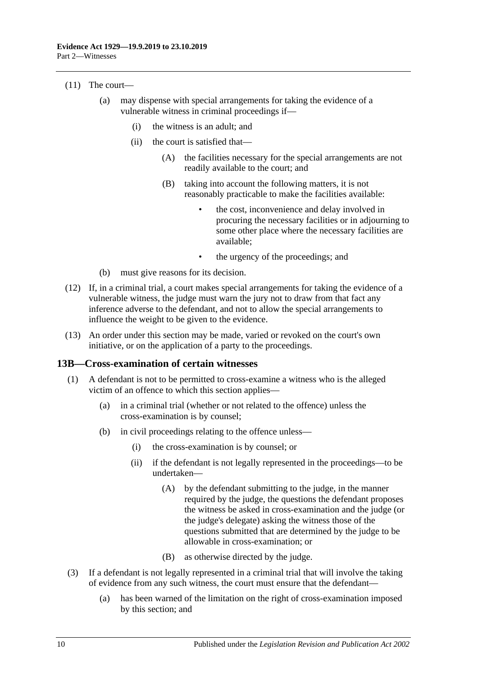#### (11) The court—

- (a) may dispense with special arrangements for taking the evidence of a vulnerable witness in criminal proceedings if—
	- (i) the witness is an adult; and
	- (ii) the court is satisfied that—
		- (A) the facilities necessary for the special arrangements are not readily available to the court; and
		- (B) taking into account the following matters, it is not reasonably practicable to make the facilities available:
			- the cost, inconvenience and delay involved in procuring the necessary facilities or in adjourning to some other place where the necessary facilities are available;
			- the urgency of the proceedings; and
- (b) must give reasons for its decision.
- (12) If, in a criminal trial, a court makes special arrangements for taking the evidence of a vulnerable witness, the judge must warn the jury not to draw from that fact any inference adverse to the defendant, and not to allow the special arrangements to influence the weight to be given to the evidence.
- (13) An order under this section may be made, varied or revoked on the court's own initiative, or on the application of a party to the proceedings.

#### <span id="page-19-0"></span>**13B—Cross-examination of certain witnesses**

- (1) A defendant is not to be permitted to cross-examine a witness who is the alleged victim of an offence to which this section applies—
	- (a) in a criminal trial (whether or not related to the offence) unless the cross-examination is by counsel;
	- (b) in civil proceedings relating to the offence unless—
		- (i) the cross-examination is by counsel; or
		- (ii) if the defendant is not legally represented in the proceedings—to be undertaken—
			- (A) by the defendant submitting to the judge, in the manner required by the judge, the questions the defendant proposes the witness be asked in cross-examination and the judge (or the judge's delegate) asking the witness those of the questions submitted that are determined by the judge to be allowable in cross-examination; or
			- (B) as otherwise directed by the judge.
- (3) If a defendant is not legally represented in a criminal trial that will involve the taking of evidence from any such witness, the court must ensure that the defendant—
	- (a) has been warned of the limitation on the right of cross-examination imposed by this section; and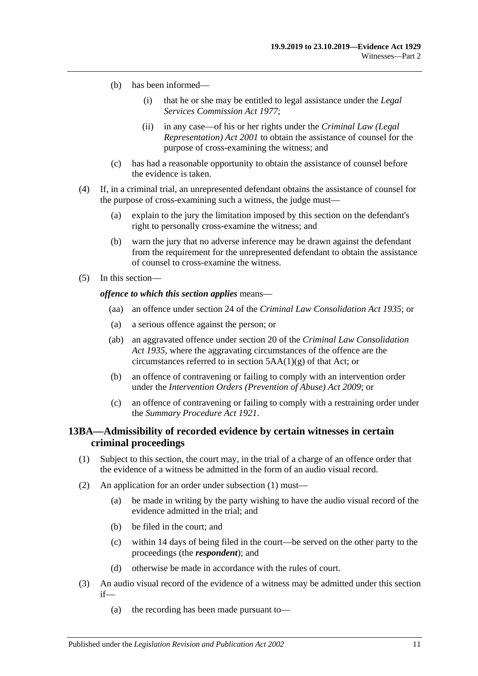- (b) has been informed—
	- (i) that he or she may be entitled to legal assistance under the *[Legal](http://www.legislation.sa.gov.au/index.aspx?action=legref&type=act&legtitle=Legal%20Services%20Commission%20Act%201977)  [Services Commission Act](http://www.legislation.sa.gov.au/index.aspx?action=legref&type=act&legtitle=Legal%20Services%20Commission%20Act%201977) 1977*;
	- (ii) in any case—of his or her rights under the *[Criminal Law \(Legal](http://www.legislation.sa.gov.au/index.aspx?action=legref&type=act&legtitle=Criminal%20Law%20(Legal%20Representation)%20Act%202001)  [Representation\) Act](http://www.legislation.sa.gov.au/index.aspx?action=legref&type=act&legtitle=Criminal%20Law%20(Legal%20Representation)%20Act%202001) 2001* to obtain the assistance of counsel for the purpose of cross-examining the witness; and
- (c) has had a reasonable opportunity to obtain the assistance of counsel before the evidence is taken.
- (4) If, in a criminal trial, an unrepresented defendant obtains the assistance of counsel for the purpose of cross-examining such a witness, the judge must—
	- (a) explain to the jury the limitation imposed by this section on the defendant's right to personally cross-examine the witness; and
	- (b) warn the jury that no adverse inference may be drawn against the defendant from the requirement for the unrepresented defendant to obtain the assistance of counsel to cross-examine the witness.
- (5) In this section—

#### *offence to which this section applies* means—

- (aa) an offence under section 24 of the *[Criminal Law Consolidation Act](http://www.legislation.sa.gov.au/index.aspx?action=legref&type=act&legtitle=Criminal%20Law%20Consolidation%20Act%201935) 1935*; or
- (a) a serious offence against the person; or
- (ab) an aggravated offence under section 20 of the *[Criminal Law Consolidation](http://www.legislation.sa.gov.au/index.aspx?action=legref&type=act&legtitle=Criminal%20Law%20Consolidation%20Act%201935)  Act [1935](http://www.legislation.sa.gov.au/index.aspx?action=legref&type=act&legtitle=Criminal%20Law%20Consolidation%20Act%201935)*, where the aggravating circumstances of the offence are the circumstances referred to in section 5AA(1)(g) of that Act; or
- (b) an offence of contravening or failing to comply with an intervention order under the *[Intervention Orders \(Prevention of Abuse\) Act](http://www.legislation.sa.gov.au/index.aspx?action=legref&type=act&legtitle=Intervention%20Orders%20(Prevention%20of%20Abuse)%20Act%202009) 2009*; or
- (c) an offence of contravening or failing to comply with a restraining order under the *[Summary Procedure Act](http://www.legislation.sa.gov.au/index.aspx?action=legref&type=act&legtitle=Summary%20Procedure%20Act%201921) 1921*.

## <span id="page-20-0"></span>**13BA—Admissibility of recorded evidence by certain witnesses in certain criminal proceedings**

- <span id="page-20-1"></span>(1) Subject to this section, the court may, in the trial of a charge of an offence order that the evidence of a witness be admitted in the form of an audio visual record.
- (2) An application for an order under [subsection](#page-20-1) (1) must—
	- (a) be made in writing by the party wishing to have the audio visual record of the evidence admitted in the trial; and
	- (b) be filed in the court; and
	- (c) within 14 days of being filed in the court—be served on the other party to the proceedings (the *respondent*); and
	- (d) otherwise be made in accordance with the rules of court.
- <span id="page-20-2"></span>(3) An audio visual record of the evidence of a witness may be admitted under this section if—
	- (a) the recording has been made pursuant to—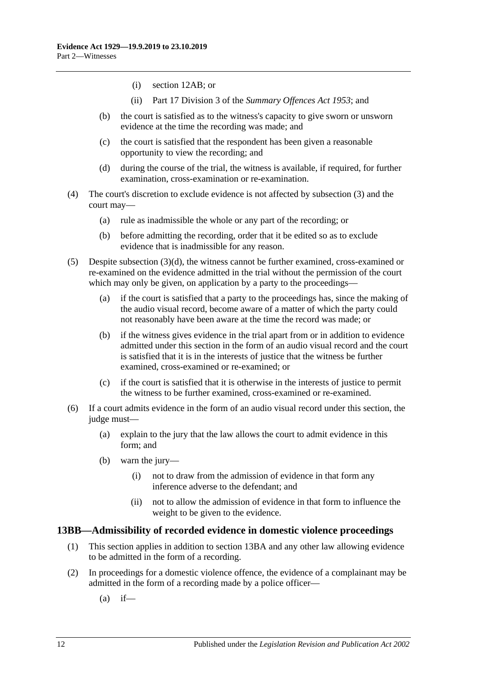- (i) [section](#page-12-0) 12AB; or
- (ii) Part 17 Division 3 of the *[Summary Offences Act](http://www.legislation.sa.gov.au/index.aspx?action=legref&type=act&legtitle=Summary%20Offences%20Act%201953) 1953*; and
- (b) the court is satisfied as to the witness's capacity to give sworn or unsworn evidence at the time the recording was made; and
- (c) the court is satisfied that the respondent has been given a reasonable opportunity to view the recording; and
- (d) during the course of the trial, the witness is available, if required, for further examination, cross-examination or re-examination.
- <span id="page-21-1"></span>(4) The court's discretion to exclude evidence is not affected by [subsection](#page-20-2) (3) and the court may—
	- (a) rule as inadmissible the whole or any part of the recording; or
	- (b) before admitting the recording, order that it be edited so as to exclude evidence that is inadmissible for any reason.
- (5) Despite [subsection](#page-21-1)  $(3)(d)$ , the witness cannot be further examined, cross-examined or re-examined on the evidence admitted in the trial without the permission of the court which may only be given, on application by a party to the proceedings—
	- (a) if the court is satisfied that a party to the proceedings has, since the making of the audio visual record, become aware of a matter of which the party could not reasonably have been aware at the time the record was made; or
	- (b) if the witness gives evidence in the trial apart from or in addition to evidence admitted under this section in the form of an audio visual record and the court is satisfied that it is in the interests of justice that the witness be further examined, cross-examined or re-examined; or
	- (c) if the court is satisfied that it is otherwise in the interests of justice to permit the witness to be further examined, cross-examined or re-examined.
- (6) If a court admits evidence in the form of an audio visual record under this section, the judge must—
	- (a) explain to the jury that the law allows the court to admit evidence in this form; and
	- (b) warn the jury—
		- (i) not to draw from the admission of evidence in that form any inference adverse to the defendant; and
		- (ii) not to allow the admission of evidence in that form to influence the weight to be given to the evidence.

#### <span id="page-21-0"></span>**13BB—Admissibility of recorded evidence in domestic violence proceedings**

- (1) This section applies in addition to [section](#page-20-0) 13BA and any other law allowing evidence to be admitted in the form of a recording.
- <span id="page-21-2"></span>(2) In proceedings for a domestic violence offence, the evidence of a complainant may be admitted in the form of a recording made by a police officer—
	- $(a)$  if—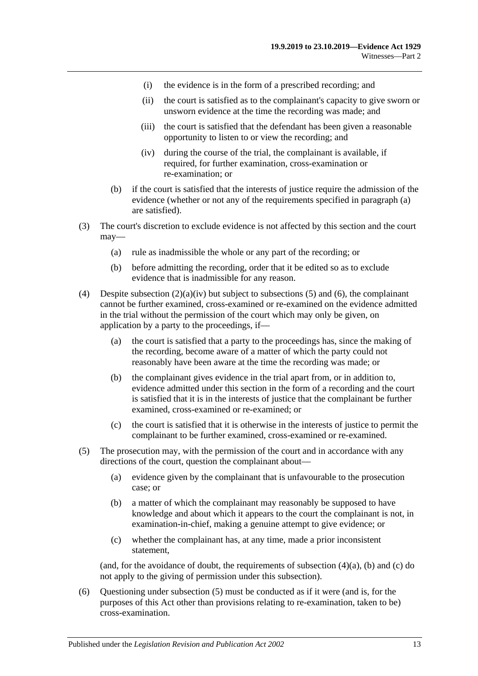- (i) the evidence is in the form of a prescribed recording; and
- (ii) the court is satisfied as to the complainant's capacity to give sworn or unsworn evidence at the time the recording was made; and
- (iii) the court is satisfied that the defendant has been given a reasonable opportunity to listen to or view the recording; and
- (iv) during the course of the trial, the complainant is available, if required, for further examination, cross-examination or re-examination; or
- <span id="page-22-0"></span>(b) if the court is satisfied that the interests of justice require the admission of the evidence (whether or not any of the requirements specified in [paragraph](#page-21-2) (a) are satisfied).
- (3) The court's discretion to exclude evidence is not affected by this section and the court may—
	- (a) rule as inadmissible the whole or any part of the recording; or
	- (b) before admitting the recording, order that it be edited so as to exclude evidence that is inadmissible for any reason.
- <span id="page-22-3"></span>(4) Despite [subsection](#page-22-0)  $(2)(a)(iv)$  but subject to [subsections](#page-22-1) (5) and [\(6\),](#page-22-2) the complainant cannot be further examined, cross-examined or re-examined on the evidence admitted in the trial without the permission of the court which may only be given, on application by a party to the proceedings, if—
	- (a) the court is satisfied that a party to the proceedings has, since the making of the recording, become aware of a matter of which the party could not reasonably have been aware at the time the recording was made; or
	- (b) the complainant gives evidence in the trial apart from, or in addition to, evidence admitted under this section in the form of a recording and the court is satisfied that it is in the interests of justice that the complainant be further examined, cross-examined or re-examined; or
	- (c) the court is satisfied that it is otherwise in the interests of justice to permit the complainant to be further examined, cross-examined or re-examined.
- <span id="page-22-4"></span><span id="page-22-1"></span>(5) The prosecution may, with the permission of the court and in accordance with any directions of the court, question the complainant about—
	- (a) evidence given by the complainant that is unfavourable to the prosecution case; or
	- (b) a matter of which the complainant may reasonably be supposed to have knowledge and about which it appears to the court the complainant is not, in examination-in-chief, making a genuine attempt to give evidence; or
	- (c) whether the complainant has, at any time, made a prior inconsistent statement,

<span id="page-22-5"></span>(and, for the avoidance of doubt, the requirements of [subsection](#page-22-3)  $(4)(a)$ ,  $(b)$  and  $(c)$  do not apply to the giving of permission under this subsection).

<span id="page-22-2"></span>(6) Questioning under [subsection](#page-22-1) (5) must be conducted as if it were (and is, for the purposes of this Act other than provisions relating to re-examination, taken to be) cross-examination.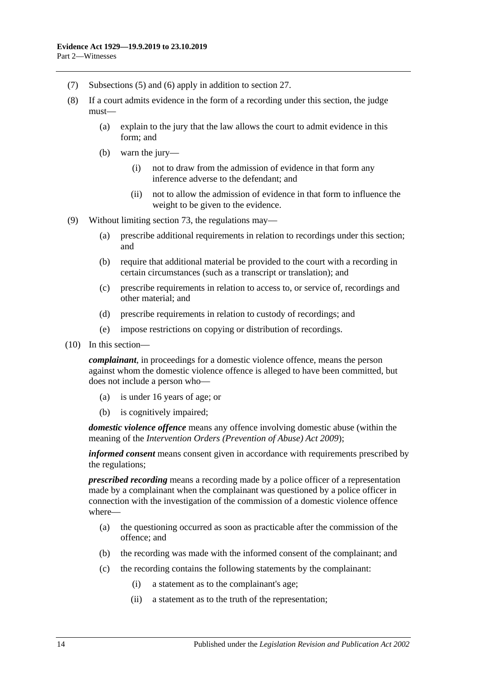- (7) [Subsections](#page-22-1) (5) and [\(6\)](#page-22-2) apply in addition to [section](#page-31-1) 27.
- (8) If a court admits evidence in the form of a recording under this section, the judge must—
	- (a) explain to the jury that the law allows the court to admit evidence in this form; and
	- (b) warn the jury—
		- (i) not to draw from the admission of evidence in that form any inference adverse to the defendant; and
		- (ii) not to allow the admission of evidence in that form to influence the weight to be given to the evidence.
- (9) Without limiting [section](#page-94-1) 73, the regulations may—
	- (a) prescribe additional requirements in relation to recordings under this section; and
	- (b) require that additional material be provided to the court with a recording in certain circumstances (such as a transcript or translation); and
	- (c) prescribe requirements in relation to access to, or service of, recordings and other material; and
	- (d) prescribe requirements in relation to custody of recordings; and
	- (e) impose restrictions on copying or distribution of recordings.
- (10) In this section—

*complainant*, in proceedings for a domestic violence offence, means the person against whom the domestic violence offence is alleged to have been committed, but does not include a person who—

- (a) is under 16 years of age; or
- (b) is cognitively impaired;

*domestic violence offence* means any offence involving domestic abuse (within the meaning of the *[Intervention Orders \(Prevention of Abuse\) Act](http://www.legislation.sa.gov.au/index.aspx?action=legref&type=act&legtitle=Intervention%20Orders%20(Prevention%20of%20Abuse)%20Act%202009) 2009*);

*informed consent* means consent given in accordance with requirements prescribed by the regulations;

*prescribed recording* means a recording made by a police officer of a representation made by a complainant when the complainant was questioned by a police officer in connection with the investigation of the commission of a domestic violence offence where—

- (a) the questioning occurred as soon as practicable after the commission of the offence; and
- (b) the recording was made with the informed consent of the complainant; and
- (c) the recording contains the following statements by the complainant:
	- (i) a statement as to the complainant's age;
	- (ii) a statement as to the truth of the representation;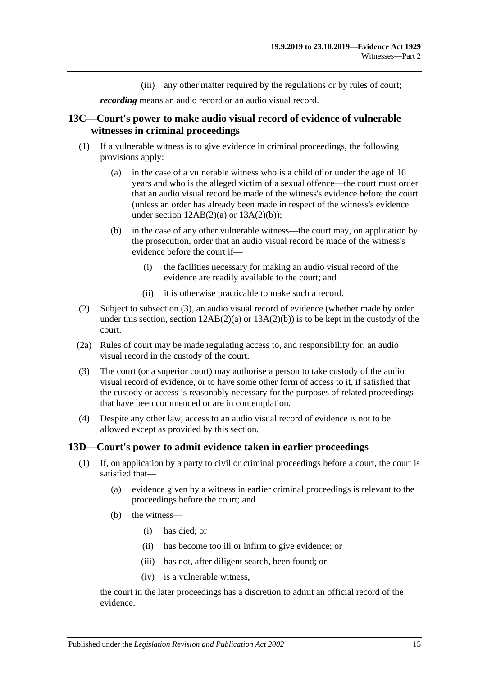(iii) any other matter required by the regulations or by rules of court;

*recording* means an audio record or an audio visual record.

## <span id="page-24-0"></span>**13C—Court's power to make audio visual record of evidence of vulnerable witnesses in criminal proceedings**

- (1) If a vulnerable witness is to give evidence in criminal proceedings, the following provisions apply:
	- (a) in the case of a vulnerable witness who is a child of or under the age of 16 years and who is the alleged victim of a sexual offence—the court must order that an audio visual record be made of the witness's evidence before the court (unless an order has already been made in respect of the witness's evidence under section  $12AB(2)(a)$  or  $13A(2)(b)$ ;
	- (b) in the case of any other vulnerable witness—the court may, on application by the prosecution, order that an audio visual record be made of the witness's evidence before the court if—
		- (i) the facilities necessary for making an audio visual record of the evidence are readily available to the court; and
		- (ii) it is otherwise practicable to make such a record.
- (2) Subject to [subsection](#page-24-2) (3), an audio visual record of evidence (whether made by order under this section, section  $12AB(2)(a)$  or  $13A(2)(b)$  is to be kept in the custody of the court.
- (2a) Rules of court may be made regulating access to, and responsibility for, an audio visual record in the custody of the court.
- <span id="page-24-2"></span>(3) The court (or a superior court) may authorise a person to take custody of the audio visual record of evidence, or to have some other form of access to it, if satisfied that the custody or access is reasonably necessary for the purposes of related proceedings that have been commenced or are in contemplation.
- (4) Despite any other law, access to an audio visual record of evidence is not to be allowed except as provided by this section.

#### <span id="page-24-1"></span>**13D—Court's power to admit evidence taken in earlier proceedings**

- (1) If, on application by a party to civil or criminal proceedings before a court, the court is satisfied that—
	- (a) evidence given by a witness in earlier criminal proceedings is relevant to the proceedings before the court; and
	- (b) the witness—
		- (i) has died; or
		- (ii) has become too ill or infirm to give evidence; or
		- (iii) has not, after diligent search, been found; or
		- (iv) is a vulnerable witness,

the court in the later proceedings has a discretion to admit an official record of the evidence.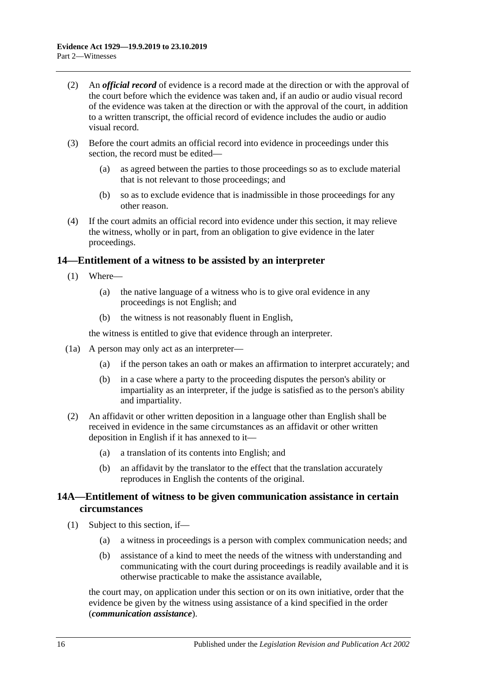- (2) An *official record* of evidence is a record made at the direction or with the approval of the court before which the evidence was taken and, if an audio or audio visual record of the evidence was taken at the direction or with the approval of the court, in addition to a written transcript, the official record of evidence includes the audio or audio visual record.
- (3) Before the court admits an official record into evidence in proceedings under this section, the record must be edited—
	- (a) as agreed between the parties to those proceedings so as to exclude material that is not relevant to those proceedings; and
	- (b) so as to exclude evidence that is inadmissible in those proceedings for any other reason.
- (4) If the court admits an official record into evidence under this section, it may relieve the witness, wholly or in part, from an obligation to give evidence in the later proceedings.

## <span id="page-25-0"></span>**14—Entitlement of a witness to be assisted by an interpreter**

- (1) Where—
	- (a) the native language of a witness who is to give oral evidence in any proceedings is not English; and
	- (b) the witness is not reasonably fluent in English,

the witness is entitled to give that evidence through an interpreter.

- (1a) A person may only act as an interpreter—
	- (a) if the person takes an oath or makes an affirmation to interpret accurately; and
	- (b) in a case where a party to the proceeding disputes the person's ability or impartiality as an interpreter, if the judge is satisfied as to the person's ability and impartiality.
- (2) An affidavit or other written deposition in a language other than English shall be received in evidence in the same circumstances as an affidavit or other written deposition in English if it has annexed to it—
	- (a) a translation of its contents into English; and
	- (b) an affidavit by the translator to the effect that the translation accurately reproduces in English the contents of the original.

## <span id="page-25-1"></span>**14A—Entitlement of witness to be given communication assistance in certain circumstances**

- (1) Subject to this section, if—
	- (a) a witness in proceedings is a person with complex communication needs; and
	- (b) assistance of a kind to meet the needs of the witness with understanding and communicating with the court during proceedings is readily available and it is otherwise practicable to make the assistance available,

the court may, on application under this section or on its own initiative, order that the evidence be given by the witness using assistance of a kind specified in the order (*communication assistance*).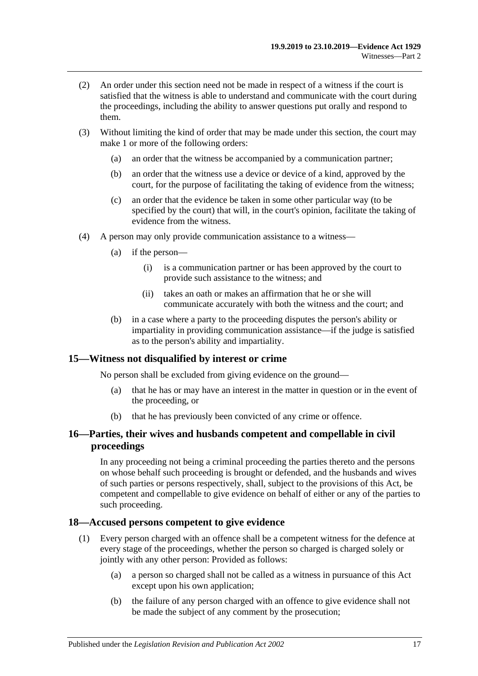- (2) An order under this section need not be made in respect of a witness if the court is satisfied that the witness is able to understand and communicate with the court during the proceedings, including the ability to answer questions put orally and respond to them.
- (3) Without limiting the kind of order that may be made under this section, the court may make 1 or more of the following orders:
	- (a) an order that the witness be accompanied by a communication partner;
	- (b) an order that the witness use a device or device of a kind, approved by the court, for the purpose of facilitating the taking of evidence from the witness;
	- (c) an order that the evidence be taken in some other particular way (to be specified by the court) that will, in the court's opinion, facilitate the taking of evidence from the witness.
- (4) A person may only provide communication assistance to a witness—
	- (a) if the person—
		- (i) is a communication partner or has been approved by the court to provide such assistance to the witness; and
		- (ii) takes an oath or makes an affirmation that he or she will communicate accurately with both the witness and the court; and
	- (b) in a case where a party to the proceeding disputes the person's ability or impartiality in providing communication assistance—if the judge is satisfied as to the person's ability and impartiality.

## <span id="page-26-0"></span>**15—Witness not disqualified by interest or crime**

No person shall be excluded from giving evidence on the ground—

- (a) that he has or may have an interest in the matter in question or in the event of the proceeding, or
- (b) that he has previously been convicted of any crime or offence.

## <span id="page-26-1"></span>**16—Parties, their wives and husbands competent and compellable in civil proceedings**

In any proceeding not being a criminal proceeding the parties thereto and the persons on whose behalf such proceeding is brought or defended, and the husbands and wives of such parties or persons respectively, shall, subject to the provisions of this Act, be competent and compellable to give evidence on behalf of either or any of the parties to such proceeding.

#### <span id="page-26-2"></span>**18—Accused persons competent to give evidence**

- (1) Every person charged with an offence shall be a competent witness for the defence at every stage of the proceedings, whether the person so charged is charged solely or jointly with any other person: Provided as follows:
	- (a) a person so charged shall not be called as a witness in pursuance of this Act except upon his own application;
	- (b) the failure of any person charged with an offence to give evidence shall not be made the subject of any comment by the prosecution;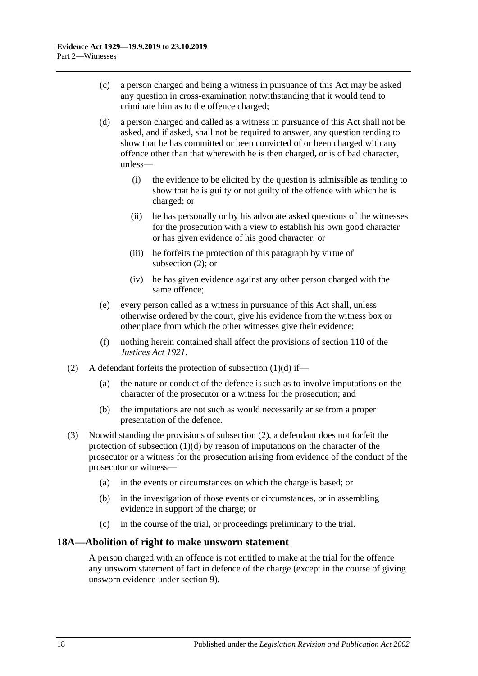- (c) a person charged and being a witness in pursuance of this Act may be asked any question in cross-examination notwithstanding that it would tend to criminate him as to the offence charged;
- <span id="page-27-2"></span>(d) a person charged and called as a witness in pursuance of this Act shall not be asked, and if asked, shall not be required to answer, any question tending to show that he has committed or been convicted of or been charged with any offence other than that wherewith he is then charged, or is of bad character, unless—
	- (i) the evidence to be elicited by the question is admissible as tending to show that he is guilty or not guilty of the offence with which he is charged; or
	- (ii) he has personally or by his advocate asked questions of the witnesses for the prosecution with a view to establish his own good character or has given evidence of his good character; or
	- (iii) he forfeits the protection of this paragraph by virtue of [subsection](#page-27-1) (2); or
	- (iv) he has given evidence against any other person charged with the same offence;
- (e) every person called as a witness in pursuance of this Act shall, unless otherwise ordered by the court, give his evidence from the witness box or other place from which the other witnesses give their evidence;
- (f) nothing herein contained shall affect the provisions of section 110 of the *[Justices Act](http://www.legislation.sa.gov.au/index.aspx?action=legref&type=act&legtitle=Justices%20Act%201921) 1921*.
- <span id="page-27-1"></span>(2) A defendant forfeits the protection of [subsection](#page-27-2)  $(1)(d)$  if—
	- (a) the nature or conduct of the defence is such as to involve imputations on the character of the prosecutor or a witness for the prosecution; and
	- (b) the imputations are not such as would necessarily arise from a proper presentation of the defence.
- (3) Notwithstanding the provisions of [subsection](#page-27-1) (2), a defendant does not forfeit the protection of [subsection](#page-27-2)  $(1)(d)$  by reason of imputations on the character of the prosecutor or a witness for the prosecution arising from evidence of the conduct of the prosecutor or witness—
	- (a) in the events or circumstances on which the charge is based; or
	- (b) in the investigation of those events or circumstances, or in assembling evidence in support of the charge; or
	- (c) in the course of the trial, or proceedings preliminary to the trial.

## <span id="page-27-0"></span>**18A—Abolition of right to make unsworn statement**

A person charged with an offence is not entitled to make at the trial for the offence any unsworn statement of fact in defence of the charge (except in the course of giving unsworn evidence under [section](#page-10-3) 9).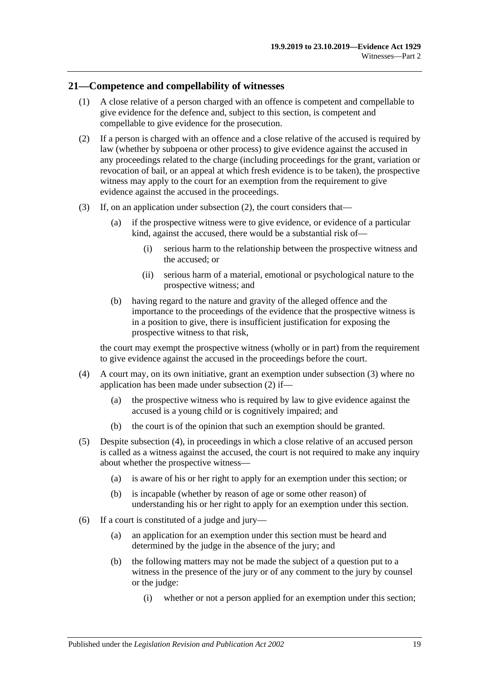## <span id="page-28-0"></span>**21—Competence and compellability of witnesses**

- (1) A close relative of a person charged with an offence is competent and compellable to give evidence for the defence and, subject to this section, is competent and compellable to give evidence for the prosecution.
- <span id="page-28-1"></span>(2) If a person is charged with an offence and a close relative of the accused is required by law (whether by subpoena or other process) to give evidence against the accused in any proceedings related to the charge (including proceedings for the grant, variation or revocation of bail, or an appeal at which fresh evidence is to be taken), the prospective witness may apply to the court for an exemption from the requirement to give evidence against the accused in the proceedings.
- <span id="page-28-2"></span>(3) If, on an application under [subsection](#page-28-1) (2), the court considers that—
	- (a) if the prospective witness were to give evidence, or evidence of a particular kind, against the accused, there would be a substantial risk of—
		- (i) serious harm to the relationship between the prospective witness and the accused; or
		- (ii) serious harm of a material, emotional or psychological nature to the prospective witness; and
	- (b) having regard to the nature and gravity of the alleged offence and the importance to the proceedings of the evidence that the prospective witness is in a position to give, there is insufficient justification for exposing the prospective witness to that risk,

the court may exempt the prospective witness (wholly or in part) from the requirement to give evidence against the accused in the proceedings before the court.

- <span id="page-28-3"></span>(4) A court may, on its own initiative, grant an exemption under [subsection](#page-28-2) (3) where no application has been made under [subsection](#page-28-1) (2) if—
	- (a) the prospective witness who is required by law to give evidence against the accused is a young child or is cognitively impaired; and
	- (b) the court is of the opinion that such an exemption should be granted.
- <span id="page-28-4"></span>(5) Despite [subsection](#page-28-3) (4), in proceedings in which a close relative of an accused person is called as a witness against the accused, the court is not required to make any inquiry about whether the prospective witness—
	- (a) is aware of his or her right to apply for an exemption under this section; or
	- (b) is incapable (whether by reason of age or some other reason) of understanding his or her right to apply for an exemption under this section.
- (6) If a court is constituted of a judge and jury—
	- (a) an application for an exemption under this section must be heard and determined by the judge in the absence of the jury; and
	- (b) the following matters may not be made the subject of a question put to a witness in the presence of the jury or of any comment to the jury by counsel or the judge:
		- (i) whether or not a person applied for an exemption under this section;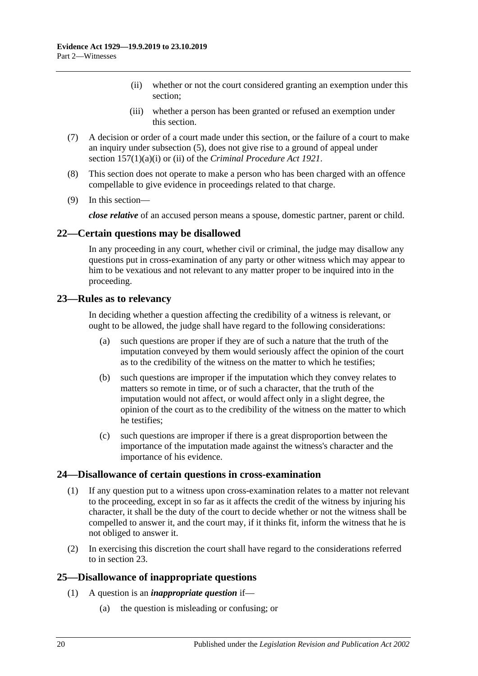- (ii) whether or not the court considered granting an exemption under this section;
- (iii) whether a person has been granted or refused an exemption under this section.
- (7) A decision or order of a court made under this section, or the failure of a court to make an inquiry under [subsection](#page-28-4) (5), does not give rise to a ground of appeal under section 157(1)(a)(i) or (ii) of the *[Criminal Procedure Act](http://www.legislation.sa.gov.au/index.aspx?action=legref&type=act&legtitle=Criminal%20Procedure%20Act%201921) 1921*.
- (8) This section does not operate to make a person who has been charged with an offence compellable to give evidence in proceedings related to that charge.
- (9) In this section—

*close relative* of an accused person means a spouse, domestic partner, parent or child.

## <span id="page-29-0"></span>**22—Certain questions may be disallowed**

In any proceeding in any court, whether civil or criminal, the judge may disallow any questions put in cross-examination of any party or other witness which may appear to him to be vexatious and not relevant to any matter proper to be inquired into in the proceeding.

## <span id="page-29-1"></span>**23—Rules as to relevancy**

In deciding whether a question affecting the credibility of a witness is relevant, or ought to be allowed, the judge shall have regard to the following considerations:

- (a) such questions are proper if they are of such a nature that the truth of the imputation conveyed by them would seriously affect the opinion of the court as to the credibility of the witness on the matter to which he testifies;
- (b) such questions are improper if the imputation which they convey relates to matters so remote in time, or of such a character, that the truth of the imputation would not affect, or would affect only in a slight degree, the opinion of the court as to the credibility of the witness on the matter to which he testifies;
- (c) such questions are improper if there is a great disproportion between the importance of the imputation made against the witness's character and the importance of his evidence.

#### <span id="page-29-2"></span>**24—Disallowance of certain questions in cross-examination**

- (1) If any question put to a witness upon cross-examination relates to a matter not relevant to the proceeding, except in so far as it affects the credit of the witness by injuring his character, it shall be the duty of the court to decide whether or not the witness shall be compelled to answer it, and the court may, if it thinks fit, inform the witness that he is not obliged to answer it.
- (2) In exercising this discretion the court shall have regard to the considerations referred to in [section](#page-29-1) 23.

## <span id="page-29-3"></span>**25—Disallowance of inappropriate questions**

- (1) A question is an *inappropriate question* if—
	- (a) the question is misleading or confusing; or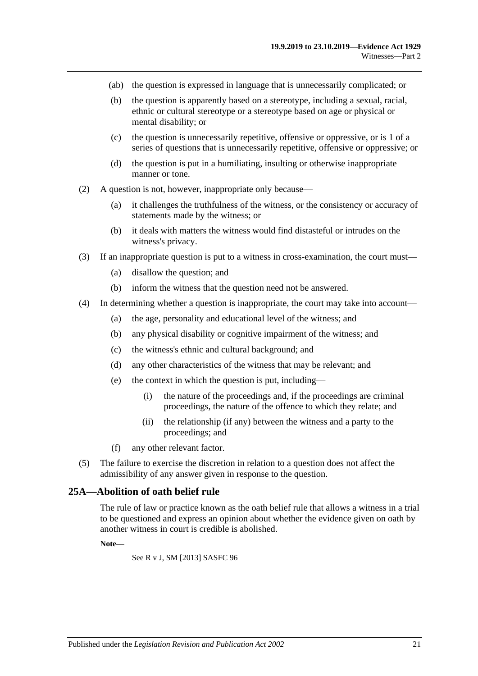- (ab) the question is expressed in language that is unnecessarily complicated; or
- (b) the question is apparently based on a stereotype, including a sexual, racial, ethnic or cultural stereotype or a stereotype based on age or physical or mental disability; or
- (c) the question is unnecessarily repetitive, offensive or oppressive, or is 1 of a series of questions that is unnecessarily repetitive, offensive or oppressive; or
- (d) the question is put in a humiliating, insulting or otherwise inappropriate manner or tone.
- (2) A question is not, however, inappropriate only because—
	- (a) it challenges the truthfulness of the witness, or the consistency or accuracy of statements made by the witness; or
	- (b) it deals with matters the witness would find distasteful or intrudes on the witness's privacy.
- (3) If an inappropriate question is put to a witness in cross-examination, the court must—
	- (a) disallow the question; and
	- (b) inform the witness that the question need not be answered.
- (4) In determining whether a question is inappropriate, the court may take into account—
	- (a) the age, personality and educational level of the witness; and
	- (b) any physical disability or cognitive impairment of the witness; and
	- (c) the witness's ethnic and cultural background; and
	- (d) any other characteristics of the witness that may be relevant; and
	- (e) the context in which the question is put, including—
		- (i) the nature of the proceedings and, if the proceedings are criminal proceedings, the nature of the offence to which they relate; and
		- (ii) the relationship (if any) between the witness and a party to the proceedings; and
	- (f) any other relevant factor.
- (5) The failure to exercise the discretion in relation to a question does not affect the admissibility of any answer given in response to the question.

#### <span id="page-30-0"></span>**25A—Abolition of oath belief rule**

The rule of law or practice known as the oath belief rule that allows a witness in a trial to be questioned and express an opinion about whether the evidence given on oath by another witness in court is credible is abolished.

#### **Note—**

See R v J, SM [2013] SASFC 96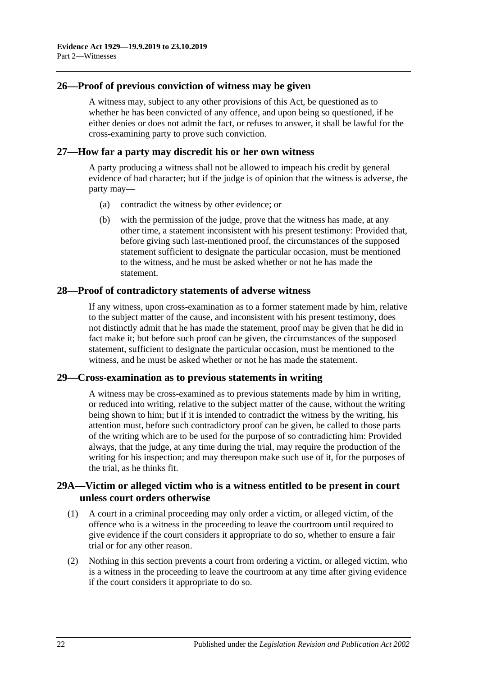## <span id="page-31-0"></span>**26—Proof of previous conviction of witness may be given**

A witness may, subject to any other provisions of this Act, be questioned as to whether he has been convicted of any offence, and upon being so questioned, if he either denies or does not admit the fact, or refuses to answer, it shall be lawful for the cross-examining party to prove such conviction.

#### <span id="page-31-1"></span>**27—How far a party may discredit his or her own witness**

A party producing a witness shall not be allowed to impeach his credit by general evidence of bad character; but if the judge is of opinion that the witness is adverse, the party may—

- (a) contradict the witness by other evidence; or
- (b) with the permission of the judge, prove that the witness has made, at any other time, a statement inconsistent with his present testimony: Provided that, before giving such last-mentioned proof, the circumstances of the supposed statement sufficient to designate the particular occasion, must be mentioned to the witness, and he must be asked whether or not he has made the statement.

## <span id="page-31-2"></span>**28—Proof of contradictory statements of adverse witness**

If any witness, upon cross-examination as to a former statement made by him, relative to the subject matter of the cause, and inconsistent with his present testimony, does not distinctly admit that he has made the statement, proof may be given that he did in fact make it; but before such proof can be given, the circumstances of the supposed statement, sufficient to designate the particular occasion, must be mentioned to the witness, and he must be asked whether or not he has made the statement.

#### <span id="page-31-3"></span>**29—Cross-examination as to previous statements in writing**

A witness may be cross-examined as to previous statements made by him in writing, or reduced into writing, relative to the subject matter of the cause, without the writing being shown to him; but if it is intended to contradict the witness by the writing, his attention must, before such contradictory proof can be given, be called to those parts of the writing which are to be used for the purpose of so contradicting him: Provided always, that the judge, at any time during the trial, may require the production of the writing for his inspection; and may thereupon make such use of it, for the purposes of the trial, as he thinks fit.

## <span id="page-31-4"></span>**29A—Victim or alleged victim who is a witness entitled to be present in court unless court orders otherwise**

- (1) A court in a criminal proceeding may only order a victim, or alleged victim, of the offence who is a witness in the proceeding to leave the courtroom until required to give evidence if the court considers it appropriate to do so, whether to ensure a fair trial or for any other reason.
- (2) Nothing in this section prevents a court from ordering a victim, or alleged victim, who is a witness in the proceeding to leave the courtroom at any time after giving evidence if the court considers it appropriate to do so.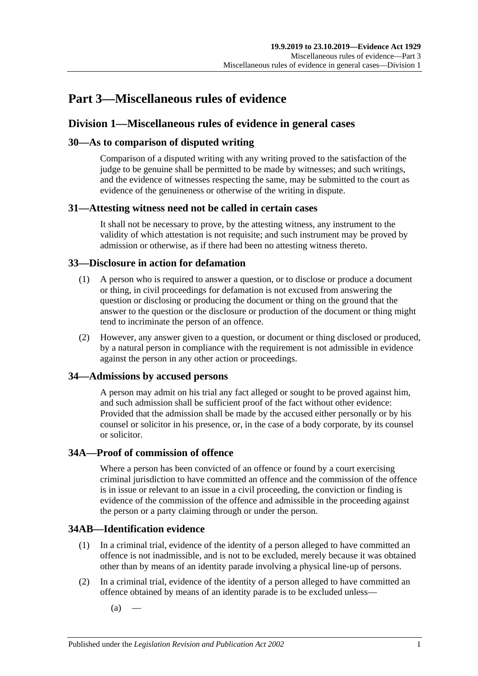## <span id="page-32-0"></span>**Part 3—Miscellaneous rules of evidence**

## <span id="page-32-1"></span>**Division 1—Miscellaneous rules of evidence in general cases**

## <span id="page-32-2"></span>**30—As to comparison of disputed writing**

Comparison of a disputed writing with any writing proved to the satisfaction of the judge to be genuine shall be permitted to be made by witnesses; and such writings, and the evidence of witnesses respecting the same, may be submitted to the court as evidence of the genuineness or otherwise of the writing in dispute.

## <span id="page-32-3"></span>**31—Attesting witness need not be called in certain cases**

It shall not be necessary to prove, by the attesting witness, any instrument to the validity of which attestation is not requisite; and such instrument may be proved by admission or otherwise, as if there had been no attesting witness thereto.

## <span id="page-32-4"></span>**33—Disclosure in action for defamation**

- (1) A person who is required to answer a question, or to disclose or produce a document or thing, in civil proceedings for defamation is not excused from answering the question or disclosing or producing the document or thing on the ground that the answer to the question or the disclosure or production of the document or thing might tend to incriminate the person of an offence.
- (2) However, any answer given to a question, or document or thing disclosed or produced, by a natural person in compliance with the requirement is not admissible in evidence against the person in any other action or proceedings.

## <span id="page-32-5"></span>**34—Admissions by accused persons**

A person may admit on his trial any fact alleged or sought to be proved against him, and such admission shall be sufficient proof of the fact without other evidence: Provided that the admission shall be made by the accused either personally or by his counsel or solicitor in his presence, or, in the case of a body corporate, by its counsel or solicitor.

## <span id="page-32-6"></span>**34A—Proof of commission of offence**

Where a person has been convicted of an offence or found by a court exercising criminal jurisdiction to have committed an offence and the commission of the offence is in issue or relevant to an issue in a civil proceeding, the conviction or finding is evidence of the commission of the offence and admissible in the proceeding against the person or a party claiming through or under the person.

## <span id="page-32-7"></span>**34AB—Identification evidence**

- (1) In a criminal trial, evidence of the identity of a person alleged to have committed an offence is not inadmissible, and is not to be excluded, merely because it was obtained other than by means of an identity parade involving a physical line-up of persons.
- <span id="page-32-8"></span>(2) In a criminal trial, evidence of the identity of a person alleged to have committed an offence obtained by means of an identity parade is to be excluded unless—
	- $(a)$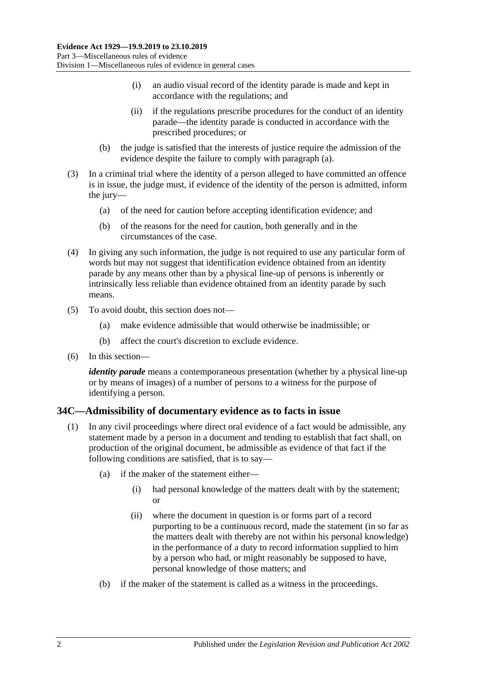- (i) an audio visual record of the identity parade is made and kept in accordance with the regulations; and
- (ii) if the regulations prescribe procedures for the conduct of an identity parade—the identity parade is conducted in accordance with the prescribed procedures; or
- (b) the judge is satisfied that the interests of justice require the admission of the evidence despite the failure to comply with [paragraph](#page-32-8) (a).
- (3) In a criminal trial where the identity of a person alleged to have committed an offence is in issue, the judge must, if evidence of the identity of the person is admitted, inform the jury—
	- (a) of the need for caution before accepting identification evidence; and
	- (b) of the reasons for the need for caution, both generally and in the circumstances of the case.
- (4) In giving any such information, the judge is not required to use any particular form of words but may not suggest that identification evidence obtained from an identity parade by any means other than by a physical line-up of persons is inherently or intrinsically less reliable than evidence obtained from an identity parade by such means.
- (5) To avoid doubt, this section does not—
	- (a) make evidence admissible that would otherwise be inadmissible; or
	- (b) affect the court's discretion to exclude evidence.
- (6) In this section—

*identity parade* means a contemporaneous presentation (whether by a physical line-up or by means of images) of a number of persons to a witness for the purpose of identifying a person.

## <span id="page-33-1"></span><span id="page-33-0"></span>**34C—Admissibility of documentary evidence as to facts in issue**

- (1) In any civil proceedings where direct oral evidence of a fact would be admissible, any statement made by a person in a document and tending to establish that fact shall, on production of the original document, be admissible as evidence of that fact if the following conditions are satisfied, that is to say—
	- (a) if the maker of the statement either—
		- (i) had personal knowledge of the matters dealt with by the statement; or
		- (ii) where the document in question is or forms part of a record purporting to be a continuous record, made the statement (in so far as the matters dealt with thereby are not within his personal knowledge) in the performance of a duty to record information supplied to him by a person who had, or might reasonably be supposed to have, personal knowledge of those matters; and
	- (b) if the maker of the statement is called as a witness in the proceedings.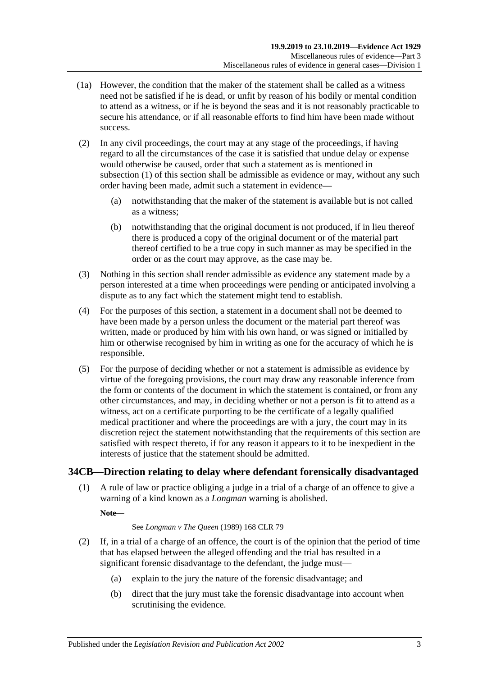- (1a) However, the condition that the maker of the statement shall be called as a witness need not be satisfied if he is dead, or unfit by reason of his bodily or mental condition to attend as a witness, or if he is beyond the seas and it is not reasonably practicable to secure his attendance, or if all reasonable efforts to find him have been made without success.
- (2) In any civil proceedings, the court may at any stage of the proceedings, if having regard to all the circumstances of the case it is satisfied that undue delay or expense would otherwise be caused, order that such a statement as is mentioned in [subsection](#page-33-1) (1) of this section shall be admissible as evidence or may, without any such order having been made, admit such a statement in evidence—
	- (a) notwithstanding that the maker of the statement is available but is not called as a witness;
	- (b) notwithstanding that the original document is not produced, if in lieu thereof there is produced a copy of the original document or of the material part thereof certified to be a true copy in such manner as may be specified in the order or as the court may approve, as the case may be.
- (3) Nothing in this section shall render admissible as evidence any statement made by a person interested at a time when proceedings were pending or anticipated involving a dispute as to any fact which the statement might tend to establish.
- (4) For the purposes of this section, a statement in a document shall not be deemed to have been made by a person unless the document or the material part thereof was written, made or produced by him with his own hand, or was signed or initialled by him or otherwise recognised by him in writing as one for the accuracy of which he is responsible.
- (5) For the purpose of deciding whether or not a statement is admissible as evidence by virtue of the foregoing provisions, the court may draw any reasonable inference from the form or contents of the document in which the statement is contained, or from any other circumstances, and may, in deciding whether or not a person is fit to attend as a witness, act on a certificate purporting to be the certificate of a legally qualified medical practitioner and where the proceedings are with a jury, the court may in its discretion reject the statement notwithstanding that the requirements of this section are satisfied with respect thereto, if for any reason it appears to it to be inexpedient in the interests of justice that the statement should be admitted.

## <span id="page-34-0"></span>**34CB—Direction relating to delay where defendant forensically disadvantaged**

(1) A rule of law or practice obliging a judge in a trial of a charge of an offence to give a warning of a kind known as a *Longman* warning is abolished.

**Note—**

#### See *Longman v The Queen* (1989) 168 CLR 79

- <span id="page-34-1"></span>(2) If, in a trial of a charge of an offence, the court is of the opinion that the period of time that has elapsed between the alleged offending and the trial has resulted in a significant forensic disadvantage to the defendant, the judge must—
	- (a) explain to the jury the nature of the forensic disadvantage; and
	- (b) direct that the jury must take the forensic disadvantage into account when scrutinising the evidence.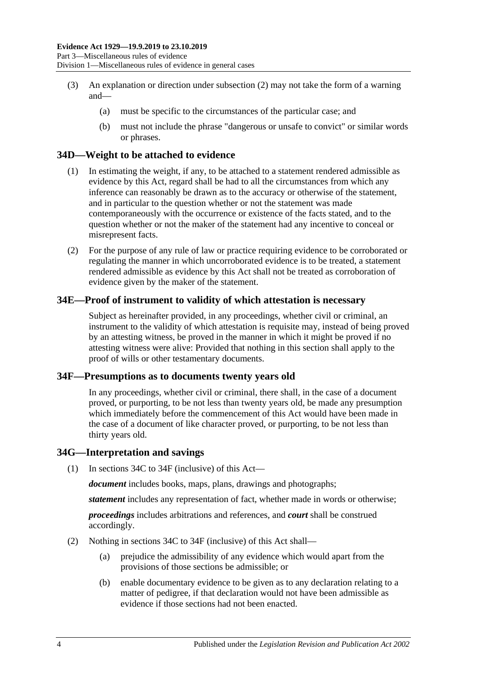- (3) An explanation or direction under [subsection](#page-34-1) (2) may not take the form of a warning and—
	- (a) must be specific to the circumstances of the particular case; and
	- (b) must not include the phrase "dangerous or unsafe to convict" or similar words or phrases.

## <span id="page-35-0"></span>**34D—Weight to be attached to evidence**

- (1) In estimating the weight, if any, to be attached to a statement rendered admissible as evidence by this Act, regard shall be had to all the circumstances from which any inference can reasonably be drawn as to the accuracy or otherwise of the statement, and in particular to the question whether or not the statement was made contemporaneously with the occurrence or existence of the facts stated, and to the question whether or not the maker of the statement had any incentive to conceal or misrepresent facts.
- (2) For the purpose of any rule of law or practice requiring evidence to be corroborated or regulating the manner in which uncorroborated evidence is to be treated, a statement rendered admissible as evidence by this Act shall not be treated as corroboration of evidence given by the maker of the statement.

## <span id="page-35-1"></span>**34E—Proof of instrument to validity of which attestation is necessary**

Subject as hereinafter provided, in any proceedings, whether civil or criminal, an instrument to the validity of which attestation is requisite may, instead of being proved by an attesting witness, be proved in the manner in which it might be proved if no attesting witness were alive: Provided that nothing in this section shall apply to the proof of wills or other testamentary documents.

#### <span id="page-35-2"></span>**34F—Presumptions as to documents twenty years old**

In any proceedings, whether civil or criminal, there shall, in the case of a document proved, or purporting, to be not less than twenty years old, be made any presumption which immediately before the commencement of this Act would have been made in the case of a document of like character proved, or purporting, to be not less than thirty years old.

#### <span id="page-35-3"></span>**34G—Interpretation and savings**

(1) In [sections](#page-33-0) 34C to [34F](#page-35-2) (inclusive) of this Act—

*document* includes books, maps, plans, drawings and photographs;

*statement* includes any representation of fact, whether made in words or otherwise;

*proceedings* includes arbitrations and references, and *court* shall be construed accordingly.

- (2) Nothing in [sections](#page-33-0) 34C to [34F](#page-35-2) (inclusive) of this Act shall—
	- (a) prejudice the admissibility of any evidence which would apart from the provisions of those sections be admissible; or
	- (b) enable documentary evidence to be given as to any declaration relating to a matter of pedigree, if that declaration would not have been admissible as evidence if those sections had not been enacted.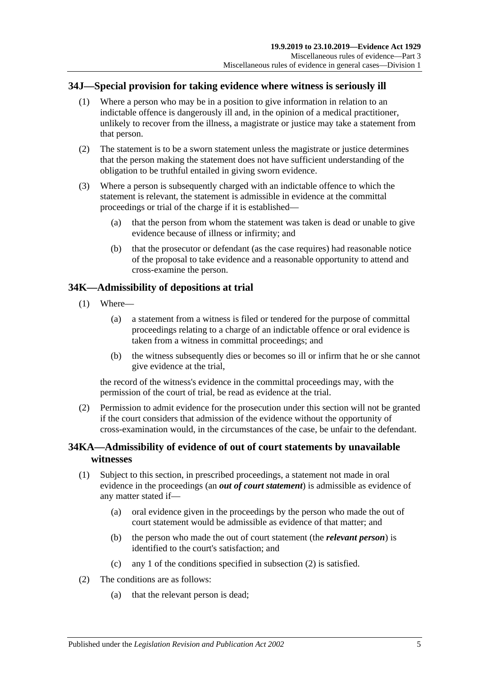# **34J—Special provision for taking evidence where witness is seriously ill**

- (1) Where a person who may be in a position to give information in relation to an indictable offence is dangerously ill and, in the opinion of a medical practitioner, unlikely to recover from the illness, a magistrate or justice may take a statement from that person.
- (2) The statement is to be a sworn statement unless the magistrate or justice determines that the person making the statement does not have sufficient understanding of the obligation to be truthful entailed in giving sworn evidence.
- (3) Where a person is subsequently charged with an indictable offence to which the statement is relevant, the statement is admissible in evidence at the committal proceedings or trial of the charge if it is established—
	- (a) that the person from whom the statement was taken is dead or unable to give evidence because of illness or infirmity; and
	- (b) that the prosecutor or defendant (as the case requires) had reasonable notice of the proposal to take evidence and a reasonable opportunity to attend and cross-examine the person.

# **34K—Admissibility of depositions at trial**

- (1) Where—
	- (a) a statement from a witness is filed or tendered for the purpose of committal proceedings relating to a charge of an indictable offence or oral evidence is taken from a witness in committal proceedings; and
	- (b) the witness subsequently dies or becomes so ill or infirm that he or she cannot give evidence at the trial,

the record of the witness's evidence in the committal proceedings may, with the permission of the court of trial, be read as evidence at the trial.

(2) Permission to admit evidence for the prosecution under this section will not be granted if the court considers that admission of the evidence without the opportunity of cross-examination would, in the circumstances of the case, be unfair to the defendant.

# **34KA—Admissibility of evidence of out of court statements by unavailable witnesses**

- (1) Subject to this section, in prescribed proceedings, a statement not made in oral evidence in the proceedings (an *out of court statement*) is admissible as evidence of any matter stated if—
	- (a) oral evidence given in the proceedings by the person who made the out of court statement would be admissible as evidence of that matter; and
	- (b) the person who made the out of court statement (the *relevant person*) is identified to the court's satisfaction; and
	- (c) any 1 of the conditions specified in [subsection](#page-36-0) (2) is satisfied.
- <span id="page-36-0"></span>(2) The conditions are as follows:
	- (a) that the relevant person is dead;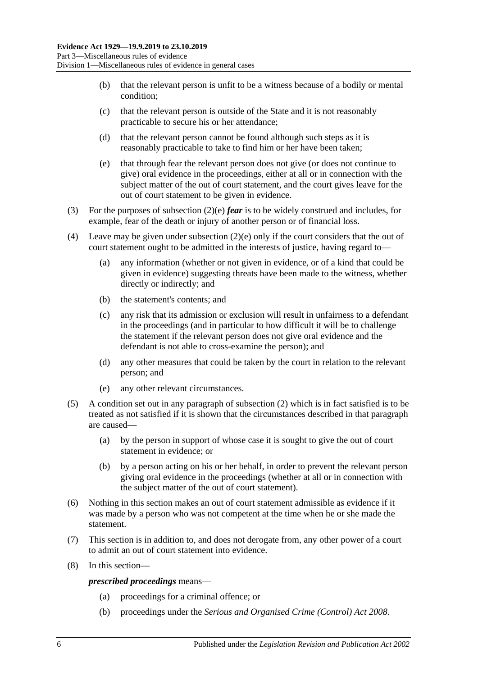- (b) that the relevant person is unfit to be a witness because of a bodily or mental condition;
- (c) that the relevant person is outside of the State and it is not reasonably practicable to secure his or her attendance;
- (d) that the relevant person cannot be found although such steps as it is reasonably practicable to take to find him or her have been taken;
- <span id="page-37-0"></span>(e) that through fear the relevant person does not give (or does not continue to give) oral evidence in the proceedings, either at all or in connection with the subject matter of the out of court statement, and the court gives leave for the out of court statement to be given in evidence.
- (3) For the purposes of [subsection](#page-37-0) (2)(e) *fear* is to be widely construed and includes, for example, fear of the death or injury of another person or of financial loss.
- (4) Leave may be given under [subsection](#page-37-0) (2)(e) only if the court considers that the out of court statement ought to be admitted in the interests of justice, having regard to—
	- (a) any information (whether or not given in evidence, or of a kind that could be given in evidence) suggesting threats have been made to the witness, whether directly or indirectly; and
	- (b) the statement's contents; and
	- (c) any risk that its admission or exclusion will result in unfairness to a defendant in the proceedings (and in particular to how difficult it will be to challenge the statement if the relevant person does not give oral evidence and the defendant is not able to cross-examine the person); and
	- (d) any other measures that could be taken by the court in relation to the relevant person; and
	- (e) any other relevant circumstances.
- (5) A condition set out in any paragraph of [subsection](#page-36-0) (2) which is in fact satisfied is to be treated as not satisfied if it is shown that the circumstances described in that paragraph are caused—
	- (a) by the person in support of whose case it is sought to give the out of court statement in evidence; or
	- (b) by a person acting on his or her behalf, in order to prevent the relevant person giving oral evidence in the proceedings (whether at all or in connection with the subject matter of the out of court statement).
- (6) Nothing in this section makes an out of court statement admissible as evidence if it was made by a person who was not competent at the time when he or she made the statement.
- (7) This section is in addition to, and does not derogate from, any other power of a court to admit an out of court statement into evidence.
- (8) In this section—

*prescribed proceedings* means—

- (a) proceedings for a criminal offence; or
- (b) proceedings under the *[Serious and Organised Crime \(Control\) Act](http://www.legislation.sa.gov.au/index.aspx?action=legref&type=act&legtitle=Serious%20and%20Organised%20Crime%20(Control)%20Act%202008) 2008*.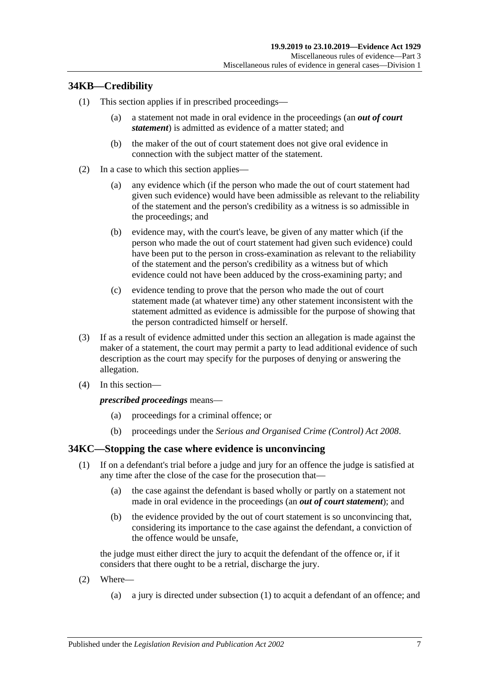# **34KB—Credibility**

- (1) This section applies if in prescribed proceedings—
	- (a) a statement not made in oral evidence in the proceedings (an *out of court statement*) is admitted as evidence of a matter stated; and
	- (b) the maker of the out of court statement does not give oral evidence in connection with the subject matter of the statement.
- (2) In a case to which this section applies—
	- (a) any evidence which (if the person who made the out of court statement had given such evidence) would have been admissible as relevant to the reliability of the statement and the person's credibility as a witness is so admissible in the proceedings; and
	- (b) evidence may, with the court's leave, be given of any matter which (if the person who made the out of court statement had given such evidence) could have been put to the person in cross-examination as relevant to the reliability of the statement and the person's credibility as a witness but of which evidence could not have been adduced by the cross-examining party; and
	- (c) evidence tending to prove that the person who made the out of court statement made (at whatever time) any other statement inconsistent with the statement admitted as evidence is admissible for the purpose of showing that the person contradicted himself or herself.
- (3) If as a result of evidence admitted under this section an allegation is made against the maker of a statement, the court may permit a party to lead additional evidence of such description as the court may specify for the purposes of denying or answering the allegation.
- (4) In this section—

#### *prescribed proceedings* means—

- (a) proceedings for a criminal offence; or
- (b) proceedings under the *[Serious and Organised Crime \(Control\) Act](http://www.legislation.sa.gov.au/index.aspx?action=legref&type=act&legtitle=Serious%20and%20Organised%20Crime%20(Control)%20Act%202008) 2008*.

## <span id="page-38-0"></span>**34KC—Stopping the case where evidence is unconvincing**

- (1) If on a defendant's trial before a judge and jury for an offence the judge is satisfied at any time after the close of the case for the prosecution that—
	- (a) the case against the defendant is based wholly or partly on a statement not made in oral evidence in the proceedings (an *out of court statement*); and
	- (b) the evidence provided by the out of court statement is so unconvincing that, considering its importance to the case against the defendant, a conviction of the offence would be unsafe,

the judge must either direct the jury to acquit the defendant of the offence or, if it considers that there ought to be a retrial, discharge the jury.

- (2) Where—
	- (a) a jury is directed under [subsection](#page-38-0) (1) to acquit a defendant of an offence; and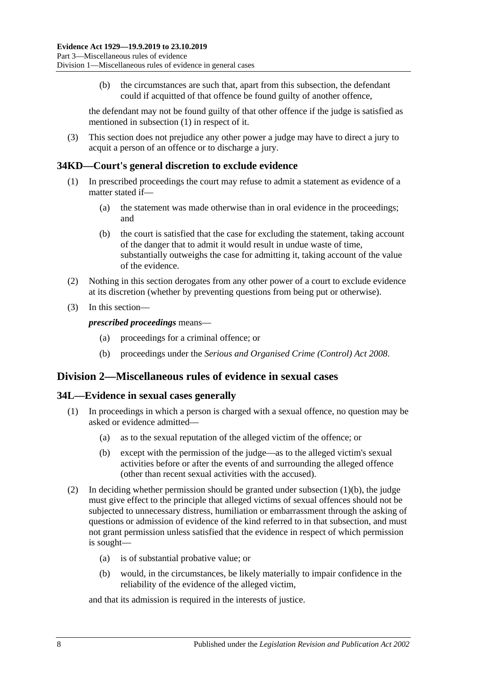(b) the circumstances are such that, apart from this subsection, the defendant could if acquitted of that offence be found guilty of another offence,

the defendant may not be found guilty of that other offence if the judge is satisfied as mentioned in [subsection](#page-38-0) (1) in respect of it.

(3) This section does not prejudice any other power a judge may have to direct a jury to acquit a person of an offence or to discharge a jury.

### **34KD—Court's general discretion to exclude evidence**

- (1) In prescribed proceedings the court may refuse to admit a statement as evidence of a matter stated if—
	- (a) the statement was made otherwise than in oral evidence in the proceedings; and
	- (b) the court is satisfied that the case for excluding the statement, taking account of the danger that to admit it would result in undue waste of time, substantially outweighs the case for admitting it, taking account of the value of the evidence.
- (2) Nothing in this section derogates from any other power of a court to exclude evidence at its discretion (whether by preventing questions from being put or otherwise).
- (3) In this section—

*prescribed proceedings* means—

- (a) proceedings for a criminal offence; or
- (b) proceedings under the *[Serious and Organised Crime \(Control\) Act](http://www.legislation.sa.gov.au/index.aspx?action=legref&type=act&legtitle=Serious%20and%20Organised%20Crime%20(Control)%20Act%202008) 2008*.

# **Division 2—Miscellaneous rules of evidence in sexual cases**

#### **34L—Evidence in sexual cases generally**

- <span id="page-39-0"></span>(1) In proceedings in which a person is charged with a sexual offence, no question may be asked or evidence admitted—
	- (a) as to the sexual reputation of the alleged victim of the offence; or
	- (b) except with the permission of the judge—as to the alleged victim's sexual activities before or after the events of and surrounding the alleged offence (other than recent sexual activities with the accused).
- (2) In deciding whether permission should be granted under [subsection](#page-39-0) (1)(b), the judge must give effect to the principle that alleged victims of sexual offences should not be subjected to unnecessary distress, humiliation or embarrassment through the asking of questions or admission of evidence of the kind referred to in that subsection, and must not grant permission unless satisfied that the evidence in respect of which permission is sought—
	- (a) is of substantial probative value; or
	- (b) would, in the circumstances, be likely materially to impair confidence in the reliability of the evidence of the alleged victim,

and that its admission is required in the interests of justice.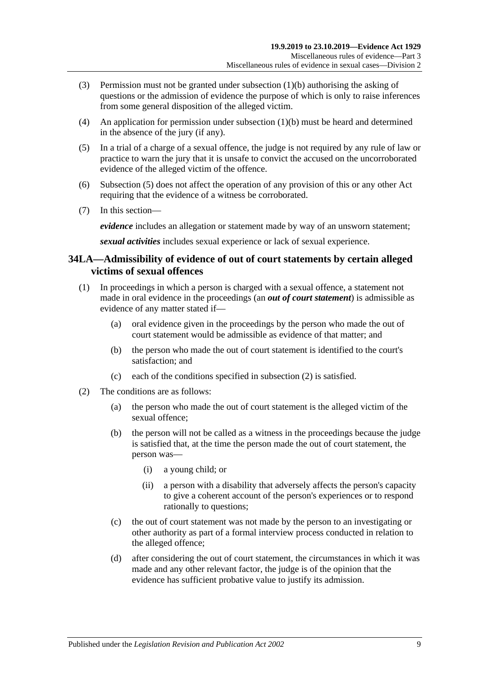- (3) Permission must not be granted under [subsection](#page-39-0) (1)(b) authorising the asking of questions or the admission of evidence the purpose of which is only to raise inferences from some general disposition of the alleged victim.
- (4) An application for permission under [subsection](#page-39-0) (1)(b) must be heard and determined in the absence of the jury (if any).
- <span id="page-40-0"></span>(5) In a trial of a charge of a sexual offence, the judge is not required by any rule of law or practice to warn the jury that it is unsafe to convict the accused on the uncorroborated evidence of the alleged victim of the offence.
- (6) [Subsection](#page-40-0) (5) does not affect the operation of any provision of this or any other Act requiring that the evidence of a witness be corroborated.
- (7) In this section—

*evidence* includes an allegation or statement made by way of an unsworn statement;

*sexual activities* includes sexual experience or lack of sexual experience.

# **34LA—Admissibility of evidence of out of court statements by certain alleged victims of sexual offences**

- (1) In proceedings in which a person is charged with a sexual offence, a statement not made in oral evidence in the proceedings (an *out of court statement*) is admissible as evidence of any matter stated if—
	- (a) oral evidence given in the proceedings by the person who made the out of court statement would be admissible as evidence of that matter; and
	- (b) the person who made the out of court statement is identified to the court's satisfaction; and
	- (c) each of the conditions specified in [subsection](#page-40-1) (2) is satisfied.
- <span id="page-40-2"></span><span id="page-40-1"></span>(2) The conditions are as follows:
	- (a) the person who made the out of court statement is the alleged victim of the sexual offence;
	- (b) the person will not be called as a witness in the proceedings because the judge is satisfied that, at the time the person made the out of court statement, the person was—
		- (i) a young child; or
		- (ii) a person with a disability that adversely affects the person's capacity to give a coherent account of the person's experiences or to respond rationally to questions;
	- (c) the out of court statement was not made by the person to an investigating or other authority as part of a formal interview process conducted in relation to the alleged offence;
	- (d) after considering the out of court statement, the circumstances in which it was made and any other relevant factor, the judge is of the opinion that the evidence has sufficient probative value to justify its admission.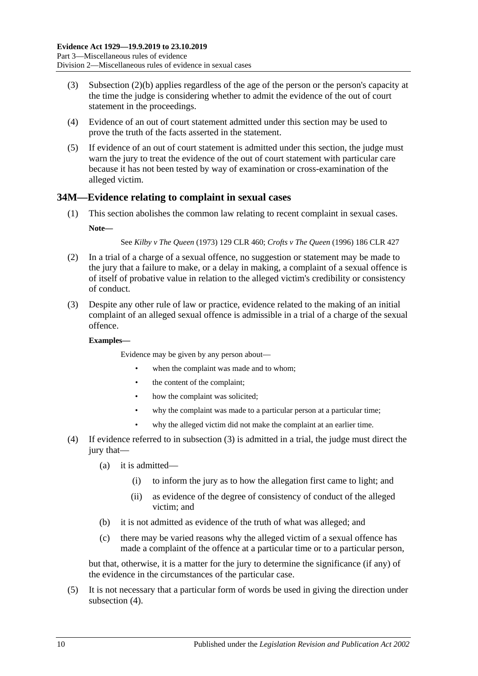- (3) [Subsection \(2\)\(b\)](#page-40-2) applies regardless of the age of the person or the person's capacity at the time the judge is considering whether to admit the evidence of the out of court statement in the proceedings.
- (4) Evidence of an out of court statement admitted under this section may be used to prove the truth of the facts asserted in the statement.
- (5) If evidence of an out of court statement is admitted under this section, the judge must warn the jury to treat the evidence of the out of court statement with particular care because it has not been tested by way of examination or cross-examination of the alleged victim.

## **34M—Evidence relating to complaint in sexual cases**

(1) This section abolishes the common law relating to recent complaint in sexual cases. **Note—**

See *Kilby v The Queen* (1973) 129 CLR 460; *Crofts v The Queen* (1996) 186 CLR 427

- (2) In a trial of a charge of a sexual offence, no suggestion or statement may be made to the jury that a failure to make, or a delay in making, a complaint of a sexual offence is of itself of probative value in relation to the alleged victim's credibility or consistency of conduct.
- <span id="page-41-0"></span>(3) Despite any other rule of law or practice, evidence related to the making of an initial complaint of an alleged sexual offence is admissible in a trial of a charge of the sexual offence.

#### **Examples—**

Evidence may be given by any person about—

- when the complaint was made and to whom:
- the content of the complaint;
- how the complaint was solicited;
- why the complaint was made to a particular person at a particular time:
- why the alleged victim did not make the complaint at an earlier time.
- <span id="page-41-1"></span>(4) If evidence referred to in [subsection](#page-41-0) (3) is admitted in a trial, the judge must direct the jury that—
	- (a) it is admitted—
		- (i) to inform the jury as to how the allegation first came to light; and
		- (ii) as evidence of the degree of consistency of conduct of the alleged victim; and
	- (b) it is not admitted as evidence of the truth of what was alleged; and
	- (c) there may be varied reasons why the alleged victim of a sexual offence has made a complaint of the offence at a particular time or to a particular person,

but that, otherwise, it is a matter for the jury to determine the significance (if any) of the evidence in the circumstances of the particular case.

(5) It is not necessary that a particular form of words be used in giving the direction under [subsection](#page-41-1)  $(4)$ .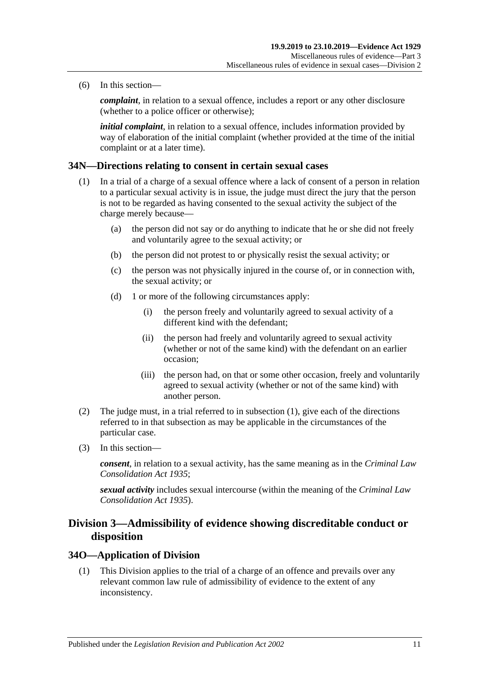(6) In this section—

*complaint*, in relation to a sexual offence, includes a report or any other disclosure (whether to a police officer or otherwise);

*initial complaint*, in relation to a sexual offence, includes information provided by way of elaboration of the initial complaint (whether provided at the time of the initial complaint or at a later time).

#### <span id="page-42-0"></span>**34N—Directions relating to consent in certain sexual cases**

- (1) In a trial of a charge of a sexual offence where a lack of consent of a person in relation to a particular sexual activity is in issue, the judge must direct the jury that the person is not to be regarded as having consented to the sexual activity the subject of the charge merely because—
	- (a) the person did not say or do anything to indicate that he or she did not freely and voluntarily agree to the sexual activity; or
	- (b) the person did not protest to or physically resist the sexual activity; or
	- (c) the person was not physically injured in the course of, or in connection with, the sexual activity; or
	- (d) 1 or more of the following circumstances apply:
		- (i) the person freely and voluntarily agreed to sexual activity of a different kind with the defendant;
		- (ii) the person had freely and voluntarily agreed to sexual activity (whether or not of the same kind) with the defendant on an earlier occasion;
		- (iii) the person had, on that or some other occasion, freely and voluntarily agreed to sexual activity (whether or not of the same kind) with another person.
- (2) The judge must, in a trial referred to in [subsection](#page-42-0) (1), give each of the directions referred to in that subsection as may be applicable in the circumstances of the particular case.
- (3) In this section—

*consent*, in relation to a sexual activity, has the same meaning as in the *[Criminal Law](http://www.legislation.sa.gov.au/index.aspx?action=legref&type=act&legtitle=Criminal%20Law%20Consolidation%20Act%201935)  [Consolidation Act](http://www.legislation.sa.gov.au/index.aspx?action=legref&type=act&legtitle=Criminal%20Law%20Consolidation%20Act%201935) 1935*;

*sexual activity* includes sexual intercourse (within the meaning of the *[Criminal Law](http://www.legislation.sa.gov.au/index.aspx?action=legref&type=act&legtitle=Criminal%20Law%20Consolidation%20Act%201935)  [Consolidation Act](http://www.legislation.sa.gov.au/index.aspx?action=legref&type=act&legtitle=Criminal%20Law%20Consolidation%20Act%201935) 1935*).

# **Division 3—Admissibility of evidence showing discreditable conduct or disposition**

#### **34O—Application of Division**

(1) This Division applies to the trial of a charge of an offence and prevails over any relevant common law rule of admissibility of evidence to the extent of any inconsistency.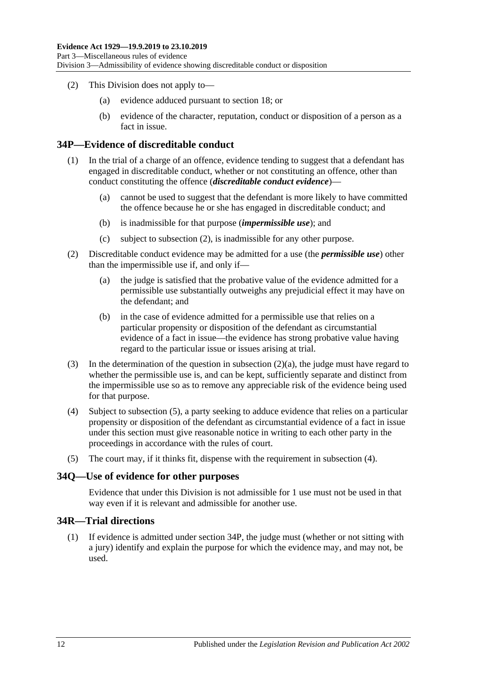- (2) This Division does not apply to—
	- (a) evidence adduced pursuant to [section](#page-26-0) 18; or
	- (b) evidence of the character, reputation, conduct or disposition of a person as a fact in issue.

### <span id="page-43-4"></span>**34P—Evidence of discreditable conduct**

- (1) In the trial of a charge of an offence, evidence tending to suggest that a defendant has engaged in discreditable conduct, whether or not constituting an offence, other than conduct constituting the offence (*discreditable conduct evidence*)—
	- (a) cannot be used to suggest that the defendant is more likely to have committed the offence because he or she has engaged in discreditable conduct; and
	- (b) is inadmissible for that purpose (*impermissible use*); and
	- (c) subject to [subsection](#page-43-0) (2), is inadmissible for any other purpose.
- <span id="page-43-1"></span><span id="page-43-0"></span>(2) Discreditable conduct evidence may be admitted for a use (the *permissible use*) other than the impermissible use if, and only if—
	- (a) the judge is satisfied that the probative value of the evidence admitted for a permissible use substantially outweighs any prejudicial effect it may have on the defendant; and
	- (b) in the case of evidence admitted for a permissible use that relies on a particular propensity or disposition of the defendant as circumstantial evidence of a fact in issue—the evidence has strong probative value having regard to the particular issue or issues arising at trial.
- (3) In the determination of the question in [subsection](#page-43-1) (2)(a), the judge must have regard to whether the permissible use is, and can be kept, sufficiently separate and distinct from the impermissible use so as to remove any appreciable risk of the evidence being used for that purpose.
- <span id="page-43-3"></span>(4) Subject to [subsection](#page-43-2) (5), a party seeking to adduce evidence that relies on a particular propensity or disposition of the defendant as circumstantial evidence of a fact in issue under this section must give reasonable notice in writing to each other party in the proceedings in accordance with the rules of court.
- <span id="page-43-2"></span>(5) The court may, if it thinks fit, dispense with the requirement in [subsection](#page-43-3) (4).

#### **34Q—Use of evidence for other purposes**

Evidence that under this Division is not admissible for 1 use must not be used in that way even if it is relevant and admissible for another use.

#### **34R—Trial directions**

(1) If evidence is admitted under [section](#page-43-4) 34P, the judge must (whether or not sitting with a jury) identify and explain the purpose for which the evidence may, and may not, be used.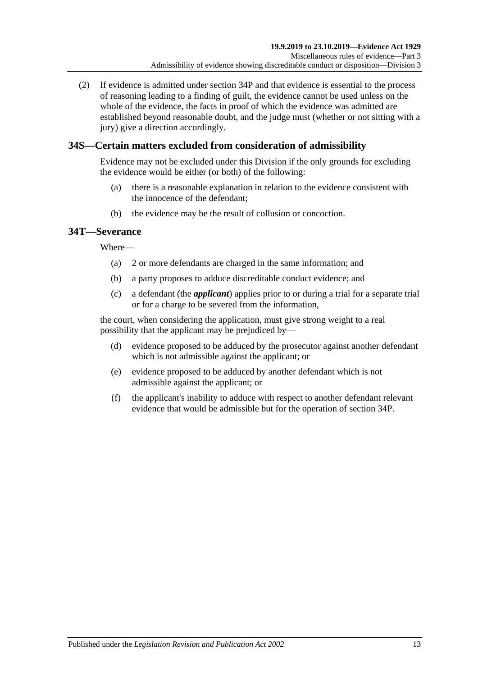(2) If evidence is admitted under [section](#page-43-4) 34P and that evidence is essential to the process of reasoning leading to a finding of guilt, the evidence cannot be used unless on the whole of the evidence, the facts in proof of which the evidence was admitted are established beyond reasonable doubt, and the judge must (whether or not sitting with a jury) give a direction accordingly.

# **34S—Certain matters excluded from consideration of admissibility**

Evidence may not be excluded under this Division if the only grounds for excluding the evidence would be either (or both) of the following:

- (a) there is a reasonable explanation in relation to the evidence consistent with the innocence of the defendant;
- (b) the evidence may be the result of collusion or concoction.

# **34T—Severance**

Where—

- (a) 2 or more defendants are charged in the same information; and
- (b) a party proposes to adduce discreditable conduct evidence; and
- (c) a defendant (the *applicant*) applies prior to or during a trial for a separate trial or for a charge to be severed from the information,

the court, when considering the application, must give strong weight to a real possibility that the applicant may be prejudiced by—

- (d) evidence proposed to be adduced by the prosecutor against another defendant which is not admissible against the applicant; or
- (e) evidence proposed to be adduced by another defendant which is not admissible against the applicant; or
- (f) the applicant's inability to adduce with respect to another defendant relevant evidence that would be admissible but for the operation of [section](#page-43-4) 34P.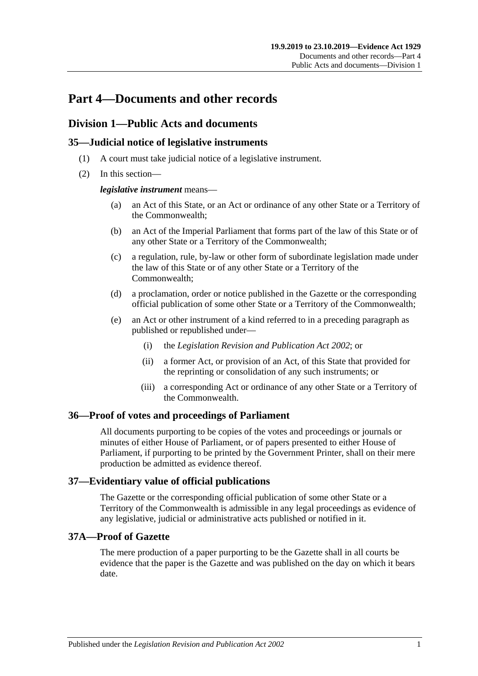# **Part 4—Documents and other records**

# **Division 1—Public Acts and documents**

# **35—Judicial notice of legislative instruments**

- (1) A court must take judicial notice of a legislative instrument.
- (2) In this section—

### *legislative instrument* means—

- (a) an Act of this State, or an Act or ordinance of any other State or a Territory of the Commonwealth;
- (b) an Act of the Imperial Parliament that forms part of the law of this State or of any other State or a Territory of the Commonwealth;
- (c) a regulation, rule, by-law or other form of subordinate legislation made under the law of this State or of any other State or a Territory of the Commonwealth;
- (d) a proclamation, order or notice published in the Gazette or the corresponding official publication of some other State or a Territory of the Commonwealth;
- (e) an Act or other instrument of a kind referred to in a preceding paragraph as published or republished under—
	- (i) the *[Legislation Revision and Publication Act](http://www.legislation.sa.gov.au/index.aspx?action=legref&type=act&legtitle=Legislation%20Revision%20and%20Publication%20Act%202002) 2002*; or
	- (ii) a former Act, or provision of an Act, of this State that provided for the reprinting or consolidation of any such instruments; or
	- (iii) a corresponding Act or ordinance of any other State or a Territory of the Commonwealth.

## **36—Proof of votes and proceedings of Parliament**

All documents purporting to be copies of the votes and proceedings or journals or minutes of either House of Parliament, or of papers presented to either House of Parliament, if purporting to be printed by the Government Printer, shall on their mere production be admitted as evidence thereof.

## **37—Evidentiary value of official publications**

The Gazette or the corresponding official publication of some other State or a Territory of the Commonwealth is admissible in any legal proceedings as evidence of any legislative, judicial or administrative acts published or notified in it.

## **37A—Proof of Gazette**

The mere production of a paper purporting to be the Gazette shall in all courts be evidence that the paper is the Gazette and was published on the day on which it bears date.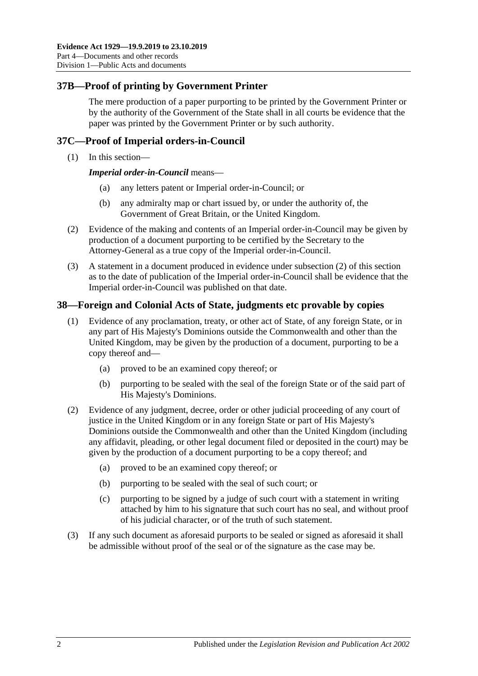# **37B—Proof of printing by Government Printer**

The mere production of a paper purporting to be printed by the Government Printer or by the authority of the Government of the State shall in all courts be evidence that the paper was printed by the Government Printer or by such authority.

## **37C—Proof of Imperial orders-in-Council**

(1) In this section—

*Imperial order-in-Council* means—

- (a) any letters patent or Imperial order-in-Council; or
- (b) any admiralty map or chart issued by, or under the authority of, the Government of Great Britain, or the United Kingdom.
- <span id="page-47-0"></span>(2) Evidence of the making and contents of an Imperial order-in-Council may be given by production of a document purporting to be certified by the Secretary to the Attorney-General as a true copy of the Imperial order-in-Council.
- (3) A statement in a document produced in evidence under [subsection](#page-47-0) (2) of this section as to the date of publication of the Imperial order-in-Council shall be evidence that the Imperial order-in-Council was published on that date.

### **38—Foreign and Colonial Acts of State, judgments etc provable by copies**

- (1) Evidence of any proclamation, treaty, or other act of State, of any foreign State, or in any part of His Majesty's Dominions outside the Commonwealth and other than the United Kingdom, may be given by the production of a document, purporting to be a copy thereof and—
	- (a) proved to be an examined copy thereof; or
	- (b) purporting to be sealed with the seal of the foreign State or of the said part of His Majesty's Dominions.
- (2) Evidence of any judgment, decree, order or other judicial proceeding of any court of justice in the United Kingdom or in any foreign State or part of His Majesty's Dominions outside the Commonwealth and other than the United Kingdom (including any affidavit, pleading, or other legal document filed or deposited in the court) may be given by the production of a document purporting to be a copy thereof; and
	- (a) proved to be an examined copy thereof; or
	- (b) purporting to be sealed with the seal of such court; or
	- (c) purporting to be signed by a judge of such court with a statement in writing attached by him to his signature that such court has no seal, and without proof of his judicial character, or of the truth of such statement.
- (3) If any such document as aforesaid purports to be sealed or signed as aforesaid it shall be admissible without proof of the seal or of the signature as the case may be.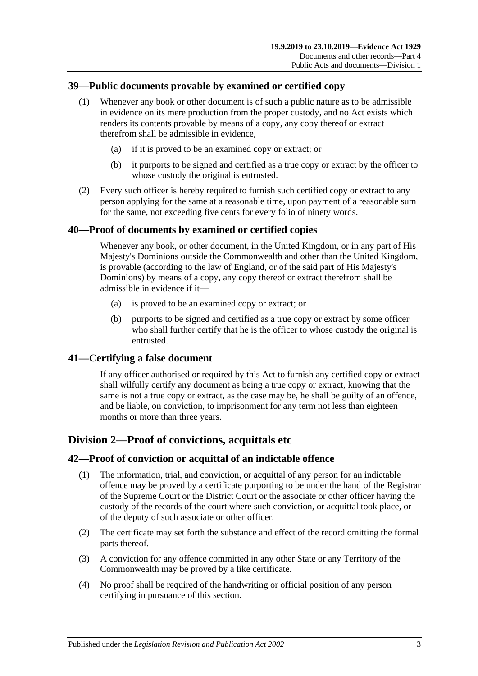# **39—Public documents provable by examined or certified copy**

- (1) Whenever any book or other document is of such a public nature as to be admissible in evidence on its mere production from the proper custody, and no Act exists which renders its contents provable by means of a copy, any copy thereof or extract therefrom shall be admissible in evidence,
	- (a) if it is proved to be an examined copy or extract; or
	- (b) it purports to be signed and certified as a true copy or extract by the officer to whose custody the original is entrusted.
- (2) Every such officer is hereby required to furnish such certified copy or extract to any person applying for the same at a reasonable time, upon payment of a reasonable sum for the same, not exceeding five cents for every folio of ninety words.

# **40—Proof of documents by examined or certified copies**

Whenever any book, or other document, in the United Kingdom, or in any part of His Majesty's Dominions outside the Commonwealth and other than the United Kingdom, is provable (according to the law of England, or of the said part of His Majesty's Dominions) by means of a copy, any copy thereof or extract therefrom shall be admissible in evidence if it—

- (a) is proved to be an examined copy or extract; or
- (b) purports to be signed and certified as a true copy or extract by some officer who shall further certify that he is the officer to whose custody the original is entrusted.

## **41—Certifying a false document**

If any officer authorised or required by this Act to furnish any certified copy or extract shall wilfully certify any document as being a true copy or extract, knowing that the same is not a true copy or extract, as the case may be, he shall be guilty of an offence, and be liable, on conviction, to imprisonment for any term not less than eighteen months or more than three years.

# **Division 2—Proof of convictions, acquittals etc**

## **42—Proof of conviction or acquittal of an indictable offence**

- (1) The information, trial, and conviction, or acquittal of any person for an indictable offence may be proved by a certificate purporting to be under the hand of the Registrar of the Supreme Court or the District Court or the associate or other officer having the custody of the records of the court where such conviction, or acquittal took place, or of the deputy of such associate or other officer.
- (2) The certificate may set forth the substance and effect of the record omitting the formal parts thereof.
- (3) A conviction for any offence committed in any other State or any Territory of the Commonwealth may be proved by a like certificate.
- (4) No proof shall be required of the handwriting or official position of any person certifying in pursuance of this section.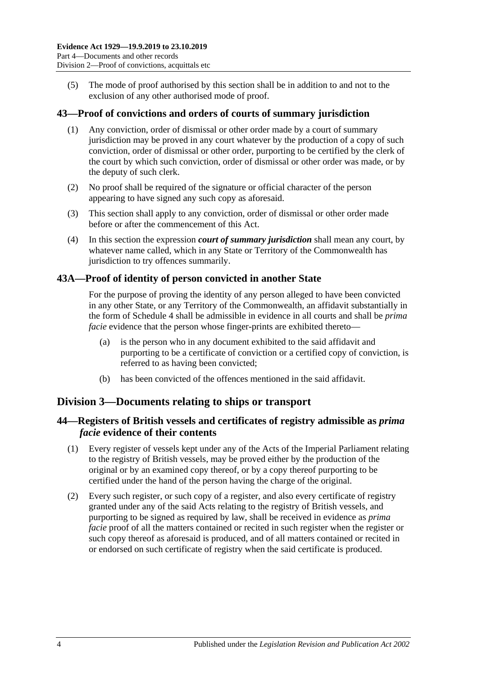(5) The mode of proof authorised by this section shall be in addition to and not to the exclusion of any other authorised mode of proof.

### **43—Proof of convictions and orders of courts of summary jurisdiction**

- (1) Any conviction, order of dismissal or other order made by a court of summary jurisdiction may be proved in any court whatever by the production of a copy of such conviction, order of dismissal or other order, purporting to be certified by the clerk of the court by which such conviction, order of dismissal or other order was made, or by the deputy of such clerk.
- (2) No proof shall be required of the signature or official character of the person appearing to have signed any such copy as aforesaid.
- (3) This section shall apply to any conviction, order of dismissal or other order made before or after the commencement of this Act.
- (4) In this section the expression *court of summary jurisdiction* shall mean any court, by whatever name called, which in any State or Territory of the Commonwealth has jurisdiction to try offences summarily.

### **43A—Proof of identity of person convicted in another State**

For the purpose of proving the identity of any person alleged to have been convicted in any other State, or any Territory of the Commonwealth, an affidavit substantially in the form of [Schedule 4](#page-97-0) shall be admissible in evidence in all courts and shall be *prima facie* evidence that the person whose finger-prints are exhibited thereto—

- (a) is the person who in any document exhibited to the said affidavit and purporting to be a certificate of conviction or a certified copy of conviction, is referred to as having been convicted;
- (b) has been convicted of the offences mentioned in the said affidavit.

## **Division 3—Documents relating to ships or transport**

## **44—Registers of British vessels and certificates of registry admissible as** *prima facie* **evidence of their contents**

- (1) Every register of vessels kept under any of the Acts of the Imperial Parliament relating to the registry of British vessels, may be proved either by the production of the original or by an examined copy thereof, or by a copy thereof purporting to be certified under the hand of the person having the charge of the original.
- (2) Every such register, or such copy of a register, and also every certificate of registry granted under any of the said Acts relating to the registry of British vessels, and purporting to be signed as required by law, shall be received in evidence as *prima facie* proof of all the matters contained or recited in such register when the register or such copy thereof as aforesaid is produced, and of all matters contained or recited in or endorsed on such certificate of registry when the said certificate is produced.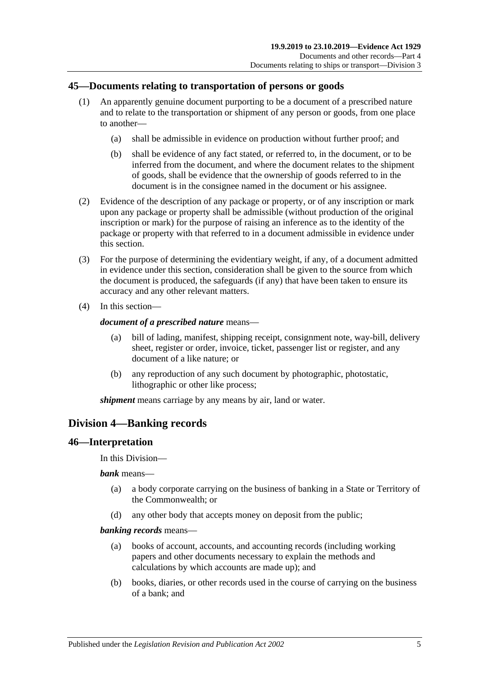# **45—Documents relating to transportation of persons or goods**

- (1) An apparently genuine document purporting to be a document of a prescribed nature and to relate to the transportation or shipment of any person or goods, from one place to another—
	- (a) shall be admissible in evidence on production without further proof; and
	- (b) shall be evidence of any fact stated, or referred to, in the document, or to be inferred from the document, and where the document relates to the shipment of goods, shall be evidence that the ownership of goods referred to in the document is in the consignee named in the document or his assignee.
- (2) Evidence of the description of any package or property, or of any inscription or mark upon any package or property shall be admissible (without production of the original inscription or mark) for the purpose of raising an inference as to the identity of the package or property with that referred to in a document admissible in evidence under this section.
- (3) For the purpose of determining the evidentiary weight, if any, of a document admitted in evidence under this section, consideration shall be given to the source from which the document is produced, the safeguards (if any) that have been taken to ensure its accuracy and any other relevant matters.
- (4) In this section—

### *document of a prescribed nature* means—

- (a) bill of lading, manifest, shipping receipt, consignment note, way-bill, delivery sheet, register or order, invoice, ticket, passenger list or register, and any document of a like nature; or
- (b) any reproduction of any such document by photographic, photostatic, lithographic or other like process;

*shipment* means carriage by any means by air, land or water.

# **Division 4—Banking records**

## **46—Interpretation**

In this Division—

*bank* means—

- (a) a body corporate carrying on the business of banking in a State or Territory of the Commonwealth; or
- (d) any other body that accepts money on deposit from the public;

#### *banking records* means—

- (a) books of account, accounts, and accounting records (including working papers and other documents necessary to explain the methods and calculations by which accounts are made up); and
- (b) books, diaries, or other records used in the course of carrying on the business of a bank; and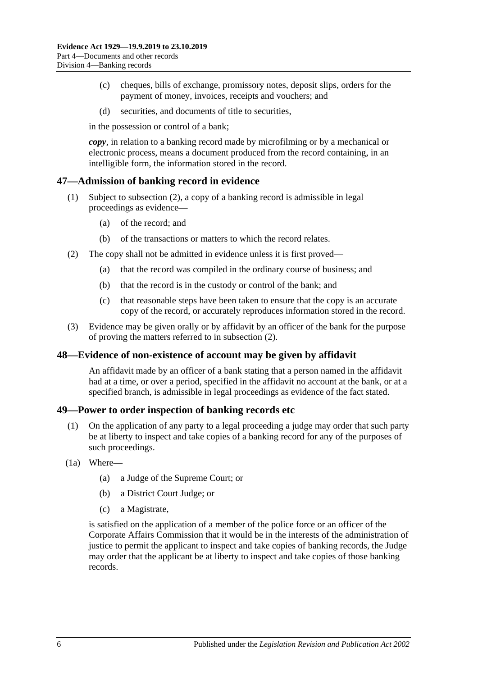- (c) cheques, bills of exchange, promissory notes, deposit slips, orders for the payment of money, invoices, receipts and vouchers; and
- (d) securities, and documents of title to securities,

in the possession or control of a bank;

*copy*, in relation to a banking record made by microfilming or by a mechanical or electronic process, means a document produced from the record containing, in an intelligible form, the information stored in the record.

### **47—Admission of banking record in evidence**

- (1) Subject to [subsection](#page-51-0) (2), a copy of a banking record is admissible in legal proceedings as evidence—
	- (a) of the record; and
	- (b) of the transactions or matters to which the record relates.
- <span id="page-51-0"></span>(2) The copy shall not be admitted in evidence unless it is first proved—
	- (a) that the record was compiled in the ordinary course of business; and
	- (b) that the record is in the custody or control of the bank; and
	- (c) that reasonable steps have been taken to ensure that the copy is an accurate copy of the record, or accurately reproduces information stored in the record.
- (3) Evidence may be given orally or by affidavit by an officer of the bank for the purpose of proving the matters referred to in [subsection](#page-51-0) (2).

#### **48—Evidence of non-existence of account may be given by affidavit**

An affidavit made by an officer of a bank stating that a person named in the affidavit had at a time, or over a period, specified in the affidavit no account at the bank, or at a specified branch, is admissible in legal proceedings as evidence of the fact stated.

#### **49—Power to order inspection of banking records etc**

- (1) On the application of any party to a legal proceeding a judge may order that such party be at liberty to inspect and take copies of a banking record for any of the purposes of such proceedings.
- <span id="page-51-1"></span>(1a) Where—
	- (a) a Judge of the Supreme Court; or
	- (b) a District Court Judge; or
	- (c) a Magistrate,

is satisfied on the application of a member of the police force or an officer of the Corporate Affairs Commission that it would be in the interests of the administration of justice to permit the applicant to inspect and take copies of banking records, the Judge may order that the applicant be at liberty to inspect and take copies of those banking records.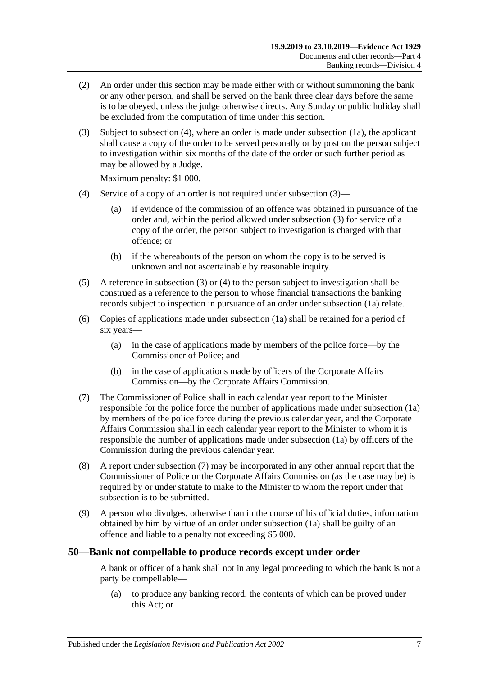- (2) An order under this section may be made either with or without summoning the bank or any other person, and shall be served on the bank three clear days before the same is to be obeyed, unless the judge otherwise directs. Any Sunday or public holiday shall be excluded from the computation of time under this section.
- <span id="page-52-1"></span>(3) Subject to [subsection](#page-52-0) (4), where an order is made under [subsection](#page-51-1) (1a), the applicant shall cause a copy of the order to be served personally or by post on the person subject to investigation within six months of the date of the order or such further period as may be allowed by a Judge.

Maximum penalty: \$1 000.

- <span id="page-52-0"></span>(4) Service of a copy of an order is not required under [subsection](#page-52-1) (3)—
	- (a) if evidence of the commission of an offence was obtained in pursuance of the order and, within the period allowed under [subsection](#page-52-1) (3) for service of a copy of the order, the person subject to investigation is charged with that offence; or
	- (b) if the whereabouts of the person on whom the copy is to be served is unknown and not ascertainable by reasonable inquiry.
- (5) A reference in [subsection](#page-52-1) (3) or [\(4\)](#page-52-0) to the person subject to investigation shall be construed as a reference to the person to whose financial transactions the banking records subject to inspection in pursuance of an order under [subsection](#page-51-1) (1a) relate.
- (6) Copies of applications made under [subsection](#page-51-1) (1a) shall be retained for a period of six years—
	- (a) in the case of applications made by members of the police force—by the Commissioner of Police; and
	- (b) in the case of applications made by officers of the Corporate Affairs Commission—by the Corporate Affairs Commission.
- <span id="page-52-2"></span>(7) The Commissioner of Police shall in each calendar year report to the Minister responsible for the police force the number of applications made under [subsection](#page-51-1) (1a) by members of the police force during the previous calendar year, and the Corporate Affairs Commission shall in each calendar year report to the Minister to whom it is responsible the number of applications made under [subsection](#page-51-1) (1a) by officers of the Commission during the previous calendar year.
- (8) A report under [subsection](#page-52-2) (7) may be incorporated in any other annual report that the Commissioner of Police or the Corporate Affairs Commission (as the case may be) is required by or under statute to make to the Minister to whom the report under that subsection is to be submitted.
- (9) A person who divulges, otherwise than in the course of his official duties, information obtained by him by virtue of an order under [subsection](#page-51-1) (1a) shall be guilty of an offence and liable to a penalty not exceeding \$5 000.

#### **50—Bank not compellable to produce records except under order**

A bank or officer of a bank shall not in any legal proceeding to which the bank is not a party be compellable—

(a) to produce any banking record, the contents of which can be proved under this Act; or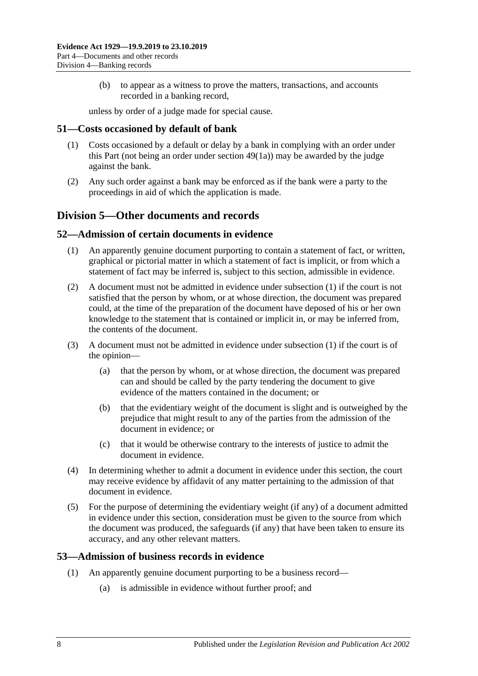(b) to appear as a witness to prove the matters, transactions, and accounts recorded in a banking record,

unless by order of a judge made for special cause.

### **51—Costs occasioned by default of bank**

- (1) Costs occasioned by a default or delay by a bank in complying with an order under this Part (not being an order under [section](#page-51-1) 49(1a)) may be awarded by the judge against the bank.
- (2) Any such order against a bank may be enforced as if the bank were a party to the proceedings in aid of which the application is made.

# **Division 5—Other documents and records**

#### <span id="page-53-0"></span>**52—Admission of certain documents in evidence**

- (1) An apparently genuine document purporting to contain a statement of fact, or written, graphical or pictorial matter in which a statement of fact is implicit, or from which a statement of fact may be inferred is, subject to this section, admissible in evidence.
- (2) A document must not be admitted in evidence under [subsection](#page-53-0) (1) if the court is not satisfied that the person by whom, or at whose direction, the document was prepared could, at the time of the preparation of the document have deposed of his or her own knowledge to the statement that is contained or implicit in, or may be inferred from, the contents of the document.
- (3) A document must not be admitted in evidence under [subsection](#page-53-0) (1) if the court is of the opinion—
	- (a) that the person by whom, or at whose direction, the document was prepared can and should be called by the party tendering the document to give evidence of the matters contained in the document; or
	- (b) that the evidentiary weight of the document is slight and is outweighed by the prejudice that might result to any of the parties from the admission of the document in evidence; or
	- (c) that it would be otherwise contrary to the interests of justice to admit the document in evidence.
- (4) In determining whether to admit a document in evidence under this section, the court may receive evidence by affidavit of any matter pertaining to the admission of that document in evidence.
- (5) For the purpose of determining the evidentiary weight (if any) of a document admitted in evidence under this section, consideration must be given to the source from which the document was produced, the safeguards (if any) that have been taken to ensure its accuracy, and any other relevant matters.

## <span id="page-53-1"></span>**53—Admission of business records in evidence**

- (1) An apparently genuine document purporting to be a business record—
	- (a) is admissible in evidence without further proof; and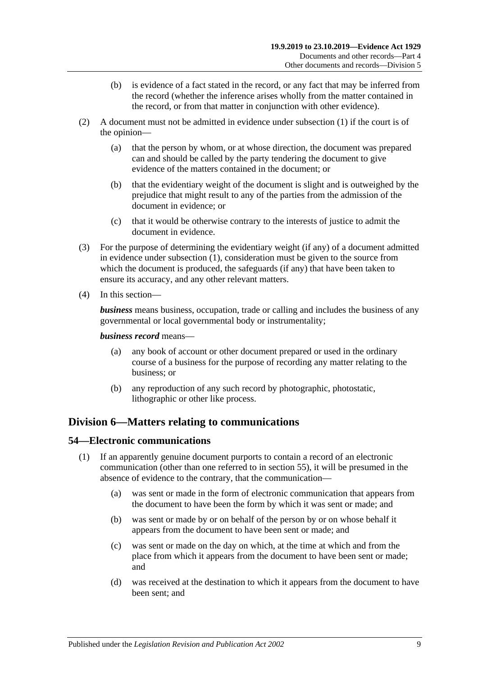- (b) is evidence of a fact stated in the record, or any fact that may be inferred from the record (whether the inference arises wholly from the matter contained in the record, or from that matter in conjunction with other evidence).
- (2) A document must not be admitted in evidence under [subsection](#page-53-1) (1) if the court is of the opinion—
	- (a) that the person by whom, or at whose direction, the document was prepared can and should be called by the party tendering the document to give evidence of the matters contained in the document; or
	- (b) that the evidentiary weight of the document is slight and is outweighed by the prejudice that might result to any of the parties from the admission of the document in evidence; or
	- (c) that it would be otherwise contrary to the interests of justice to admit the document in evidence.
- (3) For the purpose of determining the evidentiary weight (if any) of a document admitted in evidence under [subsection](#page-53-1) (1), consideration must be given to the source from which the document is produced, the safeguards (if any) that have been taken to ensure its accuracy, and any other relevant matters.
- (4) In this section—

*business* means business, occupation, trade or calling and includes the business of any governmental or local governmental body or instrumentality;

#### *business record* means—

- (a) any book of account or other document prepared or used in the ordinary course of a business for the purpose of recording any matter relating to the business; or
- (b) any reproduction of any such record by photographic, photostatic, lithographic or other like process.

# **Division 6—Matters relating to communications**

#### <span id="page-54-0"></span>**54—Electronic communications**

- (1) If an apparently genuine document purports to contain a record of an electronic communication (other than one referred to in [section](#page-55-0) 55), it will be presumed in the absence of evidence to the contrary, that the communication—
	- (a) was sent or made in the form of electronic communication that appears from the document to have been the form by which it was sent or made; and
	- (b) was sent or made by or on behalf of the person by or on whose behalf it appears from the document to have been sent or made; and
	- (c) was sent or made on the day on which, at the time at which and from the place from which it appears from the document to have been sent or made; and
	- (d) was received at the destination to which it appears from the document to have been sent; and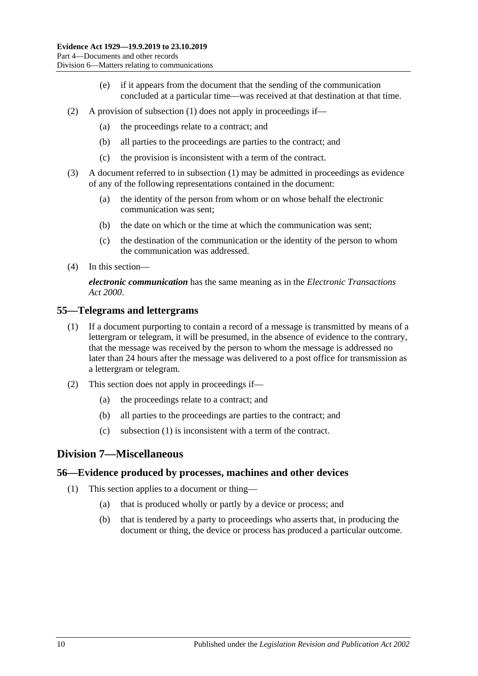- (e) if it appears from the document that the sending of the communication concluded at a particular time—was received at that destination at that time.
- (2) A provision of [subsection](#page-54-0) (1) does not apply in proceedings if—
	- (a) the proceedings relate to a contract; and
	- (b) all parties to the proceedings are parties to the contract; and
	- (c) the provision is inconsistent with a term of the contract.
- (3) A document referred to in [subsection](#page-54-0) (1) may be admitted in proceedings as evidence of any of the following representations contained in the document:
	- (a) the identity of the person from whom or on whose behalf the electronic communication was sent;
	- (b) the date on which or the time at which the communication was sent;
	- (c) the destination of the communication or the identity of the person to whom the communication was addressed.
- (4) In this section—

*electronic communication* has the same meaning as in the *[Electronic Transactions](http://www.legislation.sa.gov.au/index.aspx?action=legref&type=act&legtitle=Electronic%20Transactions%20Act%202000)  Act [2000](http://www.legislation.sa.gov.au/index.aspx?action=legref&type=act&legtitle=Electronic%20Transactions%20Act%202000)*.

#### <span id="page-55-1"></span><span id="page-55-0"></span>**55—Telegrams and lettergrams**

- (1) If a document purporting to contain a record of a message is transmitted by means of a lettergram or telegram, it will be presumed, in the absence of evidence to the contrary, that the message was received by the person to whom the message is addressed no later than 24 hours after the message was delivered to a post office for transmission as a lettergram or telegram.
- (2) This section does not apply in proceedings if—
	- (a) the proceedings relate to a contract; and
	- (b) all parties to the proceedings are parties to the contract; and
	- (c) [subsection \(1\)](#page-55-1) is inconsistent with a term of the contract.

## **Division 7—Miscellaneous**

#### **56—Evidence produced by processes, machines and other devices**

- (1) This section applies to a document or thing—
	- (a) that is produced wholly or partly by a device or process; and
	- (b) that is tendered by a party to proceedings who asserts that, in producing the document or thing, the device or process has produced a particular outcome.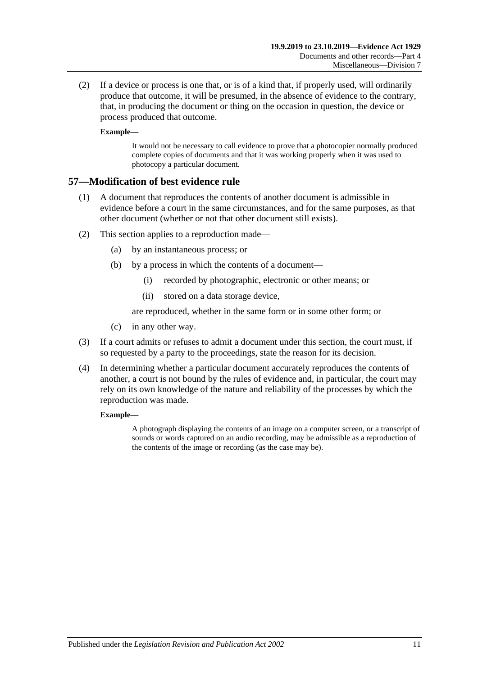(2) If a device or process is one that, or is of a kind that, if properly used, will ordinarily produce that outcome, it will be presumed, in the absence of evidence to the contrary, that, in producing the document or thing on the occasion in question, the device or process produced that outcome.

#### **Example—**

It would not be necessary to call evidence to prove that a photocopier normally produced complete copies of documents and that it was working properly when it was used to photocopy a particular document.

### **57—Modification of best evidence rule**

- (1) A document that reproduces the contents of another document is admissible in evidence before a court in the same circumstances, and for the same purposes, as that other document (whether or not that other document still exists).
- (2) This section applies to a reproduction made—
	- (a) by an instantaneous process; or
	- (b) by a process in which the contents of a document—
		- (i) recorded by photographic, electronic or other means; or
		- (ii) stored on a data storage device,

are reproduced, whether in the same form or in some other form; or

- (c) in any other way.
- (3) If a court admits or refuses to admit a document under this section, the court must, if so requested by a party to the proceedings, state the reason for its decision.
- (4) In determining whether a particular document accurately reproduces the contents of another, a court is not bound by the rules of evidence and, in particular, the court may rely on its own knowledge of the nature and reliability of the processes by which the reproduction was made.

#### **Example—**

A photograph displaying the contents of an image on a computer screen, or a transcript of sounds or words captured on an audio recording, may be admissible as a reproduction of the contents of the image or recording (as the case may be).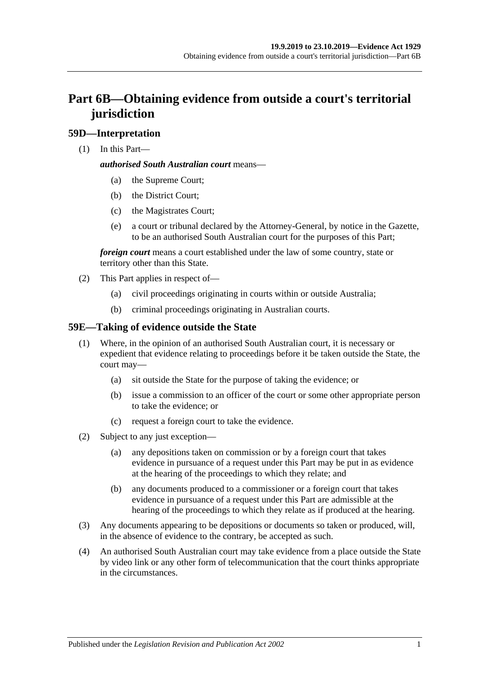# **Part 6B—Obtaining evidence from outside a court's territorial jurisdiction**

# **59D—Interpretation**

(1) In this Part—

#### *authorised South Australian court* means—

- (a) the Supreme Court;
- (b) the District Court;
- (c) the Magistrates Court;
- (e) a court or tribunal declared by the Attorney-General, by notice in the Gazette, to be an authorised South Australian court for the purposes of this Part;

*foreign court* means a court established under the law of some country, state or territory other than this State.

- (2) This Part applies in respect of—
	- (a) civil proceedings originating in courts within or outside Australia;
	- (b) criminal proceedings originating in Australian courts.

# **59E—Taking of evidence outside the State**

- (1) Where, in the opinion of an authorised South Australian court, it is necessary or expedient that evidence relating to proceedings before it be taken outside the State, the court may—
	- (a) sit outside the State for the purpose of taking the evidence; or
	- (b) issue a commission to an officer of the court or some other appropriate person to take the evidence; or
	- (c) request a foreign court to take the evidence.
- (2) Subject to any just exception—
	- (a) any depositions taken on commission or by a foreign court that takes evidence in pursuance of a request under this Part may be put in as evidence at the hearing of the proceedings to which they relate; and
	- (b) any documents produced to a commissioner or a foreign court that takes evidence in pursuance of a request under this Part are admissible at the hearing of the proceedings to which they relate as if produced at the hearing.
- (3) Any documents appearing to be depositions or documents so taken or produced, will, in the absence of evidence to the contrary, be accepted as such.
- (4) An authorised South Australian court may take evidence from a place outside the State by video link or any other form of telecommunication that the court thinks appropriate in the circumstances.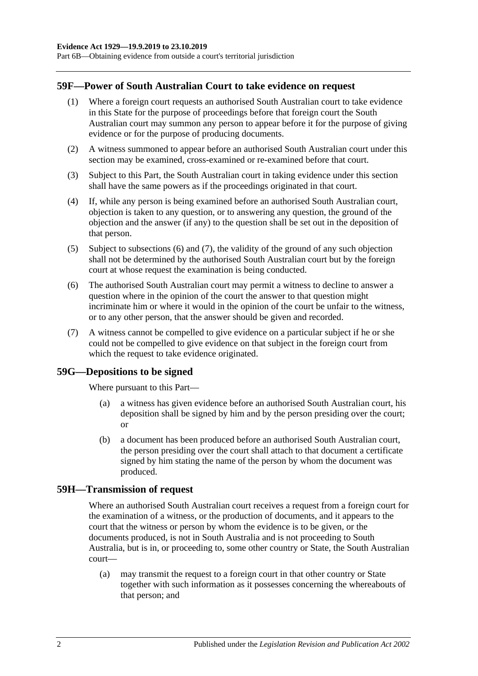Part 6B—Obtaining evidence from outside a court's territorial jurisdiction

#### **59F—Power of South Australian Court to take evidence on request**

- (1) Where a foreign court requests an authorised South Australian court to take evidence in this State for the purpose of proceedings before that foreign court the South Australian court may summon any person to appear before it for the purpose of giving evidence or for the purpose of producing documents.
- (2) A witness summoned to appear before an authorised South Australian court under this section may be examined, cross-examined or re-examined before that court.
- (3) Subject to this Part, the South Australian court in taking evidence under this section shall have the same powers as if the proceedings originated in that court.
- (4) If, while any person is being examined before an authorised South Australian court, objection is taken to any question, or to answering any question, the ground of the objection and the answer (if any) to the question shall be set out in the deposition of that person.
- (5) Subject to [subsections](#page-59-0) (6) and [\(7\),](#page-59-1) the validity of the ground of any such objection shall not be determined by the authorised South Australian court but by the foreign court at whose request the examination is being conducted.
- <span id="page-59-0"></span>(6) The authorised South Australian court may permit a witness to decline to answer a question where in the opinion of the court the answer to that question might incriminate him or where it would in the opinion of the court be unfair to the witness, or to any other person, that the answer should be given and recorded.
- <span id="page-59-1"></span>(7) A witness cannot be compelled to give evidence on a particular subject if he or she could not be compelled to give evidence on that subject in the foreign court from which the request to take evidence originated.

#### **59G—Depositions to be signed**

Where pursuant to this Part—

- (a) a witness has given evidence before an authorised South Australian court, his deposition shall be signed by him and by the person presiding over the court; or
- (b) a document has been produced before an authorised South Australian court, the person presiding over the court shall attach to that document a certificate signed by him stating the name of the person by whom the document was produced.

#### **59H—Transmission of request**

Where an authorised South Australian court receives a request from a foreign court for the examination of a witness, or the production of documents, and it appears to the court that the witness or person by whom the evidence is to be given, or the documents produced, is not in South Australia and is not proceeding to South Australia, but is in, or proceeding to, some other country or State, the South Australian court—

(a) may transmit the request to a foreign court in that other country or State together with such information as it possesses concerning the whereabouts of that person; and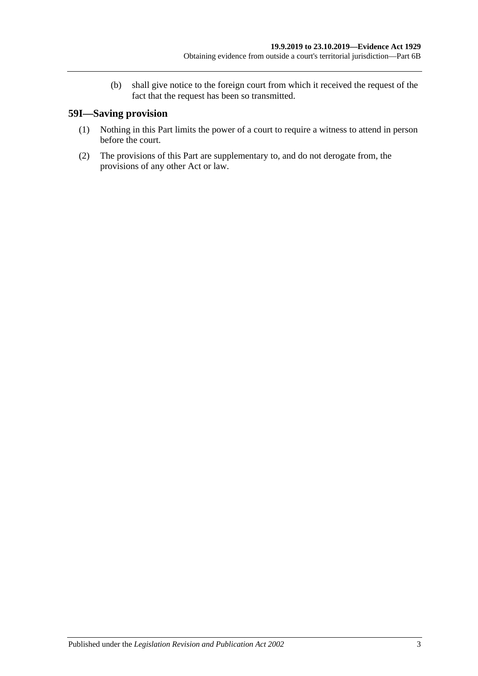(b) shall give notice to the foreign court from which it received the request of the fact that the request has been so transmitted.

# **59I—Saving provision**

- (1) Nothing in this Part limits the power of a court to require a witness to attend in person before the court.
- (2) The provisions of this Part are supplementary to, and do not derogate from, the provisions of any other Act or law.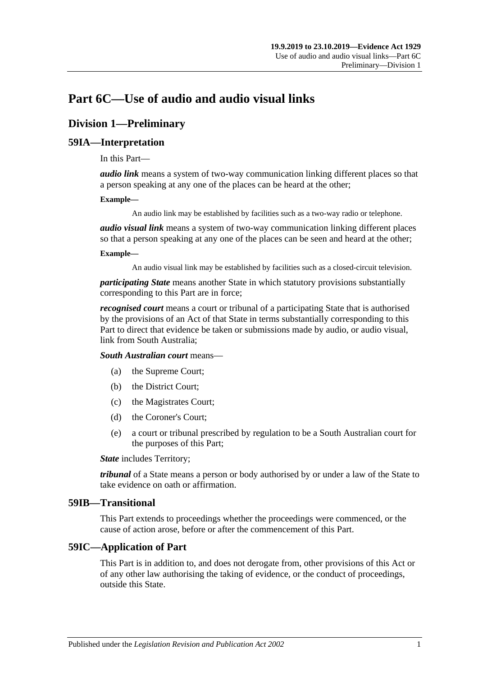# **Part 6C—Use of audio and audio visual links**

# **Division 1—Preliminary**

# **59IA—Interpretation**

In this Part—

*audio link* means a system of two-way communication linking different places so that a person speaking at any one of the places can be heard at the other;

#### **Example—**

An audio link may be established by facilities such as a two-way radio or telephone.

*audio visual link* means a system of two-way communication linking different places so that a person speaking at any one of the places can be seen and heard at the other;

#### **Example—**

An audio visual link may be established by facilities such as a closed-circuit television.

*participating State* means another State in which statutory provisions substantially corresponding to this Part are in force;

*recognised court* means a court or tribunal of a participating State that is authorised by the provisions of an Act of that State in terms substantially corresponding to this Part to direct that evidence be taken or submissions made by audio, or audio visual, link from South Australia;

*South Australian court* means—

- (a) the Supreme Court;
- (b) the District Court;
- (c) the Magistrates Court;
- (d) the Coroner's Court;
- (e) a court or tribunal prescribed by regulation to be a South Australian court for the purposes of this Part;

*State* includes Territory;

*tribunal* of a State means a person or body authorised by or under a law of the State to take evidence on oath or affirmation.

#### **59IB—Transitional**

This Part extends to proceedings whether the proceedings were commenced, or the cause of action arose, before or after the commencement of this Part.

## **59IC—Application of Part**

This Part is in addition to, and does not derogate from, other provisions of this Act or of any other law authorising the taking of evidence, or the conduct of proceedings, outside this State.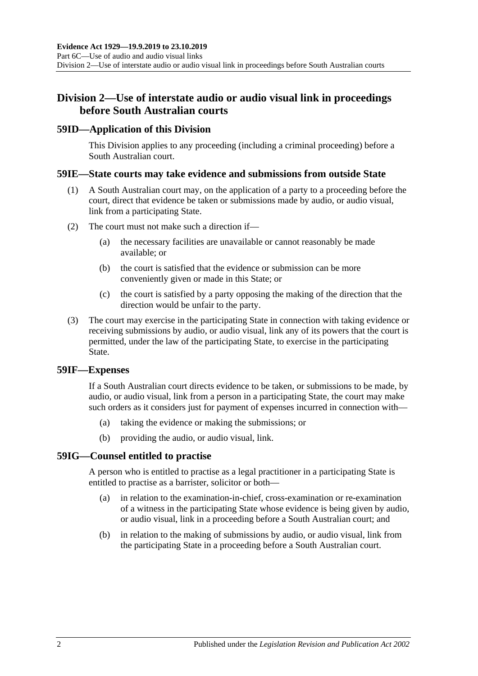# **Division 2—Use of interstate audio or audio visual link in proceedings before South Australian courts**

## **59ID—Application of this Division**

This Division applies to any proceeding (including a criminal proceeding) before a South Australian court.

### **59IE—State courts may take evidence and submissions from outside State**

- (1) A South Australian court may, on the application of a party to a proceeding before the court, direct that evidence be taken or submissions made by audio, or audio visual, link from a participating State.
- (2) The court must not make such a direction if—
	- (a) the necessary facilities are unavailable or cannot reasonably be made available; or
	- (b) the court is satisfied that the evidence or submission can be more conveniently given or made in this State; or
	- (c) the court is satisfied by a party opposing the making of the direction that the direction would be unfair to the party.
- (3) The court may exercise in the participating State in connection with taking evidence or receiving submissions by audio, or audio visual, link any of its powers that the court is permitted, under the law of the participating State, to exercise in the participating State.

#### **59IF—Expenses**

If a South Australian court directs evidence to be taken, or submissions to be made, by audio, or audio visual, link from a person in a participating State, the court may make such orders as it considers just for payment of expenses incurred in connection with—

- (a) taking the evidence or making the submissions; or
- (b) providing the audio, or audio visual, link.

## **59IG—Counsel entitled to practise**

A person who is entitled to practise as a legal practitioner in a participating State is entitled to practise as a barrister, solicitor or both—

- (a) in relation to the examination-in-chief, cross-examination or re-examination of a witness in the participating State whose evidence is being given by audio, or audio visual, link in a proceeding before a South Australian court; and
- (b) in relation to the making of submissions by audio, or audio visual, link from the participating State in a proceeding before a South Australian court.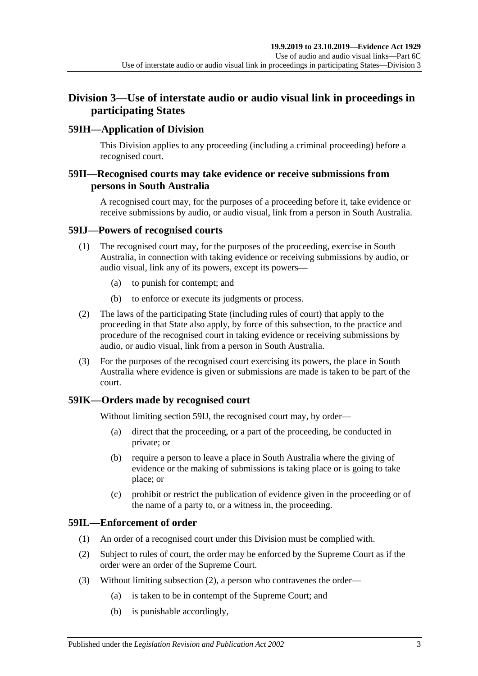# **Division 3—Use of interstate audio or audio visual link in proceedings in participating States**

# **59IH—Application of Division**

This Division applies to any proceeding (including a criminal proceeding) before a recognised court.

# **59II—Recognised courts may take evidence or receive submissions from persons in South Australia**

A recognised court may, for the purposes of a proceeding before it, take evidence or receive submissions by audio, or audio visual, link from a person in South Australia.

## <span id="page-64-0"></span>**59IJ—Powers of recognised courts**

- (1) The recognised court may, for the purposes of the proceeding, exercise in South Australia, in connection with taking evidence or receiving submissions by audio, or audio visual, link any of its powers, except its powers—
	- (a) to punish for contempt; and
	- (b) to enforce or execute its judgments or process.
- (2) The laws of the participating State (including rules of court) that apply to the proceeding in that State also apply, by force of this subsection, to the practice and procedure of the recognised court in taking evidence or receiving submissions by audio, or audio visual, link from a person in South Australia.
- (3) For the purposes of the recognised court exercising its powers, the place in South Australia where evidence is given or submissions are made is taken to be part of the court.

## **59IK—Orders made by recognised court**

Without limiting [section](#page-64-0) 59IJ, the recognised court may, by order—

- (a) direct that the proceeding, or a part of the proceeding, be conducted in private; or
- (b) require a person to leave a place in South Australia where the giving of evidence or the making of submissions is taking place or is going to take place; or
- (c) prohibit or restrict the publication of evidence given in the proceeding or of the name of a party to, or a witness in, the proceeding.

# **59IL—Enforcement of order**

- (1) An order of a recognised court under this Division must be complied with.
- <span id="page-64-1"></span>(2) Subject to rules of court, the order may be enforced by the Supreme Court as if the order were an order of the Supreme Court.
- (3) Without limiting [subsection](#page-64-1) (2), a person who contravenes the order—
	- (a) is taken to be in contempt of the Supreme Court; and
	- (b) is punishable accordingly,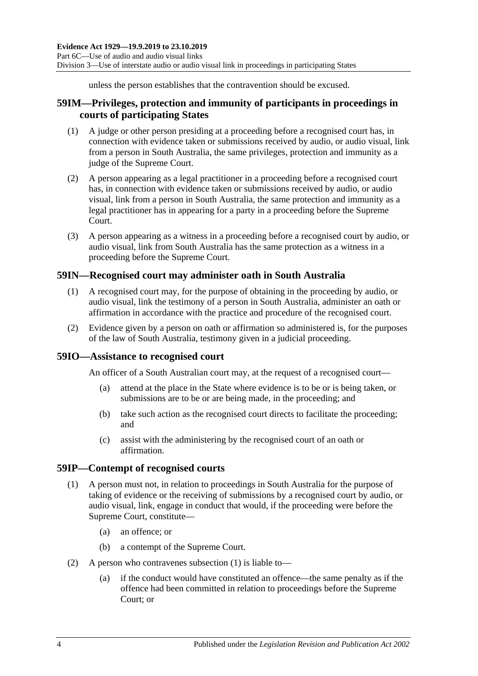unless the person establishes that the contravention should be excused.

# **59IM—Privileges, protection and immunity of participants in proceedings in courts of participating States**

- (1) A judge or other person presiding at a proceeding before a recognised court has, in connection with evidence taken or submissions received by audio, or audio visual, link from a person in South Australia, the same privileges, protection and immunity as a judge of the Supreme Court.
- (2) A person appearing as a legal practitioner in a proceeding before a recognised court has, in connection with evidence taken or submissions received by audio, or audio visual, link from a person in South Australia, the same protection and immunity as a legal practitioner has in appearing for a party in a proceeding before the Supreme Court.
- (3) A person appearing as a witness in a proceeding before a recognised court by audio, or audio visual, link from South Australia has the same protection as a witness in a proceeding before the Supreme Court.

# **59IN—Recognised court may administer oath in South Australia**

- (1) A recognised court may, for the purpose of obtaining in the proceeding by audio, or audio visual, link the testimony of a person in South Australia, administer an oath or affirmation in accordance with the practice and procedure of the recognised court.
- (2) Evidence given by a person on oath or affirmation so administered is, for the purposes of the law of South Australia, testimony given in a judicial proceeding.

## **59IO—Assistance to recognised court**

An officer of a South Australian court may, at the request of a recognised court—

- (a) attend at the place in the State where evidence is to be or is being taken, or submissions are to be or are being made, in the proceeding; and
- (b) take such action as the recognised court directs to facilitate the proceeding; and
- (c) assist with the administering by the recognised court of an oath or affirmation.

#### <span id="page-65-0"></span>**59IP—Contempt of recognised courts**

- (1) A person must not, in relation to proceedings in South Australia for the purpose of taking of evidence or the receiving of submissions by a recognised court by audio, or audio visual, link, engage in conduct that would, if the proceeding were before the Supreme Court, constitute—
	- (a) an offence; or
	- (b) a contempt of the Supreme Court.
- (2) A person who contravenes [subsection](#page-65-0) (1) is liable to—
	- (a) if the conduct would have constituted an offence—the same penalty as if the offence had been committed in relation to proceedings before the Supreme Court; or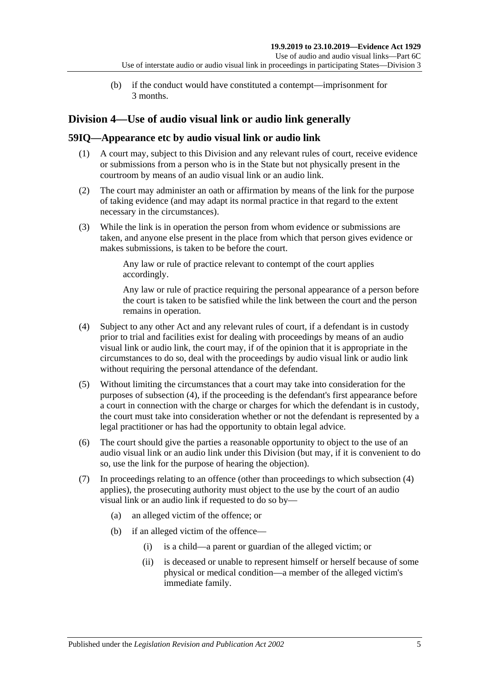(b) if the conduct would have constituted a contempt—imprisonment for 3 months.

# **Division 4—Use of audio visual link or audio link generally**

# **59IQ—Appearance etc by audio visual link or audio link**

- (1) A court may, subject to this Division and any relevant rules of court, receive evidence or submissions from a person who is in the State but not physically present in the courtroom by means of an audio visual link or an audio link.
- (2) The court may administer an oath or affirmation by means of the link for the purpose of taking evidence (and may adapt its normal practice in that regard to the extent necessary in the circumstances).
- (3) While the link is in operation the person from whom evidence or submissions are taken, and anyone else present in the place from which that person gives evidence or makes submissions, is taken to be before the court.

Any law or rule of practice relevant to contempt of the court applies accordingly.

Any law or rule of practice requiring the personal appearance of a person before the court is taken to be satisfied while the link between the court and the person remains in operation.

- <span id="page-66-0"></span>(4) Subject to any other Act and any relevant rules of court, if a defendant is in custody prior to trial and facilities exist for dealing with proceedings by means of an audio visual link or audio link, the court may, if of the opinion that it is appropriate in the circumstances to do so, deal with the proceedings by audio visual link or audio link without requiring the personal attendance of the defendant.
- (5) Without limiting the circumstances that a court may take into consideration for the purposes of [subsection](#page-66-0) (4), if the proceeding is the defendant's first appearance before a court in connection with the charge or charges for which the defendant is in custody, the court must take into consideration whether or not the defendant is represented by a legal practitioner or has had the opportunity to obtain legal advice.
- (6) The court should give the parties a reasonable opportunity to object to the use of an audio visual link or an audio link under this Division (but may, if it is convenient to do so, use the link for the purpose of hearing the objection).
- <span id="page-66-1"></span>(7) In proceedings relating to an offence (other than proceedings to which subsection (4) applies), the prosecuting authority must object to the use by the court of an audio visual link or an audio link if requested to do so by—
	- (a) an alleged victim of the offence; or
	- (b) if an alleged victim of the offence—
		- (i) is a child—a parent or guardian of the alleged victim; or
		- (ii) is deceased or unable to represent himself or herself because of some physical or medical condition—a member of the alleged victim's immediate family.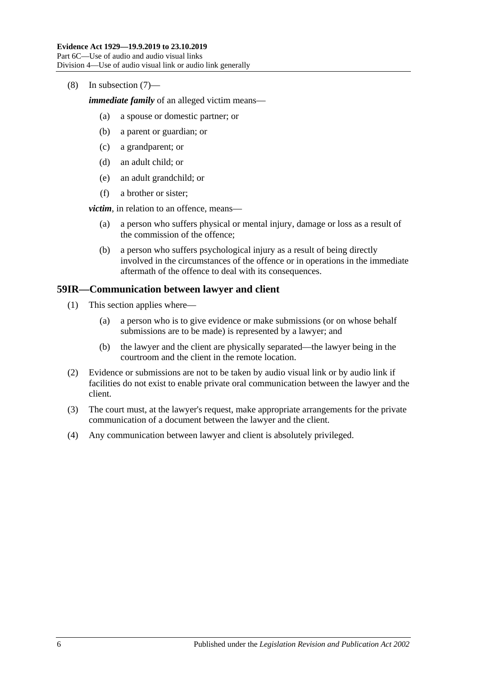(8) In [subsection](#page-66-1) (7)—

*immediate family* of an alleged victim means—

- (a) a spouse or domestic partner; or
- (b) a parent or guardian; or
- (c) a grandparent; or
- (d) an adult child; or
- (e) an adult grandchild; or
- (f) a brother or sister;

*victim*, in relation to an offence, means—

- (a) a person who suffers physical or mental injury, damage or loss as a result of the commission of the offence;
- (b) a person who suffers psychological injury as a result of being directly involved in the circumstances of the offence or in operations in the immediate aftermath of the offence to deal with its consequences.

### **59IR—Communication between lawyer and client**

- (1) This section applies where—
	- (a) a person who is to give evidence or make submissions (or on whose behalf submissions are to be made) is represented by a lawyer; and
	- (b) the lawyer and the client are physically separated—the lawyer being in the courtroom and the client in the remote location.
- (2) Evidence or submissions are not to be taken by audio visual link or by audio link if facilities do not exist to enable private oral communication between the lawyer and the client.
- (3) The court must, at the lawyer's request, make appropriate arrangements for the private communication of a document between the lawyer and the client.
- (4) Any communication between lawyer and client is absolutely privileged.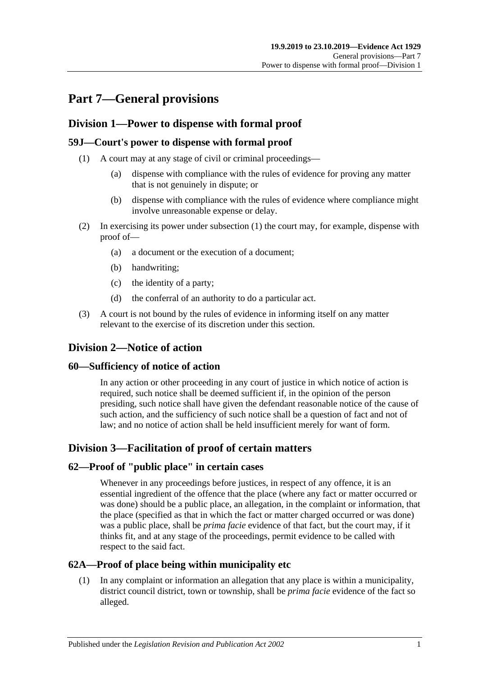# **Part 7—General provisions**

# **Division 1—Power to dispense with formal proof**

# <span id="page-68-0"></span>**59J—Court's power to dispense with formal proof**

- (1) A court may at any stage of civil or criminal proceedings—
	- (a) dispense with compliance with the rules of evidence for proving any matter that is not genuinely in dispute; or
	- (b) dispense with compliance with the rules of evidence where compliance might involve unreasonable expense or delay.
- (2) In exercising its power under [subsection](#page-68-0) (1) the court may, for example, dispense with proof of—
	- (a) a document or the execution of a document;
	- (b) handwriting;
	- (c) the identity of a party;
	- (d) the conferral of an authority to do a particular act.
- (3) A court is not bound by the rules of evidence in informing itself on any matter relevant to the exercise of its discretion under this section.

# **Division 2—Notice of action**

## **60—Sufficiency of notice of action**

In any action or other proceeding in any court of justice in which notice of action is required, such notice shall be deemed sufficient if, in the opinion of the person presiding, such notice shall have given the defendant reasonable notice of the cause of such action, and the sufficiency of such notice shall be a question of fact and not of law; and no notice of action shall be held insufficient merely for want of form.

# **Division 3—Facilitation of proof of certain matters**

## **62—Proof of "public place" in certain cases**

Whenever in any proceedings before justices, in respect of any offence, it is an essential ingredient of the offence that the place (where any fact or matter occurred or was done) should be a public place, an allegation, in the complaint or information, that the place (specified as that in which the fact or matter charged occurred or was done) was a public place, shall be *prima facie* evidence of that fact, but the court may, if it thinks fit, and at any stage of the proceedings, permit evidence to be called with respect to the said fact.

# **62A—Proof of place being within municipality etc**

(1) In any complaint or information an allegation that any place is within a municipality, district council district, town or township, shall be *prima facie* evidence of the fact so alleged.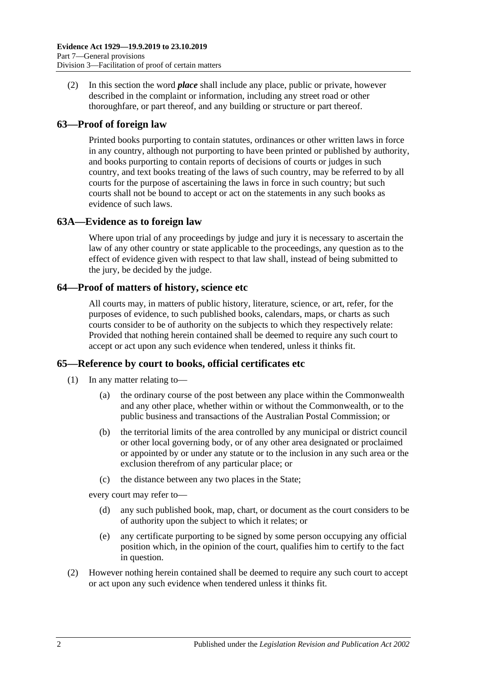(2) In this section the word *place* shall include any place, public or private, however described in the complaint or information, including any street road or other thoroughfare, or part thereof, and any building or structure or part thereof.

# **63—Proof of foreign law**

Printed books purporting to contain statutes, ordinances or other written laws in force in any country, although not purporting to have been printed or published by authority, and books purporting to contain reports of decisions of courts or judges in such country, and text books treating of the laws of such country, may be referred to by all courts for the purpose of ascertaining the laws in force in such country; but such courts shall not be bound to accept or act on the statements in any such books as evidence of such laws.

# **63A—Evidence as to foreign law**

Where upon trial of any proceedings by judge and jury it is necessary to ascertain the law of any other country or state applicable to the proceedings, any question as to the effect of evidence given with respect to that law shall, instead of being submitted to the jury, be decided by the judge.

## **64—Proof of matters of history, science etc**

All courts may, in matters of public history, literature, science, or art, refer, for the purposes of evidence, to such published books, calendars, maps, or charts as such courts consider to be of authority on the subjects to which they respectively relate: Provided that nothing herein contained shall be deemed to require any such court to accept or act upon any such evidence when tendered, unless it thinks fit.

## **65—Reference by court to books, official certificates etc**

- (1) In any matter relating to—
	- (a) the ordinary course of the post between any place within the Commonwealth and any other place, whether within or without the Commonwealth, or to the public business and transactions of the Australian Postal Commission; or
	- (b) the territorial limits of the area controlled by any municipal or district council or other local governing body, or of any other area designated or proclaimed or appointed by or under any statute or to the inclusion in any such area or the exclusion therefrom of any particular place; or
	- (c) the distance between any two places in the State;

every court may refer to—

- (d) any such published book, map, chart, or document as the court considers to be of authority upon the subject to which it relates; or
- (e) any certificate purporting to be signed by some person occupying any official position which, in the opinion of the court, qualifies him to certify to the fact in question.
- (2) However nothing herein contained shall be deemed to require any such court to accept or act upon any such evidence when tendered unless it thinks fit.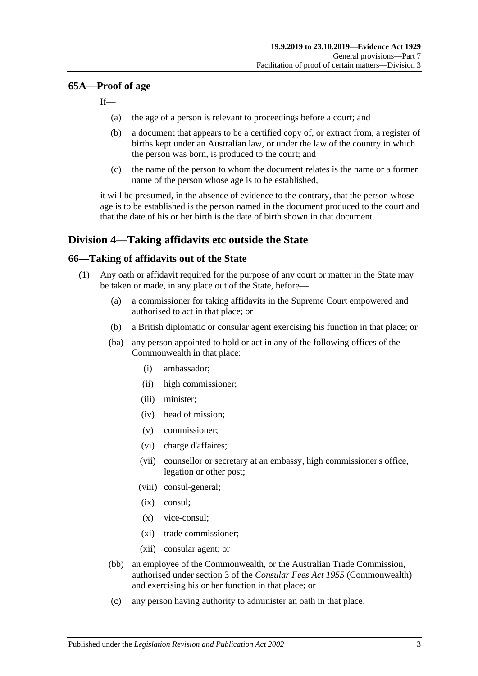### **65A—Proof of age**

If—

- (a) the age of a person is relevant to proceedings before a court; and
- (b) a document that appears to be a certified copy of, or extract from, a register of births kept under an Australian law, or under the law of the country in which the person was born, is produced to the court; and
- (c) the name of the person to whom the document relates is the name or a former name of the person whose age is to be established,

it will be presumed, in the absence of evidence to the contrary, that the person whose age is to be established is the person named in the document produced to the court and that the date of his or her birth is the date of birth shown in that document.

# **Division 4—Taking affidavits etc outside the State**

### <span id="page-70-3"></span>**66—Taking of affidavits out of the State**

- <span id="page-70-2"></span><span id="page-70-1"></span><span id="page-70-0"></span>(1) Any oath or affidavit required for the purpose of any court or matter in the State may be taken or made, in any place out of the State, before—
	- (a) a commissioner for taking affidavits in the Supreme Court empowered and authorised to act in that place; or
	- (b) a British diplomatic or consular agent exercising his function in that place; or
	- (ba) any person appointed to hold or act in any of the following offices of the Commonwealth in that place:
		- (i) ambassador;
		- (ii) high commissioner;
		- (iii) minister;
		- (iv) head of mission;
		- (v) commissioner;
		- (vi) charge d'affaires;
		- (vii) counsellor or secretary at an embassy, high commissioner's office, legation or other post;
		- (viii) consul-general;
		- (ix) consul;
		- (x) vice-consul;
		- (xi) trade commissioner;
		- (xii) consular agent; or
	- (bb) an employee of the Commonwealth, or the Australian Trade Commission, authorised under section 3 of the *Consular Fees Act 1955* (Commonwealth) and exercising his or her function in that place; or
	- (c) any person having authority to administer an oath in that place.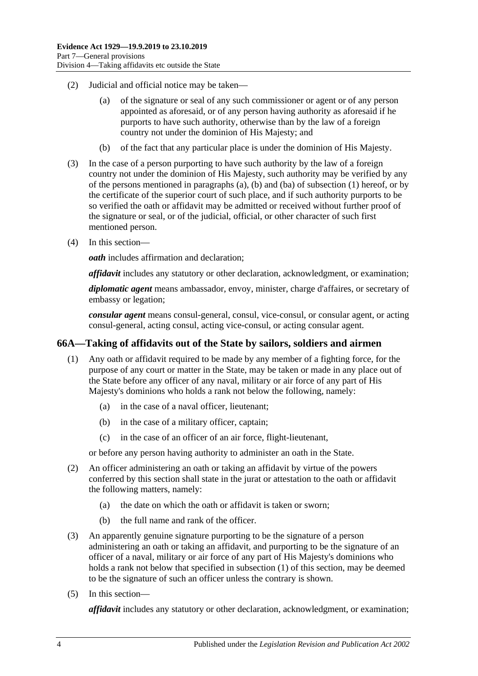- (2) Judicial and official notice may be taken—
	- (a) of the signature or seal of any such commissioner or agent or of any person appointed as aforesaid, or of any person having authority as aforesaid if he purports to have such authority, otherwise than by the law of a foreign country not under the dominion of His Majesty; and
	- (b) of the fact that any particular place is under the dominion of His Majesty.
- (3) In the case of a person purporting to have such authority by the law of a foreign country not under the dominion of His Majesty, such authority may be verified by any of the persons mentioned in [paragraphs](#page-70-0) (a), [\(b\)](#page-70-1) and [\(ba\)](#page-70-2) of [subsection](#page-70-3) (1) hereof, or by the certificate of the superior court of such place, and if such authority purports to be so verified the oath or affidavit may be admitted or received without further proof of the signature or seal, or of the judicial, official, or other character of such first mentioned person.
- (4) In this section—

*oath* includes affirmation and declaration;

*affidavit* includes any statutory or other declaration, acknowledgment, or examination;

*diplomatic agent* means ambassador, envoy, minister, charge d'affaires, or secretary of embassy or legation;

*consular agent* means consul-general, consul, vice-consul, or consular agent, or acting consul-general, acting consul, acting vice-consul, or acting consular agent.

## <span id="page-71-0"></span>**66A—Taking of affidavits out of the State by sailors, soldiers and airmen**

- (1) Any oath or affidavit required to be made by any member of a fighting force, for the purpose of any court or matter in the State, may be taken or made in any place out of the State before any officer of any naval, military or air force of any part of His Majesty's dominions who holds a rank not below the following, namely:
	- (a) in the case of a naval officer, lieutenant;
	- (b) in the case of a military officer, captain;
	- (c) in the case of an officer of an air force, flight-lieutenant,

or before any person having authority to administer an oath in the State.

- (2) An officer administering an oath or taking an affidavit by virtue of the powers conferred by this section shall state in the jurat or attestation to the oath or affidavit the following matters, namely:
	- (a) the date on which the oath or affidavit is taken or sworn;
	- (b) the full name and rank of the officer.
- (3) An apparently genuine signature purporting to be the signature of a person administering an oath or taking an affidavit, and purporting to be the signature of an officer of a naval, military or air force of any part of His Majesty's dominions who holds a rank not below that specified in [subsection](#page-71-0) (1) of this section, may be deemed to be the signature of such an officer unless the contrary is shown.
- (5) In this section—

*affidavit* includes any statutory or other declaration, acknowledgment, or examination;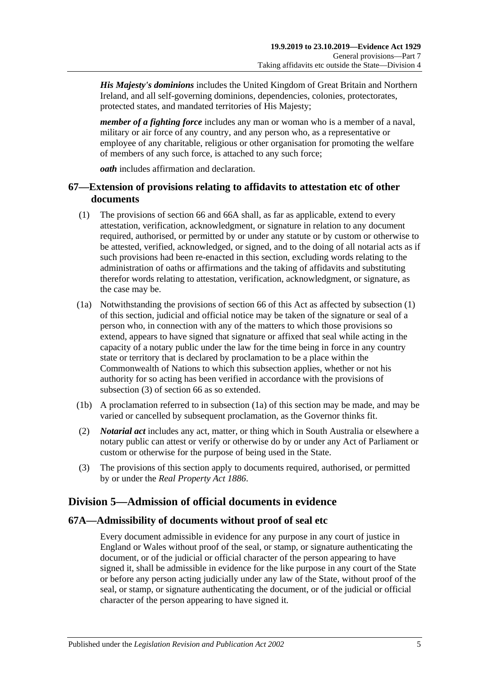*His Majesty's dominions* includes the United Kingdom of Great Britain and Northern Ireland, and all self-governing dominions, dependencies, colonies, protectorates, protected states, and mandated territories of His Majesty;

*member of a fighting force* includes any man or woman who is a member of a naval, military or air force of any country, and any person who, as a representative or employee of any charitable, religious or other organisation for promoting the welfare of members of any such force, is attached to any such force;

*oath* includes affirmation and declaration.

## **67—Extension of provisions relating to affidavits to attestation etc of other documents**

- <span id="page-72-0"></span>(1) The provisions of [section](#page-70-0) 66 and [66A](#page-71-0) shall, as far as applicable, extend to every attestation, verification, acknowledgment, or signature in relation to any document required, authorised, or permitted by or under any statute or by custom or otherwise to be attested, verified, acknowledged, or signed, and to the doing of all notarial acts as if such provisions had been re-enacted in this section, excluding words relating to the administration of oaths or affirmations and the taking of affidavits and substituting therefor words relating to attestation, verification, acknowledgment, or signature, as the case may be.
- <span id="page-72-2"></span>(1a) Notwithstanding the provisions of [section](#page-70-0) 66 of this Act as affected by [subsection](#page-72-0) (1) of this section, judicial and official notice may be taken of the signature or seal of a person who, in connection with any of the matters to which those provisions so extend, appears to have signed that signature or affixed that seal while acting in the capacity of a notary public under the law for the time being in force in any country state or territory that is declared by proclamation to be a place within the Commonwealth of Nations to which this subsection applies, whether or not his authority for so acting has been verified in accordance with the provisions of [subsection](#page-72-1) (3) of [section](#page-70-0) 66 as so extended.
- (1b) A proclamation referred to in [subsection](#page-72-2) (1a) of this section may be made, and may be varied or cancelled by subsequent proclamation, as the Governor thinks fit.
- (2) *Notarial act* includes any act, matter, or thing which in South Australia or elsewhere a notary public can attest or verify or otherwise do by or under any Act of Parliament or custom or otherwise for the purpose of being used in the State.
- <span id="page-72-1"></span>(3) The provisions of this section apply to documents required, authorised, or permitted by or under the *[Real Property Act](http://www.legislation.sa.gov.au/index.aspx?action=legref&type=act&legtitle=Real%20Property%20Act%201886) 1886*.

# **Division 5—Admission of official documents in evidence**

### **67A—Admissibility of documents without proof of seal etc**

Every document admissible in evidence for any purpose in any court of justice in England or Wales without proof of the seal, or stamp, or signature authenticating the document, or of the judicial or official character of the person appearing to have signed it, shall be admissible in evidence for the like purpose in any court of the State or before any person acting judicially under any law of the State, without proof of the seal, or stamp, or signature authenticating the document, or of the judicial or official character of the person appearing to have signed it.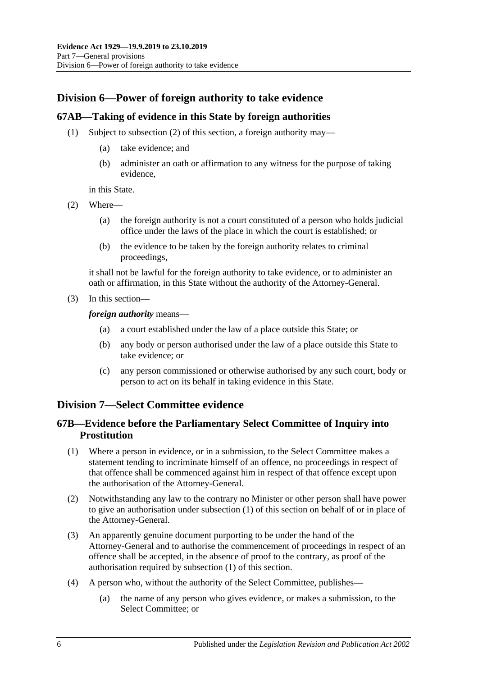# **Division 6—Power of foreign authority to take evidence**

## **67AB—Taking of evidence in this State by foreign authorities**

- (1) Subject to [subsection](#page-73-0) (2) of this section, a foreign authority may—
	- (a) take evidence; and
	- (b) administer an oath or affirmation to any witness for the purpose of taking evidence,

in this State.

- <span id="page-73-0"></span>(2) Where—
	- (a) the foreign authority is not a court constituted of a person who holds judicial office under the laws of the place in which the court is established; or
	- (b) the evidence to be taken by the foreign authority relates to criminal proceedings,

it shall not be lawful for the foreign authority to take evidence, or to administer an oath or affirmation, in this State without the authority of the Attorney-General.

(3) In this section—

*foreign authority* means—

- (a) a court established under the law of a place outside this State; or
- (b) any body or person authorised under the law of a place outside this State to take evidence; or
- (c) any person commissioned or otherwise authorised by any such court, body or person to act on its behalf in taking evidence in this State.

## **Division 7—Select Committee evidence**

## **67B—Evidence before the Parliamentary Select Committee of Inquiry into Prostitution**

- <span id="page-73-1"></span>(1) Where a person in evidence, or in a submission, to the Select Committee makes a statement tending to incriminate himself of an offence, no proceedings in respect of that offence shall be commenced against him in respect of that offence except upon the authorisation of the Attorney-General.
- (2) Notwithstanding any law to the contrary no Minister or other person shall have power to give an authorisation under [subsection](#page-73-1) (1) of this section on behalf of or in place of the Attorney-General.
- (3) An apparently genuine document purporting to be under the hand of the Attorney-General and to authorise the commencement of proceedings in respect of an offence shall be accepted, in the absence of proof to the contrary, as proof of the authorisation required by [subsection](#page-73-1) (1) of this section.
- (4) A person who, without the authority of the Select Committee, publishes—
	- (a) the name of any person who gives evidence, or makes a submission, to the Select Committee; or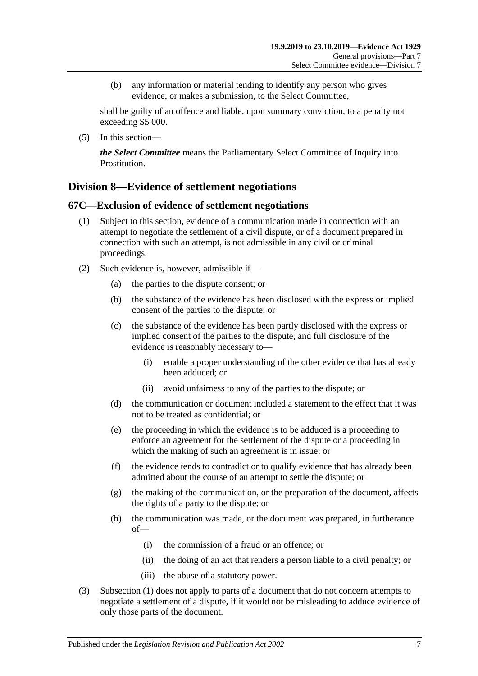(b) any information or material tending to identify any person who gives evidence, or makes a submission, to the Select Committee,

shall be guilty of an offence and liable, upon summary conviction, to a penalty not exceeding \$5 000.

(5) In this section—

*the Select Committee* means the Parliamentary Select Committee of Inquiry into Prostitution.

## **Division 8—Evidence of settlement negotiations**

### <span id="page-74-0"></span>**67C—Exclusion of evidence of settlement negotiations**

- (1) Subject to this section, evidence of a communication made in connection with an attempt to negotiate the settlement of a civil dispute, or of a document prepared in connection with such an attempt, is not admissible in any civil or criminal proceedings.
- (2) Such evidence is, however, admissible if—
	- (a) the parties to the dispute consent; or
	- (b) the substance of the evidence has been disclosed with the express or implied consent of the parties to the dispute; or
	- (c) the substance of the evidence has been partly disclosed with the express or implied consent of the parties to the dispute, and full disclosure of the evidence is reasonably necessary to—
		- (i) enable a proper understanding of the other evidence that has already been adduced; or
		- (ii) avoid unfairness to any of the parties to the dispute; or
	- (d) the communication or document included a statement to the effect that it was not to be treated as confidential; or
	- (e) the proceeding in which the evidence is to be adduced is a proceeding to enforce an agreement for the settlement of the dispute or a proceeding in which the making of such an agreement is in issue; or
	- (f) the evidence tends to contradict or to qualify evidence that has already been admitted about the course of an attempt to settle the dispute; or
	- (g) the making of the communication, or the preparation of the document, affects the rights of a party to the dispute; or
	- (h) the communication was made, or the document was prepared, in furtherance of—
		- (i) the commission of a fraud or an offence; or
		- (ii) the doing of an act that renders a person liable to a civil penalty; or
		- (iii) the abuse of a statutory power.
- (3) [Subsection](#page-74-0) (1) does not apply to parts of a document that do not concern attempts to negotiate a settlement of a dispute, if it would not be misleading to adduce evidence of only those parts of the document.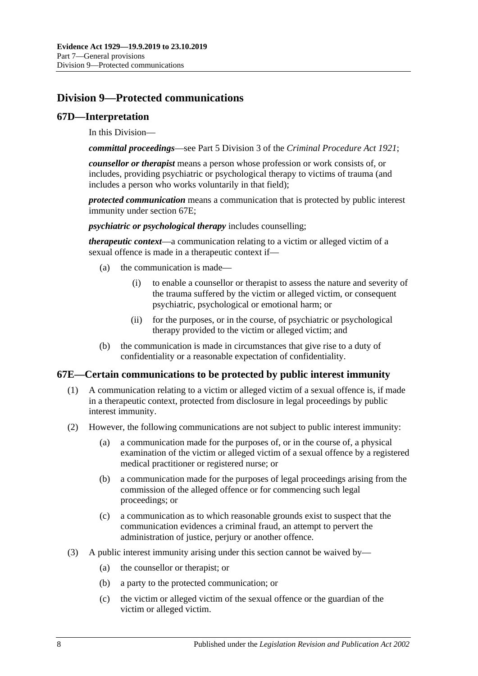# **Division 9—Protected communications**

### **67D—Interpretation**

In this Division—

*committal proceedings*—see Part 5 Division 3 of the *[Criminal Procedure Act](http://www.legislation.sa.gov.au/index.aspx?action=legref&type=act&legtitle=Criminal%20Procedure%20Act%201921) 1921*;

*counsellor or therapist* means a person whose profession or work consists of, or includes, providing psychiatric or psychological therapy to victims of trauma (and includes a person who works voluntarily in that field);

*protected communication* means a communication that is protected by public interest immunity under [section](#page-75-0) 67E;

*psychiatric or psychological therapy* includes counselling;

*therapeutic context*—a communication relating to a victim or alleged victim of a sexual offence is made in a therapeutic context if—

- (a) the communication is made—
	- (i) to enable a counsellor or therapist to assess the nature and severity of the trauma suffered by the victim or alleged victim, or consequent psychiatric, psychological or emotional harm; or
	- (ii) for the purposes, or in the course, of psychiatric or psychological therapy provided to the victim or alleged victim; and
- (b) the communication is made in circumstances that give rise to a duty of confidentiality or a reasonable expectation of confidentiality.

### <span id="page-75-0"></span>**67E—Certain communications to be protected by public interest immunity**

- (1) A communication relating to a victim or alleged victim of a sexual offence is, if made in a therapeutic context, protected from disclosure in legal proceedings by public interest immunity.
- (2) However, the following communications are not subject to public interest immunity:
	- (a) a communication made for the purposes of, or in the course of, a physical examination of the victim or alleged victim of a sexual offence by a registered medical practitioner or registered nurse; or
	- (b) a communication made for the purposes of legal proceedings arising from the commission of the alleged offence or for commencing such legal proceedings; or
	- (c) a communication as to which reasonable grounds exist to suspect that the communication evidences a criminal fraud, an attempt to pervert the administration of justice, perjury or another offence.
- (3) A public interest immunity arising under this section cannot be waived by—
	- (a) the counsellor or therapist; or
	- (b) a party to the protected communication; or
	- (c) the victim or alleged victim of the sexual offence or the guardian of the victim or alleged victim.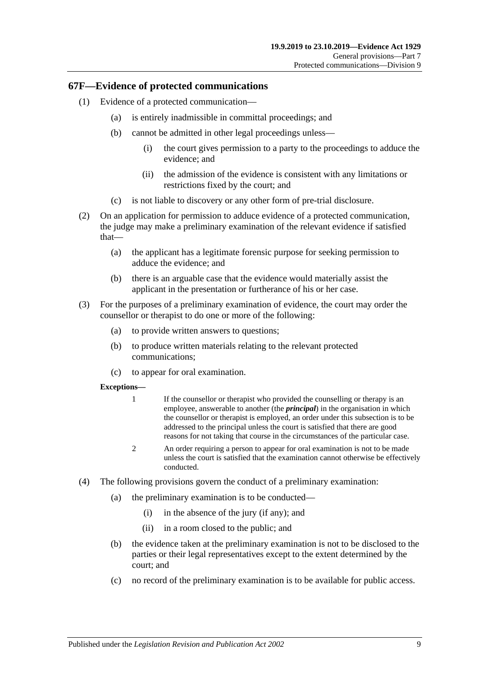#### **67F—Evidence of protected communications**

- (1) Evidence of a protected communication—
	- (a) is entirely inadmissible in committal proceedings; and
	- (b) cannot be admitted in other legal proceedings unless—
		- (i) the court gives permission to a party to the proceedings to adduce the evidence; and
		- (ii) the admission of the evidence is consistent with any limitations or restrictions fixed by the court; and
	- (c) is not liable to discovery or any other form of pre-trial disclosure.
- (2) On an application for permission to adduce evidence of a protected communication, the judge may make a preliminary examination of the relevant evidence if satisfied that—
	- (a) the applicant has a legitimate forensic purpose for seeking permission to adduce the evidence; and
	- (b) there is an arguable case that the evidence would materially assist the applicant in the presentation or furtherance of his or her case.
- (3) For the purposes of a preliminary examination of evidence, the court may order the counsellor or therapist to do one or more of the following:
	- (a) to provide written answers to questions;
	- (b) to produce written materials relating to the relevant protected communications;
	- (c) to appear for oral examination.

#### **Exceptions—**

- 1 If the counsellor or therapist who provided the counselling or therapy is an employee, answerable to another (the *principal*) in the organisation in which the counsellor or therapist is employed, an order under this subsection is to be addressed to the principal unless the court is satisfied that there are good reasons for not taking that course in the circumstances of the particular case.
- 2 An order requiring a person to appear for oral examination is not to be made unless the court is satisfied that the examination cannot otherwise be effectively conducted.
- (4) The following provisions govern the conduct of a preliminary examination:
	- (a) the preliminary examination is to be conducted—
		- (i) in the absence of the jury (if any); and
		- (ii) in a room closed to the public; and
	- (b) the evidence taken at the preliminary examination is not to be disclosed to the parties or their legal representatives except to the extent determined by the court; and
	- (c) no record of the preliminary examination is to be available for public access.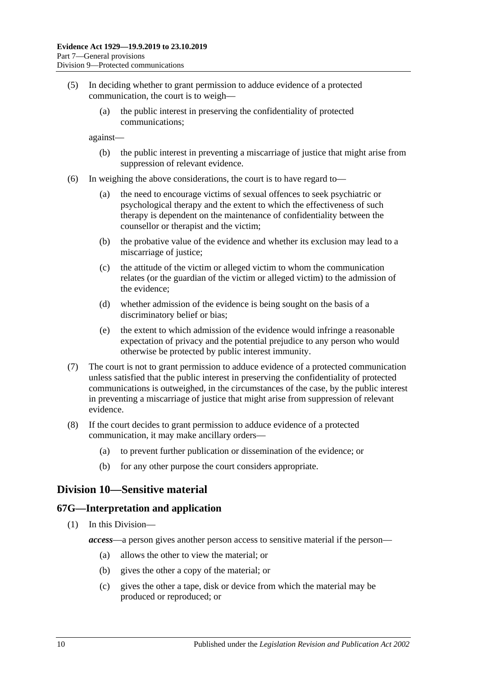- (5) In deciding whether to grant permission to adduce evidence of a protected communication, the court is to weigh—
	- (a) the public interest in preserving the confidentiality of protected communications;

against—

- (b) the public interest in preventing a miscarriage of justice that might arise from suppression of relevant evidence.
- (6) In weighing the above considerations, the court is to have regard to—
	- (a) the need to encourage victims of sexual offences to seek psychiatric or psychological therapy and the extent to which the effectiveness of such therapy is dependent on the maintenance of confidentiality between the counsellor or therapist and the victim;
	- (b) the probative value of the evidence and whether its exclusion may lead to a miscarriage of justice;
	- (c) the attitude of the victim or alleged victim to whom the communication relates (or the guardian of the victim or alleged victim) to the admission of the evidence;
	- (d) whether admission of the evidence is being sought on the basis of a discriminatory belief or bias;
	- (e) the extent to which admission of the evidence would infringe a reasonable expectation of privacy and the potential prejudice to any person who would otherwise be protected by public interest immunity.
- (7) The court is not to grant permission to adduce evidence of a protected communication unless satisfied that the public interest in preserving the confidentiality of protected communications is outweighed, in the circumstances of the case, by the public interest in preventing a miscarriage of justice that might arise from suppression of relevant evidence.
- (8) If the court decides to grant permission to adduce evidence of a protected communication, it may make ancillary orders—
	- (a) to prevent further publication or dissemination of the evidence; or
	- (b) for any other purpose the court considers appropriate.

## **Division 10—Sensitive material**

#### **67G—Interpretation and application**

- (1) In this Division
	- *access*—a person gives another person access to sensitive material if the person—
		- (a) allows the other to view the material; or
		- (b) gives the other a copy of the material; or
		- (c) gives the other a tape, disk or device from which the material may be produced or reproduced; or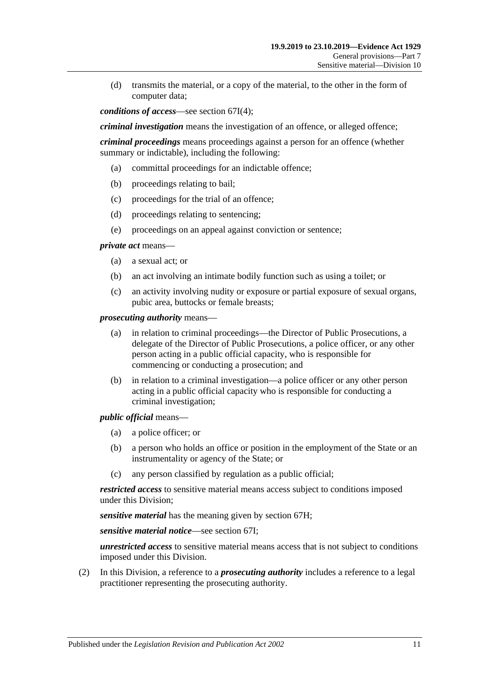(d) transmits the material, or a copy of the material, to the other in the form of computer data;

*conditions of access*—see [section](#page-80-0) 67I(4);

*criminal investigation* means the investigation of an offence, or alleged offence;

*criminal proceedings* means proceedings against a person for an offence (whether summary or indictable), including the following:

- (a) committal proceedings for an indictable offence;
- (b) proceedings relating to bail;
- (c) proceedings for the trial of an offence;
- (d) proceedings relating to sentencing;
- (e) proceedings on an appeal against conviction or sentence;

*private act* means—

- (a) a sexual act; or
- (b) an act involving an intimate bodily function such as using a toilet; or
- (c) an activity involving nudity or exposure or partial exposure of sexual organs, pubic area, buttocks or female breasts;

*prosecuting authority* means—

- (a) in relation to criminal proceedings—the Director of Public Prosecutions, a delegate of the Director of Public Prosecutions, a police officer, or any other person acting in a public official capacity, who is responsible for commencing or conducting a prosecution; and
- (b) in relation to a criminal investigation—a police officer or any other person acting in a public official capacity who is responsible for conducting a criminal investigation;

*public official* means—

- (a) a police officer; or
- (b) a person who holds an office or position in the employment of the State or an instrumentality or agency of the State; or
- (c) any person classified by regulation as a public official;

*restricted access* to sensitive material means access subject to conditions imposed under this Division;

*sensitive material* has the meaning given by [section](#page-79-0) 67H;

*sensitive material notice*—see [section](#page-79-1) 67I;

*unrestricted access* to sensitive material means access that is not subject to conditions imposed under this Division.

(2) In this Division, a reference to a *prosecuting authority* includes a reference to a legal practitioner representing the prosecuting authority.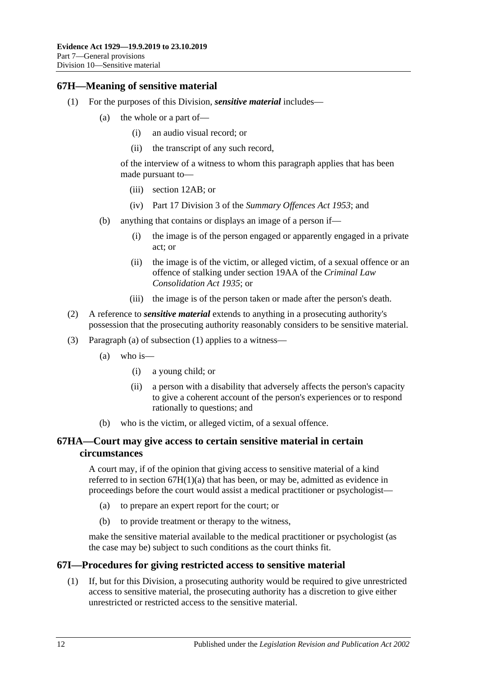## <span id="page-79-3"></span><span id="page-79-0"></span>**67H—Meaning of sensitive material**

- <span id="page-79-2"></span>(1) For the purposes of this Division, *sensitive material* includes—
	- (a) the whole or a part of—
		- (i) an audio visual record; or
		- (ii) the transcript of any such record,

of the interview of a witness to whom this paragraph applies that has been made pursuant to—

- (iii) [section](#page-12-0) 12AB; or
- (iv) Part 17 Division 3 of the *[Summary Offences Act](http://www.legislation.sa.gov.au/index.aspx?action=legref&type=act&legtitle=Summary%20Offences%20Act%201953) 1953*; and
- (b) anything that contains or displays an image of a person if—
	- (i) the image is of the person engaged or apparently engaged in a private act; or
	- (ii) the image is of the victim, or alleged victim, of a sexual offence or an offence of stalking under section 19AA of the *[Criminal Law](http://www.legislation.sa.gov.au/index.aspx?action=legref&type=act&legtitle=Criminal%20Law%20Consolidation%20Act%201935)  [Consolidation Act](http://www.legislation.sa.gov.au/index.aspx?action=legref&type=act&legtitle=Criminal%20Law%20Consolidation%20Act%201935) 1935*; or
	- (iii) the image is of the person taken or made after the person's death.
- (2) A reference to *sensitive material* extends to anything in a prosecuting authority's possession that the prosecuting authority reasonably considers to be sensitive material.
- (3) [Paragraph](#page-79-2) (a) of [subsection](#page-79-3) (1) applies to a witness—
	- (a) who is—
		- (i) a young child; or
		- (ii) a person with a disability that adversely affects the person's capacity to give a coherent account of the person's experiences or to respond rationally to questions; and
	- (b) who is the victim, or alleged victim, of a sexual offence.

### **67HA—Court may give access to certain sensitive material in certain circumstances**

A court may, if of the opinion that giving access to sensitive material of a kind referred to in section  $67H(1)(a)$  that has been, or may be, admitted as evidence in proceedings before the court would assist a medical practitioner or psychologist—

- (a) to prepare an expert report for the court; or
- (b) to provide treatment or therapy to the witness,

make the sensitive material available to the medical practitioner or psychologist (as the case may be) subject to such conditions as the court thinks fit.

### <span id="page-79-1"></span>**67I—Procedures for giving restricted access to sensitive material**

(1) If, but for this Division, a prosecuting authority would be required to give unrestricted access to sensitive material, the prosecuting authority has a discretion to give either unrestricted or restricted access to the sensitive material.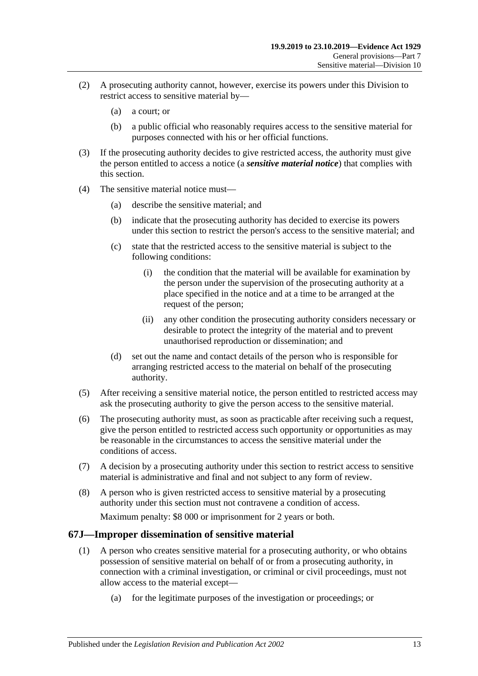- (2) A prosecuting authority cannot, however, exercise its powers under this Division to restrict access to sensitive material by—
	- (a) a court; or
	- (b) a public official who reasonably requires access to the sensitive material for purposes connected with his or her official functions.
- (3) If the prosecuting authority decides to give restricted access, the authority must give the person entitled to access a notice (a *sensitive material notice*) that complies with this section.
- <span id="page-80-0"></span>(4) The sensitive material notice must—
	- (a) describe the sensitive material; and
	- (b) indicate that the prosecuting authority has decided to exercise its powers under this section to restrict the person's access to the sensitive material; and
	- (c) state that the restricted access to the sensitive material is subject to the following conditions:
		- (i) the condition that the material will be available for examination by the person under the supervision of the prosecuting authority at a place specified in the notice and at a time to be arranged at the request of the person;
		- (ii) any other condition the prosecuting authority considers necessary or desirable to protect the integrity of the material and to prevent unauthorised reproduction or dissemination; and
	- (d) set out the name and contact details of the person who is responsible for arranging restricted access to the material on behalf of the prosecuting authority.
- (5) After receiving a sensitive material notice, the person entitled to restricted access may ask the prosecuting authority to give the person access to the sensitive material.
- (6) The prosecuting authority must, as soon as practicable after receiving such a request, give the person entitled to restricted access such opportunity or opportunities as may be reasonable in the circumstances to access the sensitive material under the conditions of access.
- (7) A decision by a prosecuting authority under this section to restrict access to sensitive material is administrative and final and not subject to any form of review.
- (8) A person who is given restricted access to sensitive material by a prosecuting authority under this section must not contravene a condition of access.

Maximum penalty: \$8 000 or imprisonment for 2 years or both.

### <span id="page-80-1"></span>**67J—Improper dissemination of sensitive material**

- (1) A person who creates sensitive material for a prosecuting authority, or who obtains possession of sensitive material on behalf of or from a prosecuting authority, in connection with a criminal investigation, or criminal or civil proceedings, must not allow access to the material except—
	- (a) for the legitimate purposes of the investigation or proceedings; or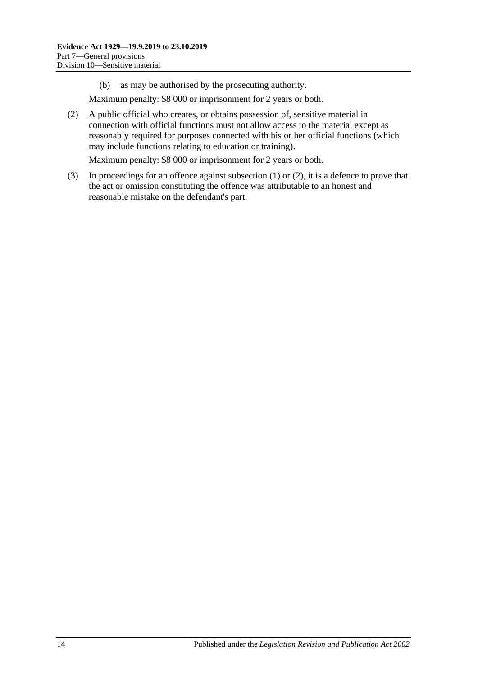(b) as may be authorised by the prosecuting authority.

Maximum penalty: \$8 000 or imprisonment for 2 years or both.

<span id="page-81-0"></span>(2) A public official who creates, or obtains possession of, sensitive material in connection with official functions must not allow access to the material except as reasonably required for purposes connected with his or her official functions (which may include functions relating to education or training).

Maximum penalty: \$8 000 or imprisonment for 2 years or both.

(3) In proceedings for an offence against [subsection](#page-80-1) (1) or [\(2\),](#page-81-0) it is a defence to prove that the act or omission constituting the offence was attributable to an honest and reasonable mistake on the defendant's part.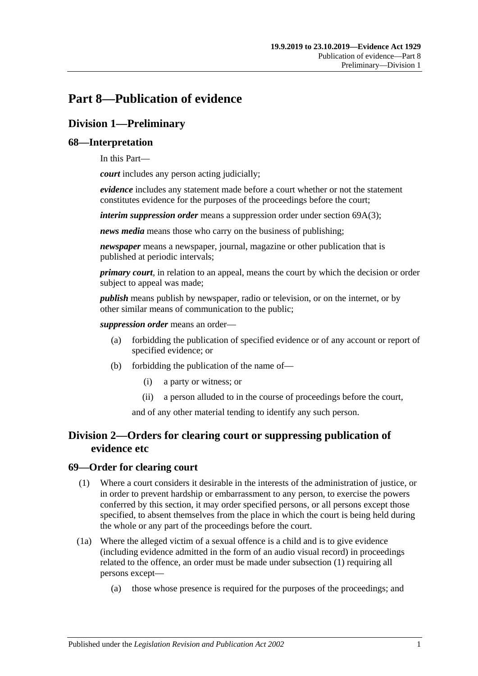# **Part 8—Publication of evidence**

# **Division 1—Preliminary**

## **68—Interpretation**

In this Part—

*court* includes any person acting judicially;

*evidence* includes any statement made before a court whether or not the statement constitutes evidence for the purposes of the proceedings before the court;

*interim suppression order* means a suppression order under section [69A\(3\);](#page-83-0)

*news media* means those who carry on the business of publishing;

*newspaper* means a newspaper, journal, magazine or other publication that is published at periodic intervals;

*primary court*, in relation to an appeal, means the court by which the decision or order subject to appeal was made;

*publish* means publish by newspaper, radio or television, or on the internet, or by other similar means of communication to the public;

*suppression order* means an order—

- (a) forbidding the publication of specified evidence or of any account or report of specified evidence; or
- (b) forbidding the publication of the name of—
	- (i) a party or witness; or
	- (ii) a person alluded to in the course of proceedings before the court,

and of any other material tending to identify any such person.

## **Division 2—Orders for clearing court or suppressing publication of evidence etc**

### <span id="page-82-0"></span>**69—Order for clearing court**

- (1) Where a court considers it desirable in the interests of the administration of justice, or in order to prevent hardship or embarrassment to any person, to exercise the powers conferred by this section, it may order specified persons, or all persons except those specified, to absent themselves from the place in which the court is being held during the whole or any part of the proceedings before the court.
- (1a) Where the alleged victim of a sexual offence is a child and is to give evidence (including evidence admitted in the form of an audio visual record) in proceedings related to the offence, an order must be made under [subsection](#page-82-0) (1) requiring all persons except—
	- (a) those whose presence is required for the purposes of the proceedings; and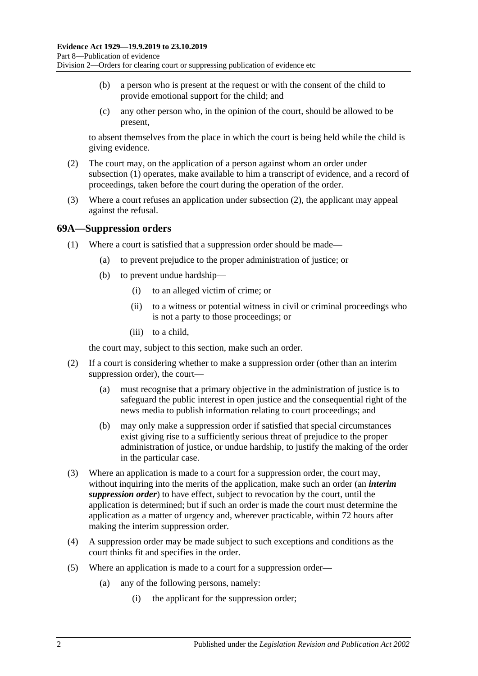- (b) a person who is present at the request or with the consent of the child to provide emotional support for the child; and
- (c) any other person who, in the opinion of the court, should be allowed to be present,

to absent themselves from the place in which the court is being held while the child is giving evidence.

- <span id="page-83-1"></span>(2) The court may, on the application of a person against whom an order under [subsection](#page-82-0) (1) operates, make available to him a transcript of evidence, and a record of proceedings, taken before the court during the operation of the order.
- (3) Where a court refuses an application under [subsection](#page-83-1) (2), the applicant may appeal against the refusal.

### **69A—Suppression orders**

- (1) Where a court is satisfied that a suppression order should be made—
	- (a) to prevent prejudice to the proper administration of justice; or
	- (b) to prevent undue hardship—
		- (i) to an alleged victim of crime; or
		- (ii) to a witness or potential witness in civil or criminal proceedings who is not a party to those proceedings; or
		- (iii) to a child,

the court may, subject to this section, make such an order.

- (2) If a court is considering whether to make a suppression order (other than an interim suppression order), the court—
	- (a) must recognise that a primary objective in the administration of justice is to safeguard the public interest in open justice and the consequential right of the news media to publish information relating to court proceedings; and
	- (b) may only make a suppression order if satisfied that special circumstances exist giving rise to a sufficiently serious threat of prejudice to the proper administration of justice, or undue hardship, to justify the making of the order in the particular case.
- <span id="page-83-0"></span>(3) Where an application is made to a court for a suppression order, the court may, without inquiring into the merits of the application, make such an order (an *interim suppression order*) to have effect, subject to revocation by the court, until the application is determined; but if such an order is made the court must determine the application as a matter of urgency and, wherever practicable, within 72 hours after making the interim suppression order.
- (4) A suppression order may be made subject to such exceptions and conditions as the court thinks fit and specifies in the order.
- <span id="page-83-2"></span>(5) Where an application is made to a court for a suppression order—
	- (a) any of the following persons, namely:
		- (i) the applicant for the suppression order;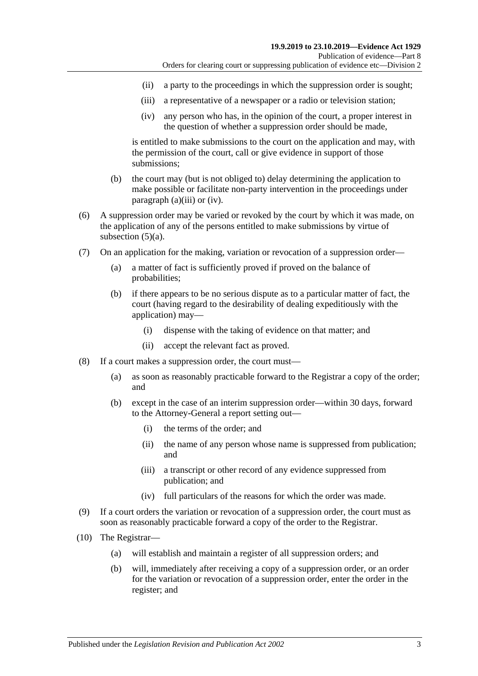- (ii) a party to the proceedings in which the suppression order is sought;
- <span id="page-84-0"></span>(iii) a representative of a newspaper or a radio or television station;
- (iv) any person who has, in the opinion of the court, a proper interest in the question of whether a suppression order should be made,

<span id="page-84-1"></span>is entitled to make submissions to the court on the application and may, with the permission of the court, call or give evidence in support of those submissions;

- (b) the court may (but is not obliged to) delay determining the application to make possible or facilitate non-party intervention in the proceedings under [paragraph](#page-84-0) (a)(iii) or [\(iv\).](#page-84-1)
- (6) A suppression order may be varied or revoked by the court by which it was made, on the application of any of the persons entitled to make submissions by virtue of [subsection](#page-83-2) (5)(a).
- (7) On an application for the making, variation or revocation of a suppression order—
	- (a) a matter of fact is sufficiently proved if proved on the balance of probabilities;
	- (b) if there appears to be no serious dispute as to a particular matter of fact, the court (having regard to the desirability of dealing expeditiously with the application) may—
		- (i) dispense with the taking of evidence on that matter; and
		- (ii) accept the relevant fact as proved.
- (8) If a court makes a suppression order, the court must—
	- (a) as soon as reasonably practicable forward to the Registrar a copy of the order; and
	- (b) except in the case of an interim suppression order—within 30 days, forward to the Attorney-General a report setting out—
		- (i) the terms of the order; and
		- (ii) the name of any person whose name is suppressed from publication; and
		- (iii) a transcript or other record of any evidence suppressed from publication; and
		- (iv) full particulars of the reasons for which the order was made.
- (9) If a court orders the variation or revocation of a suppression order, the court must as soon as reasonably practicable forward a copy of the order to the Registrar.
- (10) The Registrar—
	- (a) will establish and maintain a register of all suppression orders; and
	- (b) will, immediately after receiving a copy of a suppression order, or an order for the variation or revocation of a suppression order, enter the order in the register; and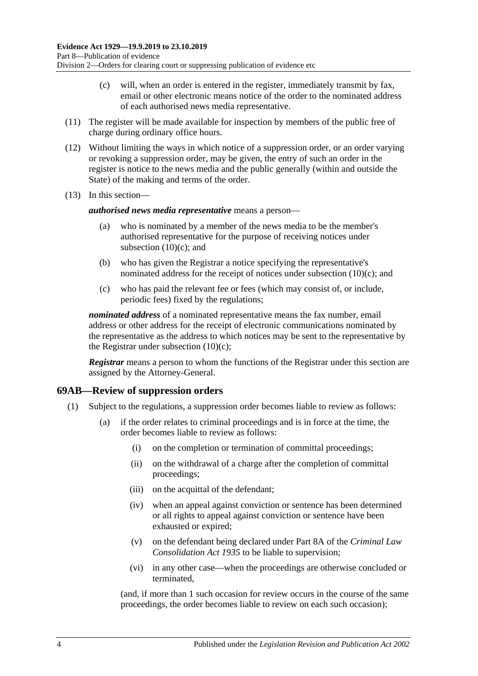- (c) will, when an order is entered in the register, immediately transmit by fax, email or other electronic means notice of the order to the nominated address of each authorised news media representative.
- <span id="page-85-0"></span>(11) The register will be made available for inspection by members of the public free of charge during ordinary office hours.
- (12) Without limiting the ways in which notice of a suppression order, or an order varying or revoking a suppression order, may be given, the entry of such an order in the register is notice to the news media and the public generally (within and outside the State) of the making and terms of the order.
- (13) In this section—

#### *authorised news media representative* means a person—

- (a) who is nominated by a member of the news media to be the member's authorised representative for the purpose of receiving notices under [subsection](#page-85-0)  $(10)(c)$ ; and
- (b) who has given the Registrar a notice specifying the representative's nominated address for the receipt of notices under [subsection](#page-85-0) (10)(c); and
- (c) who has paid the relevant fee or fees (which may consist of, or include, periodic fees) fixed by the regulations;

*nominated address* of a nominated representative means the fax number, email address or other address for the receipt of electronic communications nominated by the representative as the address to which notices may be sent to the representative by the Registrar under [subsection](#page-85-0)  $(10)(c)$ ;

*Registrar* means a person to whom the functions of the Registrar under this section are assigned by the Attorney-General.

### **69AB—Review of suppression orders**

- (1) Subject to the regulations, a suppression order becomes liable to review as follows:
	- (a) if the order relates to criminal proceedings and is in force at the time, the order becomes liable to review as follows:
		- (i) on the completion or termination of committal proceedings;
		- (ii) on the withdrawal of a charge after the completion of committal proceedings;
		- (iii) on the acquittal of the defendant;
		- (iv) when an appeal against conviction or sentence has been determined or all rights to appeal against conviction or sentence have been exhausted or expired;
		- (v) on the defendant being declared under Part 8A of the *[Criminal Law](http://www.legislation.sa.gov.au/index.aspx?action=legref&type=act&legtitle=Criminal%20Law%20Consolidation%20Act%201935)  [Consolidation Act](http://www.legislation.sa.gov.au/index.aspx?action=legref&type=act&legtitle=Criminal%20Law%20Consolidation%20Act%201935) 1935* to be liable to supervision;
		- (vi) in any other case—when the proceedings are otherwise concluded or terminated,

(and, if more than 1 such occasion for review occurs in the course of the same proceedings, the order becomes liable to review on each such occasion);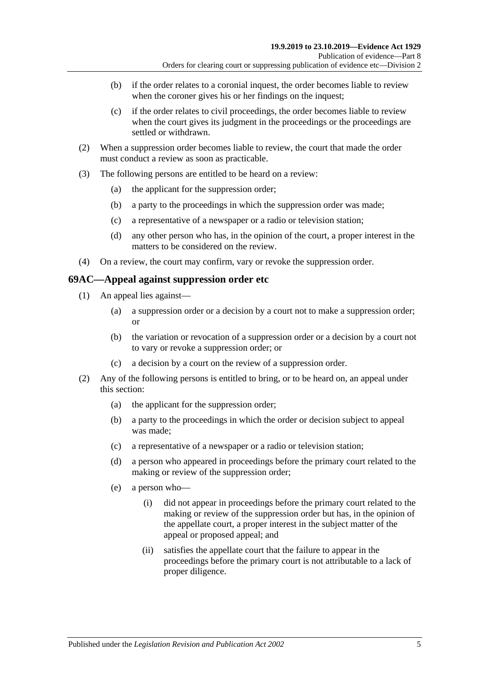- (b) if the order relates to a coronial inquest, the order becomes liable to review when the coroner gives his or her findings on the inquest;
- (c) if the order relates to civil proceedings, the order becomes liable to review when the court gives its judgment in the proceedings or the proceedings are settled or withdrawn.
- (2) When a suppression order becomes liable to review, the court that made the order must conduct a review as soon as practicable.
- (3) The following persons are entitled to be heard on a review:
	- (a) the applicant for the suppression order;
	- (b) a party to the proceedings in which the suppression order was made;
	- (c) a representative of a newspaper or a radio or television station;
	- (d) any other person who has, in the opinion of the court, a proper interest in the matters to be considered on the review.
- (4) On a review, the court may confirm, vary or revoke the suppression order.

#### **69AC—Appeal against suppression order etc**

- (1) An appeal lies against—
	- (a) a suppression order or a decision by a court not to make a suppression order; or
	- (b) the variation or revocation of a suppression order or a decision by a court not to vary or revoke a suppression order; or
	- (c) a decision by a court on the review of a suppression order.
- (2) Any of the following persons is entitled to bring, or to be heard on, an appeal under this section:
	- (a) the applicant for the suppression order;
	- (b) a party to the proceedings in which the order or decision subject to appeal was made;
	- (c) a representative of a newspaper or a radio or television station;
	- (d) a person who appeared in proceedings before the primary court related to the making or review of the suppression order;
	- (e) a person who—
		- (i) did not appear in proceedings before the primary court related to the making or review of the suppression order but has, in the opinion of the appellate court, a proper interest in the subject matter of the appeal or proposed appeal; and
		- (ii) satisfies the appellate court that the failure to appear in the proceedings before the primary court is not attributable to a lack of proper diligence.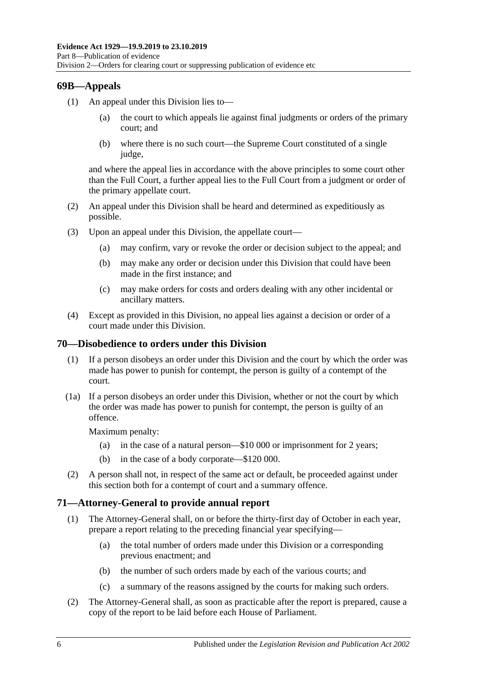## **69B—Appeals**

- (1) An appeal under this Division lies to
	- the court to which appeals lie against final judgments or orders of the primary court; and
	- (b) where there is no such court—the Supreme Court constituted of a single judge,

and where the appeal lies in accordance with the above principles to some court other than the Full Court, a further appeal lies to the Full Court from a judgment or order of the primary appellate court.

- (2) An appeal under this Division shall be heard and determined as expeditiously as possible.
- (3) Upon an appeal under this Division, the appellate court—
	- (a) may confirm, vary or revoke the order or decision subject to the appeal; and
	- (b) may make any order or decision under this Division that could have been made in the first instance; and
	- (c) may make orders for costs and orders dealing with any other incidental or ancillary matters.
- (4) Except as provided in this Division, no appeal lies against a decision or order of a court made under this Division.

### **70—Disobedience to orders under this Division**

- (1) If a person disobeys an order under this Division and the court by which the order was made has power to punish for contempt, the person is guilty of a contempt of the court.
- (1a) If a person disobeys an order under this Division, whether or not the court by which the order was made has power to punish for contempt, the person is guilty of an offence.

Maximum penalty:

- (a) in the case of a natural person—\$10 000 or imprisonment for 2 years;
- (b) in the case of a body corporate—\$120 000.
- (2) A person shall not, in respect of the same act or default, be proceeded against under this section both for a contempt of court and a summary offence.

### **71—Attorney-General to provide annual report**

- (1) The Attorney-General shall, on or before the thirty-first day of October in each year, prepare a report relating to the preceding financial year specifying—
	- (a) the total number of orders made under this Division or a corresponding previous enactment; and
	- (b) the number of such orders made by each of the various courts; and
	- (c) a summary of the reasons assigned by the courts for making such orders.
- (2) The Attorney-General shall, as soon as practicable after the report is prepared, cause a copy of the report to be laid before each House of Parliament.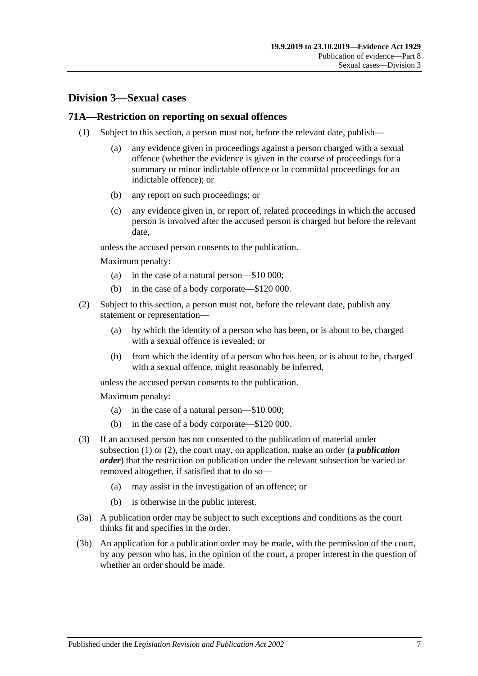## **Division 3—Sexual cases**

#### <span id="page-88-0"></span>**71A—Restriction on reporting on sexual offences**

- (1) Subject to this section, a person must not, before the relevant date, publish—
	- (a) any evidence given in proceedings against a person charged with a sexual offence (whether the evidence is given in the course of proceedings for a summary or minor indictable offence or in committal proceedings for an indictable offence); or
	- (b) any report on such proceedings; or
	- (c) any evidence given in, or report of, related proceedings in which the accused person is involved after the accused person is charged but before the relevant date,

unless the accused person consents to the publication.

Maximum penalty:

- (a) in the case of a natural person—\$10 000;
- (b) in the case of a body corporate—\$120 000.
- <span id="page-88-1"></span>(2) Subject to this section, a person must not, before the relevant date, publish any statement or representation—
	- (a) by which the identity of a person who has been, or is about to be, charged with a sexual offence is revealed; or
	- (b) from which the identity of a person who has been, or is about to be, charged with a sexual offence, might reasonably be inferred,

unless the accused person consents to the publication.

Maximum penalty:

- (a) in the case of a natural person—\$10 000;
- (b) in the case of a body corporate—\$120 000.
- (3) If an accused person has not consented to the publication of material under [subsection](#page-88-0) (1) or [\(2\),](#page-88-1) the court may, on application, make an order (a *publication order*) that the restriction on publication under the relevant subsection be varied or removed altogether, if satisfied that to do so—
	- (a) may assist in the investigation of an offence; or
	- (b) is otherwise in the public interest.
- (3a) A publication order may be subject to such exceptions and conditions as the court thinks fit and specifies in the order.
- (3b) An application for a publication order may be made, with the permission of the court, by any person who has, in the opinion of the court, a proper interest in the question of whether an order should be made.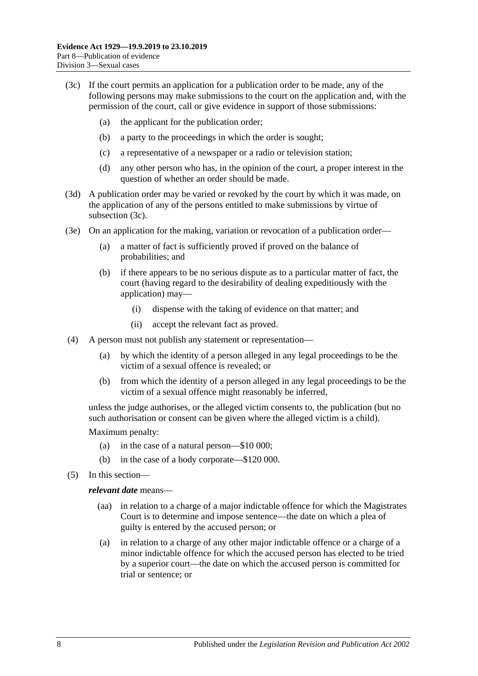- <span id="page-89-0"></span>(3c) If the court permits an application for a publication order to be made, any of the following persons may make submissions to the court on the application and, with the permission of the court, call or give evidence in support of those submissions:
	- (a) the applicant for the publication order;
	- (b) a party to the proceedings in which the order is sought;
	- (c) a representative of a newspaper or a radio or television station;
	- (d) any other person who has, in the opinion of the court, a proper interest in the question of whether an order should be made.
- (3d) A publication order may be varied or revoked by the court by which it was made, on the application of any of the persons entitled to make submissions by virtue of [subsection](#page-89-0) (3c).
- (3e) On an application for the making, variation or revocation of a publication order—
	- (a) a matter of fact is sufficiently proved if proved on the balance of probabilities; and
	- (b) if there appears to be no serious dispute as to a particular matter of fact, the court (having regard to the desirability of dealing expeditiously with the application) may—
		- (i) dispense with the taking of evidence on that matter; and
		- (ii) accept the relevant fact as proved.
- (4) A person must not publish any statement or representation—
	- (a) by which the identity of a person alleged in any legal proceedings to be the victim of a sexual offence is revealed; or
	- (b) from which the identity of a person alleged in any legal proceedings to be the victim of a sexual offence might reasonably be inferred,

unless the judge authorises, or the alleged victim consents to, the publication (but no such authorisation or consent can be given where the alleged victim is a child).

Maximum penalty:

- (a) in the case of a natural person—\$10 000;
- (b) in the case of a body corporate—\$120 000.
- (5) In this section—

#### *relevant date* means—

- (aa) in relation to a charge of a major indictable offence for which the Magistrates Court is to determine and impose sentence—the date on which a plea of guilty is entered by the accused person; or
- (a) in relation to a charge of any other major indictable offence or a charge of a minor indictable offence for which the accused person has elected to be tried by a superior court—the date on which the accused person is committed for trial or sentence; or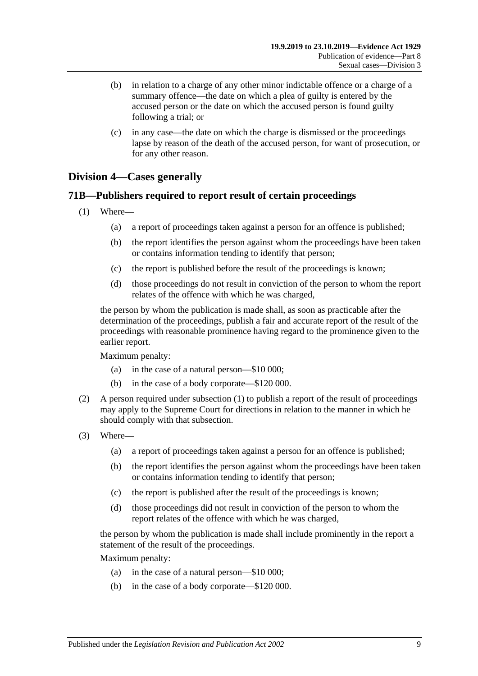- (b) in relation to a charge of any other minor indictable offence or a charge of a summary offence—the date on which a plea of guilty is entered by the accused person or the date on which the accused person is found guilty following a trial; or
- (c) in any case—the date on which the charge is dismissed or the proceedings lapse by reason of the death of the accused person, for want of prosecution, or for any other reason.

## **Division 4—Cases generally**

### <span id="page-90-0"></span>**71B—Publishers required to report result of certain proceedings**

- (1) Where—
	- (a) a report of proceedings taken against a person for an offence is published;
	- (b) the report identifies the person against whom the proceedings have been taken or contains information tending to identify that person;
	- (c) the report is published before the result of the proceedings is known;
	- (d) those proceedings do not result in conviction of the person to whom the report relates of the offence with which he was charged,

the person by whom the publication is made shall, as soon as practicable after the determination of the proceedings, publish a fair and accurate report of the result of the proceedings with reasonable prominence having regard to the prominence given to the earlier report.

Maximum penalty:

- (a) in the case of a natural person—\$10 000;
- (b) in the case of a body corporate—\$120 000.
- (2) A person required under [subsection](#page-90-0) (1) to publish a report of the result of proceedings may apply to the Supreme Court for directions in relation to the manner in which he should comply with that subsection.
- (3) Where—
	- (a) a report of proceedings taken against a person for an offence is published;
	- (b) the report identifies the person against whom the proceedings have been taken or contains information tending to identify that person;
	- (c) the report is published after the result of the proceedings is known;
	- (d) those proceedings did not result in conviction of the person to whom the report relates of the offence with which he was charged,

the person by whom the publication is made shall include prominently in the report a statement of the result of the proceedings.

Maximum penalty:

- (a) in the case of a natural person—\$10 000;
- (b) in the case of a body corporate—\$120 000.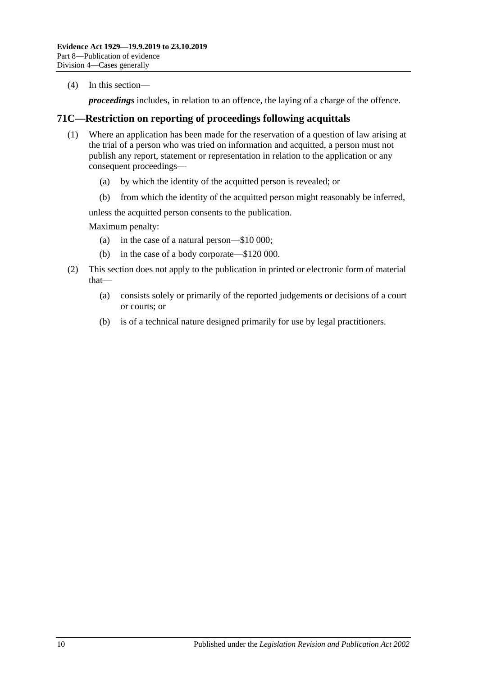(4) In this section—

*proceedings* includes, in relation to an offence, the laying of a charge of the offence.

## **71C—Restriction on reporting of proceedings following acquittals**

- (1) Where an application has been made for the reservation of a question of law arising at the trial of a person who was tried on information and acquitted, a person must not publish any report, statement or representation in relation to the application or any consequent proceedings—
	- (a) by which the identity of the acquitted person is revealed; or
	- (b) from which the identity of the acquitted person might reasonably be inferred,

unless the acquitted person consents to the publication.

Maximum penalty:

- (a) in the case of a natural person—\$10 000;
- (b) in the case of a body corporate—\$120 000.
- (2) This section does not apply to the publication in printed or electronic form of material that—
	- (a) consists solely or primarily of the reported judgements or decisions of a court or courts; or
	- (b) is of a technical nature designed primarily for use by legal practitioners.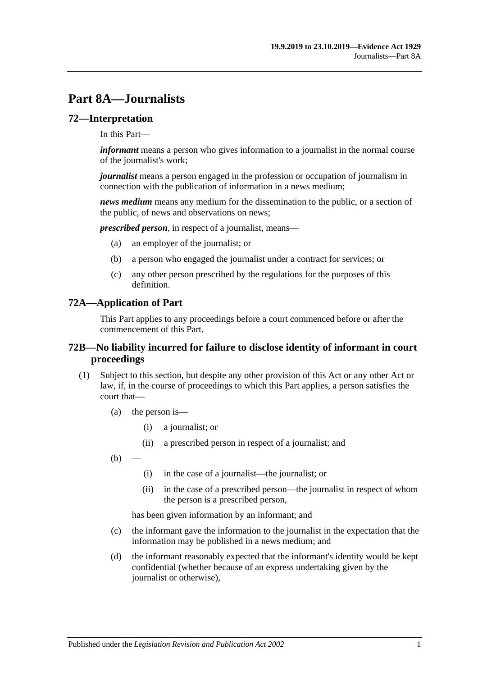# **Part 8A—Journalists**

#### **72—Interpretation**

In this Part—

*informant* means a person who gives information to a journalist in the normal course of the journalist's work;

*journalist* means a person engaged in the profession or occupation of journalism in connection with the publication of information in a news medium;

*news medium* means any medium for the dissemination to the public, or a section of the public, of news and observations on news;

*prescribed person*, in respect of a journalist, means—

- (a) an employer of the journalist; or
- (b) a person who engaged the journalist under a contract for services; or
- (c) any other person prescribed by the regulations for the purposes of this definition.

#### **72A—Application of Part**

This Part applies to any proceedings before a court commenced before or after the commencement of this Part.

#### **72B—No liability incurred for failure to disclose identity of informant in court proceedings**

- <span id="page-92-0"></span>(1) Subject to this section, but despite any other provision of this Act or any other Act or law, if, in the course of proceedings to which this Part applies, a person satisfies the court that—
	- (a) the person is—
		- (i) a journalist; or
		- (ii) a prescribed person in respect of a journalist; and
	- $(b)$ 
		- (i) in the case of a journalist—the journalist; or
		- (ii) in the case of a prescribed person—the journalist in respect of whom the person is a prescribed person,

has been given information by an informant; and

- (c) the informant gave the information to the journalist in the expectation that the information may be published in a news medium; and
- (d) the informant reasonably expected that the informant's identity would be kept confidential (whether because of an express undertaking given by the journalist or otherwise),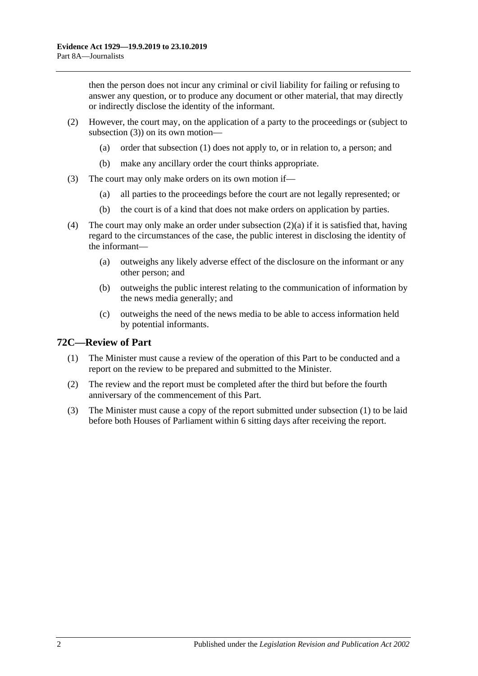then the person does not incur any criminal or civil liability for failing or refusing to answer any question, or to produce any document or other material, that may directly or indirectly disclose the identity of the informant.

- <span id="page-93-1"></span>(2) However, the court may, on the application of a party to the proceedings or (subject to [subsection](#page-93-0) (3)) on its own motion—
	- (a) order that [subsection](#page-92-0) (1) does not apply to, or in relation to, a person; and
	- (b) make any ancillary order the court thinks appropriate.
- <span id="page-93-0"></span>(3) The court may only make orders on its own motion if—
	- (a) all parties to the proceedings before the court are not legally represented; or
	- (b) the court is of a kind that does not make orders on application by parties.
- (4) The court may only make an order under [subsection](#page-93-1) (2)(a) if it is satisfied that, having regard to the circumstances of the case, the public interest in disclosing the identity of the informant—
	- (a) outweighs any likely adverse effect of the disclosure on the informant or any other person; and
	- (b) outweighs the public interest relating to the communication of information by the news media generally; and
	- (c) outweighs the need of the news media to be able to access information held by potential informants.

## <span id="page-93-2"></span>**72C—Review of Part**

- (1) The Minister must cause a review of the operation of this Part to be conducted and a report on the review to be prepared and submitted to the Minister.
- (2) The review and the report must be completed after the third but before the fourth anniversary of the commencement of this Part.
- (3) The Minister must cause a copy of the report submitted under [subsection](#page-93-2) (1) to be laid before both Houses of Parliament within 6 sitting days after receiving the report.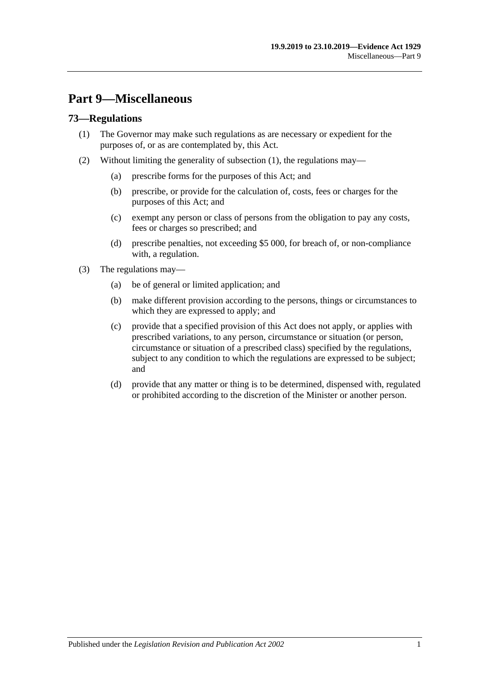# **Part 9—Miscellaneous**

## <span id="page-94-0"></span>**73—Regulations**

- (1) The Governor may make such regulations as are necessary or expedient for the purposes of, or as are contemplated by, this Act.
- (2) Without limiting the generality of [subsection](#page-94-0) (1), the regulations may—
	- (a) prescribe forms for the purposes of this Act; and
	- (b) prescribe, or provide for the calculation of, costs, fees or charges for the purposes of this Act; and
	- (c) exempt any person or class of persons from the obligation to pay any costs, fees or charges so prescribed; and
	- (d) prescribe penalties, not exceeding \$5 000, for breach of, or non-compliance with, a regulation.
- (3) The regulations may—
	- (a) be of general or limited application; and
	- (b) make different provision according to the persons, things or circumstances to which they are expressed to apply; and
	- (c) provide that a specified provision of this Act does not apply, or applies with prescribed variations, to any person, circumstance or situation (or person, circumstance or situation of a prescribed class) specified by the regulations, subject to any condition to which the regulations are expressed to be subject; and
	- (d) provide that any matter or thing is to be determined, dispensed with, regulated or prohibited according to the discretion of the Minister or another person.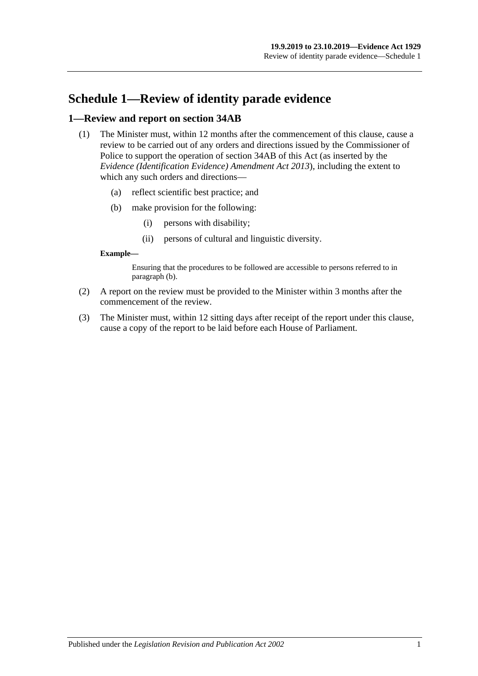# **Schedule 1—Review of identity parade evidence**

### **1—Review and report on section 34AB**

- (1) The Minister must, within 12 months after the commencement of this clause, cause a review to be carried out of any orders and directions issued by the Commissioner of Police to support the operation of section 34AB of this Act (as inserted by the *[Evidence \(Identification Evidence\) Amendment Act](http://www.legislation.sa.gov.au/index.aspx?action=legref&type=act&legtitle=Evidence%20(Identification%20Evidence)%20Amendment%20Act%202013) 2013*), including the extent to which any such orders and directions—
	- (a) reflect scientific best practice; and
	- (b) make provision for the following:
		- (i) persons with disability;
		- (ii) persons of cultural and linguistic diversity.

#### <span id="page-96-0"></span>**Example—**

Ensuring that the procedures to be followed are accessible to persons referred to in [paragraph](#page-96-0) (b).

- (2) A report on the review must be provided to the Minister within 3 months after the commencement of the review.
- (3) The Minister must, within 12 sitting days after receipt of the report under this clause, cause a copy of the report to be laid before each House of Parliament.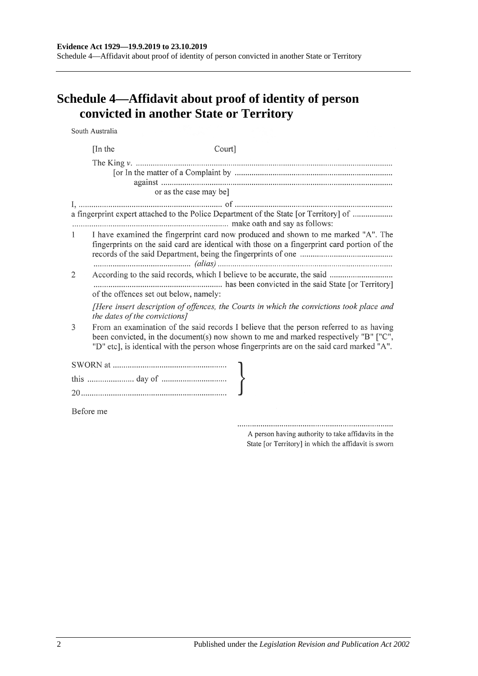Schedule 4—Affidavit about proof of identity of person convicted in another State or Territory

# **Schedule 4—Affidavit about proof of identity of person convicted in another State or Territory**

South Australia

|              | [In the<br>Court]                                                                                                                                                                                                                                                             |  |
|--------------|-------------------------------------------------------------------------------------------------------------------------------------------------------------------------------------------------------------------------------------------------------------------------------|--|
|              |                                                                                                                                                                                                                                                                               |  |
|              | or as the case may be]                                                                                                                                                                                                                                                        |  |
|              | a fingerprint expert attached to the Police Department of the State [or Territory] of                                                                                                                                                                                         |  |
| $\mathbf{1}$ | I have examined the fingerprint card now produced and shown to me marked "A". The<br>fingerprints on the said card are identical with those on a fingerprint card portion of the                                                                                              |  |
| 2            | According to the said records, which I believe to be accurate, the said<br>of the offences set out below, namely:                                                                                                                                                             |  |
|              | [Here insert description of offences, the Courts in which the convictions took place and<br>the dates of the convictions]                                                                                                                                                     |  |
| 3            | From an examination of the said records I believe that the person referred to as having<br>been convicted, in the document(s) now shown to me and marked respectively "B" ["C",<br>"D" etc], is identical with the person whose fingerprints are on the said card marked "A". |  |
|              |                                                                                                                                                                                                                                                                               |  |
|              |                                                                                                                                                                                                                                                                               |  |
|              |                                                                                                                                                                                                                                                                               |  |
|              | Before me                                                                                                                                                                                                                                                                     |  |

A person having authority to take affidavits in the State [or Territory] in which the affidavit is sworn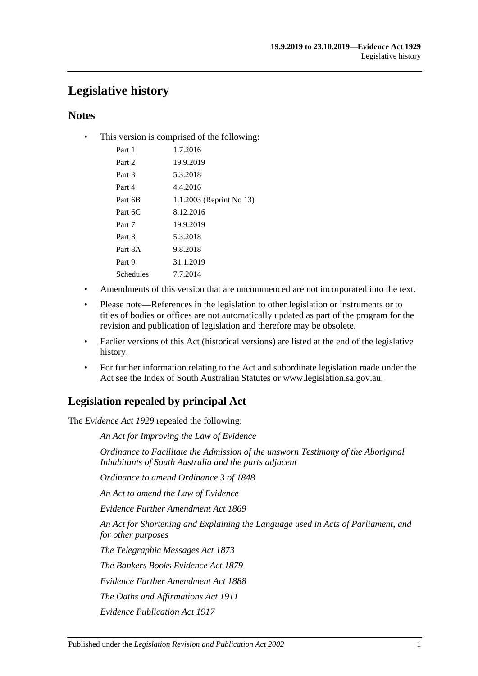# **Legislative history**

## **Notes**

• This version is comprised of the following:

| Part 1    | 1.7.2016                 |
|-----------|--------------------------|
| Part 2    | 19.9.2019                |
| Part 3    | 5.3.2018                 |
| Part 4    | 4.4.2016                 |
| Part 6B   | 1.1.2003 (Reprint No 13) |
| Part 6C   | 8.12.2016                |
| Part 7    | 19.9.2019                |
| Part 8    | 5.3.2018                 |
| Part 8A   | 9.8.2018                 |
| Part 9    | 31.1.2019                |
| Schedules | 7.7.2014                 |
|           |                          |

- Amendments of this version that are uncommenced are not incorporated into the text.
- Please note—References in the legislation to other legislation or instruments or to titles of bodies or offices are not automatically updated as part of the program for the revision and publication of legislation and therefore may be obsolete.
- Earlier versions of this Act (historical versions) are listed at the end of the legislative history.
- For further information relating to the Act and subordinate legislation made under the Act see the Index of South Australian Statutes or www.legislation.sa.gov.au.

# **Legislation repealed by principal Act**

The *Evidence Act 1929* repealed the following:

*An Act for Improving the Law of Evidence*

*Ordinance to Facilitate the Admission of the unsworn Testimony of the Aboriginal Inhabitants of South Australia and the parts adjacent*

*Ordinance to amend Ordinance 3 of 1848*

*An Act to amend the Law of Evidence*

*Evidence Further Amendment Act 1869*

*An Act for Shortening and Explaining the Language used in Acts of Parliament, and for other purposes*

*The Telegraphic Messages Act 1873*

*The Bankers Books Evidence Act 1879*

*Evidence Further Amendment Act 1888*

*The Oaths and Affirmations Act 1911*

*Evidence Publication Act 1917*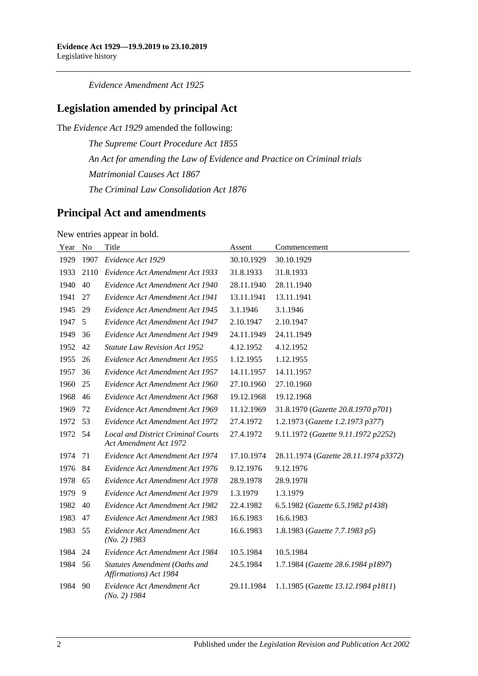*Evidence Amendment Act 1925*

## **Legislation amended by principal Act**

The *Evidence Act 1929* amended the following:

*The Supreme Court Procedure Act 1855 An Act for amending the Law of Evidence and Practice on Criminal trials Matrimonial Causes Act 1867 The Criminal Law Consolidation Act 1876*

## **Principal Act and amendments**

New entries appear in bold.

| Year | N <sub>o</sub> | Title                                                               | Assent     | Commencement                          |
|------|----------------|---------------------------------------------------------------------|------------|---------------------------------------|
| 1929 | 1907           | Evidence Act 1929                                                   | 30.10.1929 | 30.10.1929                            |
| 1933 | 2110           | Evidence Act Amendment Act 1933                                     | 31.8.1933  | 31.8.1933                             |
| 1940 | 40             | Evidence Act Amendment Act 1940                                     | 28.11.1940 | 28.11.1940                            |
| 1941 | 27             | Evidence Act Amendment Act 1941                                     | 13.11.1941 | 13.11.1941                            |
| 1945 | 29             | Evidence Act Amendment Act 1945                                     | 3.1.1946   | 3.1.1946                              |
| 1947 | 5              | Evidence Act Amendment Act 1947                                     | 2.10.1947  | 2.10.1947                             |
| 1949 | 36             | Evidence Act Amendment Act 1949                                     | 24.11.1949 | 24.11.1949                            |
| 1952 | 42             | <b>Statute Law Revision Act 1952</b>                                | 4.12.1952  | 4.12.1952                             |
| 1955 | 26             | Evidence Act Amendment Act 1955                                     | 1.12.1955  | 1.12.1955                             |
| 1957 | 36             | Evidence Act Amendment Act 1957                                     | 14.11.1957 | 14.11.1957                            |
| 1960 | 25             | Evidence Act Amendment Act 1960                                     | 27.10.1960 | 27.10.1960                            |
| 1968 | 46             | Evidence Act Amendment Act 1968                                     | 19.12.1968 | 19.12.1968                            |
| 1969 | 72             | Evidence Act Amendment Act 1969                                     | 11.12.1969 | 31.8.1970 (Gazette 20.8.1970 p701)    |
| 1972 | 53             | Evidence Act Amendment Act 1972                                     | 27.4.1972  | 1.2.1973 (Gazette 1.2.1973 p377)      |
| 1972 | 54             | <b>Local and District Criminal Courts</b><br>Act Amendment Act 1972 | 27.4.1972  | 9.11.1972 (Gazette 9.11.1972 p2252)   |
| 1974 | 71             | Evidence Act Amendment Act 1974                                     | 17.10.1974 | 28.11.1974 (Gazette 28.11.1974 p3372) |
| 1976 | 84             | Evidence Act Amendment Act 1976                                     | 9.12.1976  | 9.12.1976                             |
| 1978 | 65             | Evidence Act Amendment Act 1978                                     | 28.9.1978  | 28.9.1978                             |
| 1979 | 9              | Evidence Act Amendment Act 1979                                     | 1.3.1979   | 1.3.1979                              |
| 1982 | 40             | Evidence Act Amendment Act 1982                                     | 22.4.1982  | 6.5.1982 (Gazette 6.5.1982 p1438)     |
| 1983 | 47             | Evidence Act Amendment Act 1983                                     | 16.6.1983  | 16.6.1983                             |
| 1983 | 55             | Evidence Act Amendment Act<br>$(No. 2)$ 1983                        | 16.6.1983  | 1.8.1983 (Gazette 7.7.1983 p5)        |
| 1984 | 24             | Evidence Act Amendment Act 1984                                     | 10.5.1984  | 10.5.1984                             |
| 1984 | 56             | Statutes Amendment (Oaths and<br>Affirmations) Act 1984             | 24.5.1984  | 1.7.1984 (Gazette 28.6.1984 p1897)    |
| 1984 | 90             | Evidence Act Amendment Act<br>$(No. 2)$ 1984                        | 29.11.1984 | 1.1.1985 (Gazette 13.12.1984 p1811)   |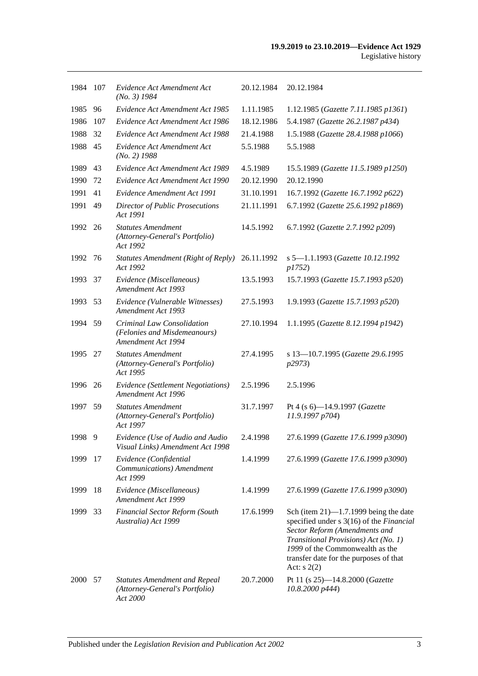| 1984 | - 107 | Evidence Act Amendment Act<br>$(No. 3)$ 1984                                       | 20.12.1984 | 20.12.1984                                                                                                                                                                                                                                                |
|------|-------|------------------------------------------------------------------------------------|------------|-----------------------------------------------------------------------------------------------------------------------------------------------------------------------------------------------------------------------------------------------------------|
| 1985 | 96    | Evidence Act Amendment Act 1985                                                    | 1.11.1985  | 1.12.1985 (Gazette 7.11.1985 p1361)                                                                                                                                                                                                                       |
| 1986 | 107   | Evidence Act Amendment Act 1986                                                    | 18.12.1986 | 5.4.1987 (Gazette 26.2.1987 p434)                                                                                                                                                                                                                         |
| 1988 | 32    | Evidence Act Amendment Act 1988                                                    | 21.4.1988  | 1.5.1988 (Gazette 28.4.1988 p1066)                                                                                                                                                                                                                        |
| 1988 | 45    | Evidence Act Amendment Act<br>$(No. 2)$ 1988                                       | 5.5.1988   | 5.5.1988                                                                                                                                                                                                                                                  |
| 1989 | 43    | Evidence Act Amendment Act 1989                                                    | 4.5.1989   | 15.5.1989 (Gazette 11.5.1989 p1250)                                                                                                                                                                                                                       |
| 1990 | 72    | Evidence Act Amendment Act 1990                                                    | 20.12.1990 | 20.12.1990                                                                                                                                                                                                                                                |
| 1991 | 41    | Evidence Amendment Act 1991                                                        | 31.10.1991 | 16.7.1992 (Gazette 16.7.1992 p622)                                                                                                                                                                                                                        |
| 1991 | 49    | <b>Director of Public Prosecutions</b><br>Act 1991                                 | 21.11.1991 | 6.7.1992 (Gazette 25.6.1992 p1869)                                                                                                                                                                                                                        |
| 1992 | 26    | <b>Statutes Amendment</b><br>(Attorney-General's Portfolio)<br>Act 1992            | 14.5.1992  | 6.7.1992 (Gazette 2.7.1992 p209)                                                                                                                                                                                                                          |
| 1992 | 76    | Statutes Amendment (Right of Reply)<br>Act 1992                                    | 26.11.1992 | s 5-1.1.1993 (Gazette 10.12.1992<br><i>p1752</i> )                                                                                                                                                                                                        |
| 1993 | 37    | Evidence (Miscellaneous)<br>Amendment Act 1993                                     | 13.5.1993  | 15.7.1993 (Gazette 15.7.1993 p520)                                                                                                                                                                                                                        |
| 1993 | 53    | Evidence (Vulnerable Witnesses)<br><b>Amendment Act 1993</b>                       | 27.5.1993  | 1.9.1993 (Gazette 15.7.1993 p520)                                                                                                                                                                                                                         |
| 1994 | 59    | Criminal Law Consolidation<br>(Felonies and Misdemeanours)<br>Amendment Act 1994   | 27.10.1994 | 1.1.1995 (Gazette 8.12.1994 p1942)                                                                                                                                                                                                                        |
| 1995 | 27    | <b>Statutes Amendment</b><br>(Attorney-General's Portfolio)<br>Act 1995            | 27.4.1995  | s 13-10.7.1995 (Gazette 29.6.1995<br>p2973)                                                                                                                                                                                                               |
| 1996 | 26    | Evidence (Settlement Negotiations)<br>Amendment Act 1996                           | 2.5.1996   | 2.5.1996                                                                                                                                                                                                                                                  |
| 1997 | 59    | <b>Statutes Amendment</b><br>(Attorney-General's Portfolio)<br>Act 1997            | 31.7.1997  | Pt 4 (s 6)-14.9.1997 (Gazette<br>11.9.1997 p704                                                                                                                                                                                                           |
| 1998 | -9    | Evidence (Use of Audio and Audio<br>Visual Links) Amendment Act 1998               | 2.4.1998   | 27.6.1999 (Gazette 17.6.1999 p3090)                                                                                                                                                                                                                       |
| 1999 | 17    | Evidence (Confidential<br>Communications) Amendment<br>Act 1999                    | 1.4.1999   | 27.6.1999 (Gazette 17.6.1999 p3090)                                                                                                                                                                                                                       |
| 1999 | 18    | Evidence (Miscellaneous)<br>Amendment Act 1999                                     | 1.4.1999   | 27.6.1999 (Gazette 17.6.1999 p3090)                                                                                                                                                                                                                       |
| 1999 | 33    | Financial Sector Reform (South<br>Australia) Act 1999                              | 17.6.1999  | Sch (item $21$ )—1.7.1999 being the date<br>specified under s 3(16) of the Financial<br>Sector Reform (Amendments and<br>Transitional Provisions) Act (No. 1)<br>1999 of the Commonwealth as the<br>transfer date for the purposes of that<br>Act: $s(2)$ |
| 2000 | 57    | <b>Statutes Amendment and Repeal</b><br>(Attorney-General's Portfolio)<br>Act 2000 | 20.7.2000  | Pt 11 (s 25)-14.8.2000 (Gazette<br>10.8.2000 p444)                                                                                                                                                                                                        |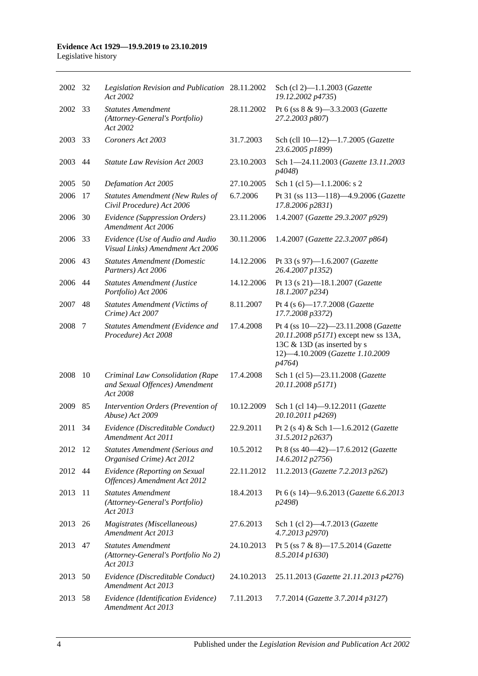#### **Evidence Act 1929—19.9.2019 to 23.10.2019** Legislative history

| 2002 32 |    | Legislation Revision and Publication 28.11.2002<br>Act 2002                    |            | Sch (cl 2)-1.1.2003 ( <i>Gazette</i><br>19.12.2002 p4735)                                                                                                |
|---------|----|--------------------------------------------------------------------------------|------------|----------------------------------------------------------------------------------------------------------------------------------------------------------|
| 2002    | 33 | <b>Statutes Amendment</b><br>(Attorney-General's Portfolio)<br>Act 2002        | 28.11.2002 | Pt 6 (ss 8 & 9)-3.3.2003 (Gazette<br>27.2.2003 p807)                                                                                                     |
| 2003    | 33 | Coroners Act 2003                                                              | 31.7.2003  | Sch (cll 10-12)-1.7.2005 (Gazette<br>23.6.2005 p1899)                                                                                                    |
| 2003    | 44 | <b>Statute Law Revision Act 2003</b>                                           | 23.10.2003 | Sch 1-24.11.2003 (Gazette 13.11.2003<br>p4048)                                                                                                           |
| 2005    | 50 | Defamation Act 2005                                                            | 27.10.2005 | Sch 1 (cl 5)— $1.1.2006$ : s 2                                                                                                                           |
| 2006    | 17 | <b>Statutes Amendment (New Rules of</b><br>Civil Procedure) Act 2006           | 6.7.2006   | Pt 31 (ss 113-118)-4.9.2006 (Gazette<br>17.8.2006 p2831)                                                                                                 |
| 2006    | 30 | Evidence (Suppression Orders)<br>Amendment Act 2006                            | 23.11.2006 | 1.4.2007 (Gazette 29.3.2007 p929)                                                                                                                        |
| 2006    | 33 | Evidence (Use of Audio and Audio<br>Visual Links) Amendment Act 2006           | 30.11.2006 | 1.4.2007 (Gazette 22.3.2007 p864)                                                                                                                        |
| 2006    | 43 | <b>Statutes Amendment (Domestic</b><br>Partners) Act 2006                      | 14.12.2006 | Pt 33 (s 97)-1.6.2007 (Gazette<br>26.4.2007 p1352)                                                                                                       |
| 2006    | 44 | <b>Statutes Amendment (Justice</b><br>Portfolio) Act 2006                      | 14.12.2006 | Pt 13 (s 21)-18.1.2007 (Gazette<br>18.1.2007 p234)                                                                                                       |
| 2007    | 48 | <b>Statutes Amendment (Victims of</b><br>Crime) Act 2007                       | 8.11.2007  | Pt 4 (s 6)-17.7.2008 (Gazette<br>17.7.2008 p3372)                                                                                                        |
| 2008    | 7  | Statutes Amendment (Evidence and<br>Procedure) Act 2008                        | 17.4.2008  | Pt 4 (ss 10-22)-23.11.2008 (Gazette<br>20.11.2008 p5171) except new ss 13A,<br>13C & 13D (as inserted by s<br>12)-4.10.2009 (Gazette 1.10.2009<br>p4764) |
| 2008    | 10 | Criminal Law Consolidation (Rape<br>and Sexual Offences) Amendment<br>Act 2008 | 17.4.2008  | Sch 1 (cl 5)-23.11.2008 (Gazette<br>20.11.2008 p5171)                                                                                                    |
| 2009    | 85 | Intervention Orders (Prevention of<br>Abuse) Act 2009                          | 10.12.2009 | Sch 1 (cl 14)-9.12.2011 (Gazette<br>20.10.2011 p4269)                                                                                                    |
| 2011    | 34 | Evidence (Discreditable Conduct)<br>Amendment Act 2011                         | 22.9.2011  | Pt 2 (s 4) & Sch 1-1.6.2012 (Gazette<br>31.5.2012 p2637)                                                                                                 |
| 2012 12 |    | <b>Statutes Amendment (Serious and</b><br>Organised Crime) Act 2012            | 10.5.2012  | Pt 8 (ss 40-42)-17.6.2012 (Gazette<br>14.6.2012 p2756)                                                                                                   |
| 2012    | 44 | Evidence (Reporting on Sexual<br>Offences) Amendment Act 2012                  | 22.11.2012 | 11.2.2013 (Gazette 7.2.2013 p262)                                                                                                                        |
| 2013    | 11 | <b>Statutes Amendment</b><br>(Attorney-General's Portfolio)<br>Act 2013        | 18.4.2013  | Pt 6 (s 14)-9.6.2013 (Gazette 6.6.2013<br>p2498)                                                                                                         |
| 2013    | 26 | Magistrates (Miscellaneous)<br>Amendment Act 2013                              | 27.6.2013  | Sch 1 (cl 2)-4.7.2013 (Gazette<br>4.7.2013 p2970)                                                                                                        |
| 2013    | 47 | <b>Statutes Amendment</b><br>(Attorney-General's Portfolio No 2)<br>Act 2013   | 24.10.2013 | Pt 5 (ss 7 & 8)-17.5.2014 (Gazette<br>8.5.2014 p1630)                                                                                                    |
| 2013    | 50 | Evidence (Discreditable Conduct)<br>Amendment Act 2013                         | 24.10.2013 | 25.11.2013 (Gazette 21.11.2013 p4276)                                                                                                                    |
| 2013 58 |    | Evidence (Identification Evidence)<br>Amendment Act 2013                       | 7.11.2013  | 7.7.2014 (Gazette 3.7.2014 p3127)                                                                                                                        |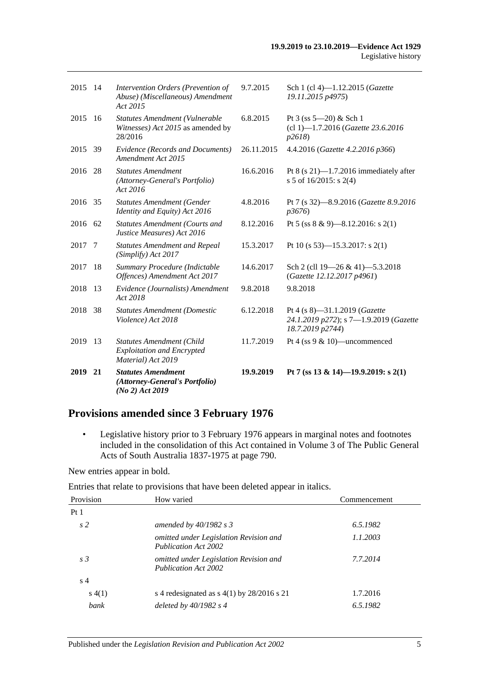| 2019 21 |     | <b>Statutes Amendment</b><br>(Attorney-General's Portfolio)<br>$(No 2)$ Act 2019            | 19.9.2019  | Pt 7 (ss 13 & 14)-19.9.2019: s 2(1)                                                         |
|---------|-----|---------------------------------------------------------------------------------------------|------------|---------------------------------------------------------------------------------------------|
| 2019    | 13  | <b>Statutes Amendment (Child</b><br><b>Exploitation and Encrypted</b><br>Material) Act 2019 | 11.7.2019  | Pt 4 (ss $9 & 10$ )—uncommenced                                                             |
| 2018    | 38  | <b>Statutes Amendment (Domestic</b><br>Violence) Act 2018                                   | 6.12.2018  | Pt 4 (s 8)-31.1.2019 (Gazette<br>24.1.2019 p272); s 7-1.9.2019 (Gazette<br>18.7.2019 p2744) |
| 2018    | 13  | Evidence (Journalists) Amendment<br>Act 2018                                                | 9.8.2018   | 9.8.2018                                                                                    |
| 2017    | 18  | Summary Procedure (Indictable<br>Offences) Amendment Act 2017                               | 14.6.2017  | Sch 2 (cll 19-26 & 41)-5.3.2018<br>(Gazette 12.12.2017 p4961)                               |
| 2017    | 7   | <b>Statutes Amendment and Repeal</b><br>(Simplify) Act 2017                                 | 15.3.2017  | Pt 10 (s 53)—15.3.2017: s 2(1)                                                              |
| 2016 62 |     | <b>Statutes Amendment (Courts and</b><br>Justice Measures) Act 2016                         | 8.12.2016  | Pt 5 (ss $8 \& 9$ )-8.12.2016: s 2(1)                                                       |
| 2016 35 |     | <b>Statutes Amendment (Gender</b><br>Identity and Equity) Act 2016                          | 4.8.2016   | Pt 7 (s 32)-8.9.2016 (Gazette 8.9.2016<br>p3676                                             |
| 2016    | 28  | <b>Statutes Amendment</b><br>(Attorney-General's Portfolio)<br>Act 2016                     | 16.6.2016  | Pt $8$ (s 21)-1.7.2016 immediately after<br>s 5 of $16/2015$ : s 2(4)                       |
| 2015    | 39  | Evidence (Records and Documents)<br>Amendment Act 2015                                      | 26.11.2015 | 4.4.2016 (Gazette 4.2.2016 p366)                                                            |
| 2015    | 16  | Statutes Amendment (Vulnerable<br>Witnesses) Act 2015 as amended by<br>28/2016              | 6.8.2015   | Pt $3$ (ss $5 - 20$ ) & Sch 1<br>(cl 1)-1.7.2016 (Gazette 23.6.2016<br><i>p</i> 2618)       |
| 2015    | -14 | Intervention Orders (Prevention of<br>Abuse) (Miscellaneous) Amendment<br>Act 2015          | 9.7.2015   | Sch 1 (cl 4)-1.12.2015 (Gazette<br>19.11.2015 p4975)                                        |
|         |     |                                                                                             |            |                                                                                             |

# **Provisions amended since 3 February 1976**

• Legislative history prior to 3 February 1976 appears in marginal notes and footnotes included in the consolidation of this Act contained in Volume 3 of The Public General Acts of South Australia 1837-1975 at page 790.

New entries appear in bold.

Entries that relate to provisions that have been deleted appear in italics.

| Provision      | How varied                                                            | Commencement |
|----------------|-----------------------------------------------------------------------|--------------|
| Pt1            |                                                                       |              |
| s <sub>2</sub> | amended by $40/1982$ s 3                                              | 6.5.1982     |
|                | omitted under Legislation Revision and<br><b>Publication Act 2002</b> | 1.1.2003     |
| s <sub>3</sub> | omitted under Legislation Revision and<br><b>Publication Act 2002</b> | 7.7.2014     |
| s <sub>4</sub> |                                                                       |              |
| s(4(1))        | s 4 redesignated as $s$ 4(1) by 28/2016 s 21                          | 1.7.2016     |
| bank           | deleted by $40/1982$ s 4                                              | 6.5.1982     |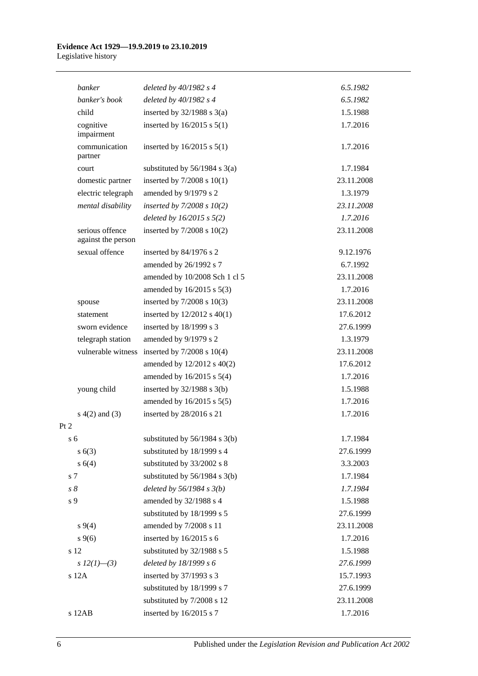#### **Evidence Act 1929—19.9.2019 to 23.10.2019** Legislative history

| banker                                | deleted by $40/1982$ s 4          | 6.5.1982   |
|---------------------------------------|-----------------------------------|------------|
| banker's book                         | deleted by 40/1982 s 4            | 6.5.1982   |
| child                                 | inserted by $32/1988$ s $3(a)$    | 1.5.1988   |
| cognitive<br>impairment               | inserted by $16/2015$ s $5(1)$    | 1.7.2016   |
| communication<br>partner              | inserted by $16/2015$ s $5(1)$    | 1.7.2016   |
| court                                 | substituted by $56/1984$ s $3(a)$ | 1.7.1984   |
| domestic partner                      | inserted by $7/2008$ s $10(1)$    | 23.11.2008 |
| electric telegraph                    | amended by 9/1979 s 2             | 1.3.1979   |
| mental disability                     | inserted by $7/2008 s 10(2)$      | 23.11.2008 |
|                                       | deleted by $16/2015$ s $5(2)$     | 1.7.2016   |
| serious offence<br>against the person | inserted by $7/2008$ s $10(2)$    | 23.11.2008 |
| sexual offence                        | inserted by 84/1976 s 2           | 9.12.1976  |
|                                       | amended by 26/1992 s 7            | 6.7.1992   |
|                                       | amended by 10/2008 Sch 1 cl 5     | 23.11.2008 |
|                                       | amended by 16/2015 s 5(3)         | 1.7.2016   |
| spouse                                | inserted by $7/2008$ s $10(3)$    | 23.11.2008 |
| statement                             | inserted by $12/2012$ s $40(1)$   | 17.6.2012  |
| sworn evidence                        | inserted by 18/1999 s 3           | 27.6.1999  |
| telegraph station                     | amended by 9/1979 s 2             | 1.3.1979   |
| vulnerable witness                    | inserted by $7/2008$ s $10(4)$    | 23.11.2008 |
|                                       | amended by 12/2012 s 40(2)        | 17.6.2012  |
|                                       | amended by $16/2015$ s $5(4)$     | 1.7.2016   |
| young child                           | inserted by $32/1988$ s $3(b)$    | 1.5.1988   |
|                                       | amended by 16/2015 s 5(5)         | 1.7.2016   |
| $s(4(2)$ and $(3)$                    | inserted by 28/2016 s 21          | 1.7.2016   |
| Pt 2                                  |                                   |            |
| s <sub>6</sub>                        | substituted by 56/1984 s 3(b)     | 1.7.1984   |
| s(6(3))                               | substituted by 18/1999 s 4        | 27.6.1999  |
| s(4)                                  | substituted by 33/2002 s 8        | 3.3.2003   |
| s 7                                   | substituted by $56/1984$ s $3(b)$ | 1.7.1984   |
| $s\,8$                                | deleted by $56/1984 s 3(b)$       | 1.7.1984   |
| s 9                                   | amended by 32/1988 s 4            | 1.5.1988   |
|                                       | substituted by 18/1999 s 5        | 27.6.1999  |
| $s\,9(4)$                             | amended by 7/2008 s 11            | 23.11.2008 |
| $s \, 9(6)$                           | inserted by 16/2015 s 6           | 1.7.2016   |
| s 12                                  | substituted by 32/1988 s 5        | 1.5.1988   |
| s $12(1)$ —(3)                        | deleted by 18/1999 s 6            | 27.6.1999  |
| s 12A                                 | inserted by 37/1993 s 3           | 15.7.1993  |
|                                       | substituted by 18/1999 s 7        | 27.6.1999  |
|                                       | substituted by 7/2008 s 12        | 23.11.2008 |
| s 12AB                                | inserted by 16/2015 s 7           | 1.7.2016   |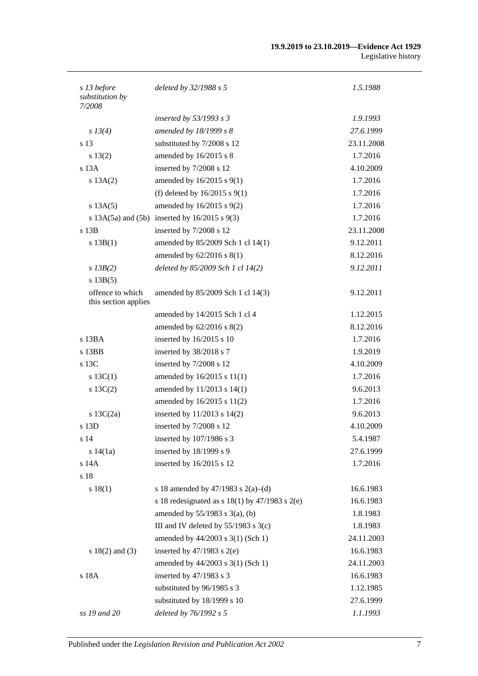#### **19.9.2019 to 23.10.2019—Evidence Act 1929** Legislative history

| s 13 before<br>substitution by<br>7/2008 | deleted by 32/1988 s 5                                | 1.5.1988   |
|------------------------------------------|-------------------------------------------------------|------------|
|                                          | inserted by $53/1993$ s 3                             | 1.9.1993   |
| s 13(4)                                  | amended by 18/1999 s 8                                | 27.6.1999  |
| s 13                                     | substituted by 7/2008 s 12                            | 23.11.2008 |
| $s\ 13(2)$                               | amended by 16/2015 s 8                                | 1.7.2016   |
| $s$ 13 $A$                               | inserted by 7/2008 s 12                               | 4.10.2009  |
| s 13A(2)                                 | amended by $16/2015$ s $9(1)$                         | 1.7.2016   |
|                                          | (f) deleted by $16/2015$ s $9(1)$                     | 1.7.2016   |
| s 13A(5)                                 | amended by 16/2015 s 9(2)                             | 1.7.2016   |
|                                          | s $13A(5a)$ and $(5b)$ inserted by $16/2015$ s $9(3)$ | 1.7.2016   |
| $s$ 13 $B$                               | inserted by 7/2008 s 12                               | 23.11.2008 |
| s 13B(1)                                 | amended by 85/2009 Sch 1 cl 14(1)                     | 9.12.2011  |
|                                          | amended by $62/2016$ s $8(1)$                         | 8.12.2016  |
| $s$ 13B(2)                               | deleted by 85/2009 Sch 1 cl 14(2)                     | 9.12.2011  |
| s 13B(5)                                 |                                                       |            |
| offence to which<br>this section applies | amended by 85/2009 Sch 1 cl 14(3)                     | 9.12.2011  |
|                                          | amended by 14/2015 Sch 1 cl 4                         | 1.12.2015  |
|                                          | amended by 62/2016 s 8(2)                             | 8.12.2016  |
| s 13BA                                   | inserted by 16/2015 s 10                              | 1.7.2016   |
| s 13BB                                   | inserted by 38/2018 s 7                               | 1.9.2019   |
| s 13C                                    | inserted by 7/2008 s 12                               | 4.10.2009  |
| s $13C(1)$                               | amended by 16/2015 s 11(1)                            | 1.7.2016   |
| $s \ 13C(2)$                             | amended by 11/2013 s 14(1)                            | 9.6.2013   |
|                                          | amended by 16/2015 s 11(2)                            | 1.7.2016   |
| s $13C(2a)$                              | inserted by 11/2013 s 14(2)                           | 9.6.2013   |
| s 13D                                    | inserted by 7/2008 s 12                               | 4.10.2009  |
| s 14                                     | inserted by 107/1986 s 3                              | 5.4.1987   |
| s 14(1a)                                 | inserted by 18/1999 s 9                               | 27.6.1999  |
| s 14A                                    | inserted by 16/2015 s 12                              | 1.7.2016   |
| s 18                                     |                                                       |            |
| s 18(1)                                  | s 18 amended by 47/1983 s 2(a)–(d)                    | 16.6.1983  |
|                                          | s 18 redesignated as s $18(1)$ by $47/1983$ s $2(e)$  | 16.6.1983  |
|                                          | amended by $55/1983$ s $3(a)$ , (b)                   | 1.8.1983   |
|                                          | III and IV deleted by 55/1983 s 3(c)                  | 1.8.1983   |
|                                          | amended by 44/2003 s 3(1) (Sch 1)                     | 24.11.2003 |
| s $18(2)$ and $(3)$                      | inserted by $47/1983$ s $2(e)$                        | 16.6.1983  |
|                                          | amended by 44/2003 s 3(1) (Sch 1)                     | 24.11.2003 |
| s 18A                                    | inserted by 47/1983 s 3                               | 16.6.1983  |
|                                          | substituted by 96/1985 s 3                            | 1.12.1985  |
|                                          | substituted by 18/1999 s 10                           | 27.6.1999  |
| ss 19 and 20                             | deleted by 76/1992 s 5                                | 1.1.1993   |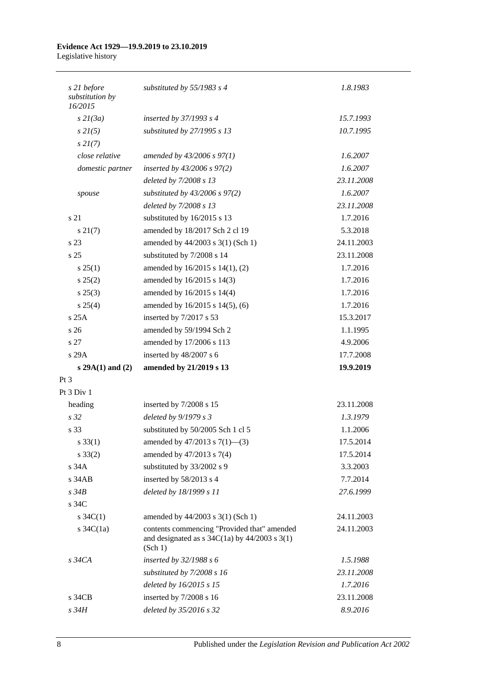#### **Evidence Act 1929—19.9.2019 to 23.10.2019** Legislative history

| s 21 before<br>substitution by<br>16/2015 | substituted by $55/1983$ s 4                                                                                                             | 1.8.1983   |
|-------------------------------------------|------------------------------------------------------------------------------------------------------------------------------------------|------------|
| $s$ 21(3a)                                | inserted by $37/1993$ s 4                                                                                                                | 15.7.1993  |
| $s \, 2I(5)$                              | substituted by 27/1995 s 13                                                                                                              | 10.7.1995  |
| $s\,2I(7)$                                |                                                                                                                                          |            |
| close relative                            | amended by 43/2006 s 97(1)                                                                                                               | 1.6.2007   |
| domestic partner                          | inserted by $43/2006$ s $97(2)$                                                                                                          | 1.6.2007   |
|                                           | deleted by 7/2008 s 13                                                                                                                   | 23.11.2008 |
| spouse                                    | substituted by $43/2006$ s $97(2)$                                                                                                       | 1.6.2007   |
|                                           | deleted by 7/2008 s 13                                                                                                                   | 23.11.2008 |
| s 21                                      | substituted by 16/2015 s 13                                                                                                              | 1.7.2016   |
| s 21(7)                                   | amended by 18/2017 Sch 2 cl 19                                                                                                           | 5.3.2018   |
| s 23                                      | amended by 44/2003 s 3(1) (Sch 1)                                                                                                        | 24.11.2003 |
| s <sub>25</sub>                           | substituted by 7/2008 s 14                                                                                                               | 23.11.2008 |
| $s \, 25(1)$                              | amended by 16/2015 s 14(1), (2)                                                                                                          | 1.7.2016   |
| s 25(2)                                   | amended by 16/2015 s 14(3)                                                                                                               | 1.7.2016   |
| $s\,25(3)$                                | amended by 16/2015 s 14(4)                                                                                                               | 1.7.2016   |
| s 25(4)                                   | amended by 16/2015 s 14(5), (6)                                                                                                          | 1.7.2016   |
| s25A                                      | inserted by 7/2017 s 53                                                                                                                  | 15.3.2017  |
| $\frac{1}{26}$                            | amended by 59/1994 Sch 2                                                                                                                 | 1.1.1995   |
| s 27                                      | amended by 17/2006 s 113                                                                                                                 | 4.9.2006   |
| s 29A                                     | inserted by 48/2007 s 6                                                                                                                  | 17.7.2008  |
| $s 29A(1)$ and (2)                        | amended by 21/2019 s 13                                                                                                                  | 19.9.2019  |
| $Pt\,3$                                   |                                                                                                                                          |            |
| Pt $3$ Div $1$                            |                                                                                                                                          |            |
| heading                                   | inserted by 7/2008 s 15                                                                                                                  | 23.11.2008 |
| s <sub>32</sub>                           | deleted by $9/1979 s 3$                                                                                                                  | 1.3.1979   |
| s 33                                      | substituted by 50/2005 Sch 1 cl 5                                                                                                        | 1.1.2006   |
| $s \, 33(1)$                              | amended by $47/2013$ s $7(1)$ —(3)                                                                                                       | 17.5.2014  |
| $s \, 33(2)$                              | amended by 47/2013 s 7(4)                                                                                                                | 17.5.2014  |
| s 34A                                     | substituted by 33/2002 s 9                                                                                                               | 3.3.2003   |
| $s$ 34 $AB$                               | inserted by 58/2013 s 4                                                                                                                  | 7.7.2014   |
| $s\,34B$                                  | deleted by 18/1999 s 11                                                                                                                  | 27.6.1999  |
| s 34C                                     |                                                                                                                                          |            |
| s $34C(1)$                                | amended by 44/2003 s 3(1) (Sch 1)                                                                                                        | 24.11.2003 |
| s $34C(1a)$                               | contents commencing "Provided that" amended<br>and designated as $s \frac{34C(1a)}{y} \frac{44}{2003} \frac{s \cdot 3(1)}{y}$<br>(Sch 1) | 24.11.2003 |
| $s\,34CA$                                 | inserted by $32/1988 s 6$                                                                                                                | 1.5.1988   |
|                                           | substituted by $7/2008 s 16$                                                                                                             | 23.11.2008 |
|                                           | deleted by 16/2015 s 15                                                                                                                  | 1.7.2016   |
| s 34CB                                    | inserted by 7/2008 s 16                                                                                                                  | 23.11.2008 |
| s 34H                                     | deleted by 35/2016 s 32                                                                                                                  | 8.9.2016   |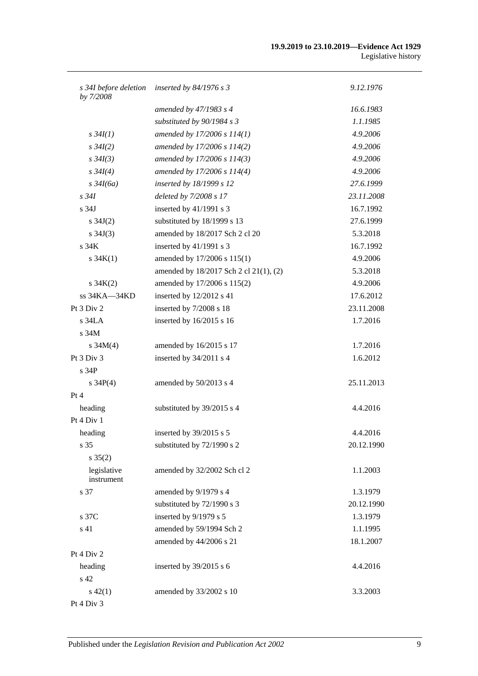#### **19.9.2019 to 23.10.2019—Evidence Act 1929** Legislative history

| s 34I before deletion<br>by 7/2008 | inserted by $84/1976$ s 3              | 9.12.1976  |
|------------------------------------|----------------------------------------|------------|
|                                    | amended by 47/1983 s 4                 | 16.6.1983  |
|                                    | substituted by $90/1984 s 3$           | 1.1.1985   |
| $s \, 34I(1)$                      | amended by 17/2006 s 114(1)            | 4.9.2006   |
| $s \, 34I(2)$                      | amended by 17/2006 s 114(2)            | 4.9.2006   |
| $s \, 34I(3)$                      | amended by 17/2006 s 114(3)            | 4.9.2006   |
| $s \, 34I(4)$                      | amended by 17/2006 s 114(4)            | 4.9.2006   |
| $s\,34I(6a)$                       | inserted by 18/1999 s 12               | 27.6.1999  |
| $s\,34I$                           | deleted by 7/2008 s 17                 | 23.11.2008 |
| s <sub>34J</sub>                   | inserted by 41/1991 s 3                | 16.7.1992  |
| s $34J(2)$                         | substituted by 18/1999 s 13            | 27.6.1999  |
| s $34J(3)$                         | amended by 18/2017 Sch 2 cl 20         | 5.3.2018   |
| s <sub>34K</sub>                   | inserted by 41/1991 s 3                | 16.7.1992  |
| $s \, 34K(1)$                      | amended by 17/2006 s 115(1)            | 4.9.2006   |
|                                    | amended by 18/2017 Sch 2 cl 21(1), (2) | 5.3.2018   |
| $s \, 34K(2)$                      | amended by 17/2006 s 115(2)            | 4.9.2006   |
| ss 34KA-34KD                       | inserted by 12/2012 s 41               | 17.6.2012  |
| Pt 3 Div 2                         | inserted by 7/2008 s 18                | 23.11.2008 |
| $s$ 34LA                           | inserted by 16/2015 s 16               | 1.7.2016   |
| s 34M                              |                                        |            |
| s $34M(4)$                         | amended by 16/2015 s 17                | 1.7.2016   |
| Pt 3 Div 3                         | inserted by 34/2011 s 4                | 1.6.2012   |
| s <sub>34P</sub>                   |                                        |            |
| s $34P(4)$                         | amended by 50/2013 s 4                 | 25.11.2013 |
| Pt 4                               |                                        |            |
| heading                            | substituted by 39/2015 s 4             | 4.4.2016   |
| Pt 4 Div 1                         |                                        |            |
| heading                            | inserted by 39/2015 s 5                | 4.4.2016   |
| s 35                               | substituted by 72/1990 s 2             | 20.12.1990 |
| $s \, 35(2)$                       |                                        |            |
| legislative<br>instrument          | amended by 32/2002 Sch cl 2            | 1.1.2003   |
| s 37                               | amended by 9/1979 s 4                  | 1.3.1979   |
|                                    | substituted by 72/1990 s 3             | 20.12.1990 |
| s 37C                              | inserted by 9/1979 s 5                 | 1.3.1979   |
| s 41                               | amended by 59/1994 Sch 2               | 1.1.1995   |
|                                    | amended by 44/2006 s 21                | 18.1.2007  |
| Pt 4 Div 2                         |                                        |            |
| heading                            | inserted by 39/2015 s 6                | 4.4.2016   |
| s 42                               |                                        |            |
| $s\ 42(1)$                         | amended by 33/2002 s 10                | 3.3.2003   |
| Pt 4 Div 3                         |                                        |            |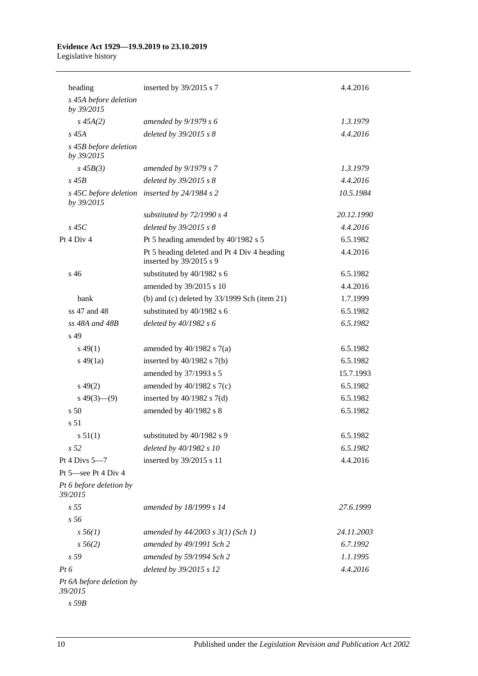#### **Evidence Act 1929—19.9.2019 to 23.10.2019** Legislative history

| heading                             | inserted by 39/2015 s 7                                                | 4.4.2016   |
|-------------------------------------|------------------------------------------------------------------------|------------|
| s 45A before deletion<br>by 39/2015 |                                                                        |            |
| $s\,45A(2)$                         | amended by $9/1979 s 6$                                                | 1.3.1979   |
| $s\,45A$                            | deleted by 39/2015 s 8                                                 | 4.4.2016   |
| s 45B before deletion<br>by 39/2015 |                                                                        |            |
| $s\,45B(3)$                         | amended by $9/1979 s 7$                                                | 1.3.1979   |
| $s\,45B$                            | deleted by $39/2015$ s $8$                                             | 4.4.2016   |
| by 39/2015                          | s 45C before deletion inserted by 24/1984 s 2                          | 10.5.1984  |
|                                     | substituted by $72/1990 s 4$                                           | 20.12.1990 |
| $s$ 45 $C$                          | deleted by 39/2015 s 8                                                 | 4.4.2016   |
| Pt 4 Div 4                          | Pt 5 heading amended by 40/1982 s 5                                    | 6.5.1982   |
|                                     | Pt 5 heading deleted and Pt 4 Div 4 heading<br>inserted by 39/2015 s 9 | 4.4.2016   |
| s 46                                | substituted by 40/1982 s 6                                             | 6.5.1982   |
|                                     | amended by 39/2015 s 10                                                | 4.4.2016   |
| bank                                | (b) and (c) deleted by $33/1999$ Sch (item 21)                         | 1.7.1999   |
| ss 47 and 48                        | substituted by 40/1982 s 6                                             | 6.5.1982   |
| $ss$ 48A and 48B                    | deleted by $40/1982 s 6$                                               | 6.5.1982   |
| s 49                                |                                                                        |            |
| $s\,49(1)$                          | amended by $40/1982$ s $7(a)$                                          | 6.5.1982   |
| $s\,49(1a)$                         | inserted by $40/1982$ s $7(b)$                                         | 6.5.1982   |
|                                     | amended by 37/1993 s 5                                                 | 15.7.1993  |
| $s\,49(2)$                          | amended by $40/1982$ s $7(c)$                                          | 6.5.1982   |
| $s\ 49(3)$ (9)                      | inserted by $40/1982$ s $7(d)$                                         | 6.5.1982   |
| s 50                                | amended by 40/1982 s 8                                                 | 6.5.1982   |
| s 51                                |                                                                        |            |
| s 51(1)                             | substituted by 40/1982 s 9                                             | 6.5.1982   |
| s <sub>52</sub>                     | deleted by 40/1982 s 10                                                | 6.5.1982   |
| Pt 4 Divs $5-7$                     | inserted by 39/2015 s 11                                               | 4.4.2016   |
| Pt 5-see Pt 4 Div 4                 |                                                                        |            |
| Pt 6 before deletion by<br>39/2015  |                                                                        |            |
| s <sub>55</sub>                     | amended by 18/1999 s 14                                                | 27.6.1999  |
| s 56                                |                                                                        |            |
| $s\,56(1)$                          | amended by $44/2003$ s $3(1)$ (Sch 1)                                  | 24.11.2003 |
| $s\,56(2)$                          | amended by 49/1991 Sch 2                                               | 6.7.1992   |
| s 59                                | amended by 59/1994 Sch 2                                               | 1.1.1995   |
| $Pt\,6$                             | deleted by 39/2015 s 12                                                | 4.4.2016   |
| Pt 6A before deletion by<br>39/2015 |                                                                        |            |

*s 59B*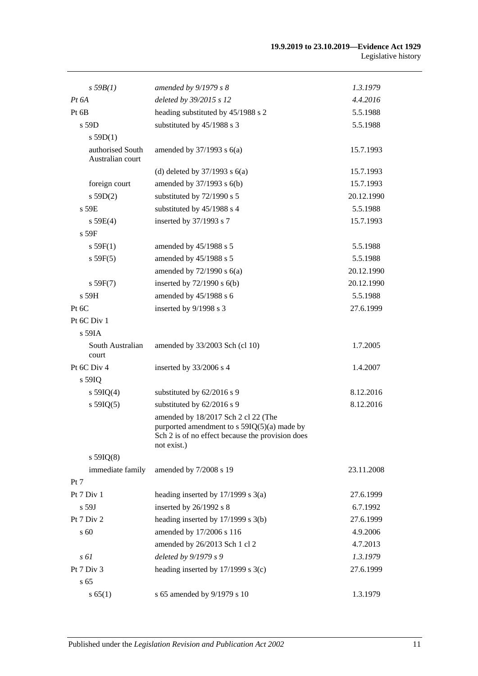| $s$ 59 $B(1)$                        | amended by $9/1979 s 8$                                                                                                                               | 1.3.1979   |
|--------------------------------------|-------------------------------------------------------------------------------------------------------------------------------------------------------|------------|
| $Pt\,6A$                             | deleted by 39/2015 s 12                                                                                                                               | 4.4.2016   |
| Pt 6B                                | heading substituted by 45/1988 s 2                                                                                                                    | 5.5.1988   |
| s 59D                                | substituted by 45/1988 s 3                                                                                                                            | 5.5.1988   |
| $s$ 59D(1)                           |                                                                                                                                                       |            |
| authorised South<br>Australian court | amended by $37/1993$ s $6(a)$                                                                                                                         | 15.7.1993  |
|                                      | (d) deleted by $37/1993$ s $6(a)$                                                                                                                     | 15.7.1993  |
| foreign court                        | amended by $37/1993$ s $6(b)$                                                                                                                         | 15.7.1993  |
| s 59D(2)                             | substituted by 72/1990 s 5                                                                                                                            | 20.12.1990 |
| s 59E                                | substituted by 45/1988 s 4                                                                                                                            | 5.5.1988   |
| s 59E(4)                             | inserted by 37/1993 s 7                                                                                                                               | 15.7.1993  |
| $s$ 59 $F$                           |                                                                                                                                                       |            |
| s 59F(1)                             | amended by 45/1988 s 5                                                                                                                                | 5.5.1988   |
| s 59F(5)                             | amended by 45/1988 s 5                                                                                                                                | 5.5.1988   |
|                                      | amended by $72/1990$ s $6(a)$                                                                                                                         | 20.12.1990 |
| s 59F(7)                             | inserted by $72/1990$ s $6(b)$                                                                                                                        | 20.12.1990 |
| s 59H                                | amended by 45/1988 s 6                                                                                                                                | 5.5.1988   |
| Pt 6C                                | inserted by 9/1998 s 3                                                                                                                                | 27.6.1999  |
| Pt 6C Div 1                          |                                                                                                                                                       |            |
| $s$ 59IA                             |                                                                                                                                                       |            |
| South Australian<br>court            | amended by 33/2003 Sch (cl 10)                                                                                                                        | 1.7.2005   |
| Pt 6C Div 4                          | inserted by 33/2006 s 4                                                                                                                               | 1.4.2007   |
| s 59IQ                               |                                                                                                                                                       |            |
| s $59IQ(4)$                          | substituted by 62/2016 s 9                                                                                                                            | 8.12.2016  |
| s $59IQ(5)$                          | substituted by 62/2016 s 9                                                                                                                            | 8.12.2016  |
|                                      | amended by 18/2017 Sch 2 cl 22 (The<br>purported amendment to s 59IQ(5)(a) made by<br>Sch 2 is of no effect because the provision does<br>not exist.) |            |
| $s$ 59IQ(8)                          |                                                                                                                                                       |            |
| immediate family                     | amended by 7/2008 s 19                                                                                                                                | 23.11.2008 |
| Pt 7                                 |                                                                                                                                                       |            |
| Pt 7 Div 1                           | heading inserted by $17/1999$ s $3(a)$                                                                                                                | 27.6.1999  |
| s 59J                                | inserted by 26/1992 s 8                                                                                                                               | 6.7.1992   |
| Pt 7 Div 2                           | heading inserted by 17/1999 s 3(b)                                                                                                                    | 27.6.1999  |
| s 60                                 | amended by 17/2006 s 116                                                                                                                              | 4.9.2006   |
|                                      | amended by 26/2013 Sch 1 cl 2                                                                                                                         | 4.7.2013   |
| s 61                                 | deleted by 9/1979 s 9                                                                                                                                 | 1.3.1979   |
| Pt 7 Div 3                           | heading inserted by 17/1999 s 3(c)                                                                                                                    | 27.6.1999  |
| s 65                                 |                                                                                                                                                       |            |
| s 65(1)                              | s 65 amended by 9/1979 s 10                                                                                                                           | 1.3.1979   |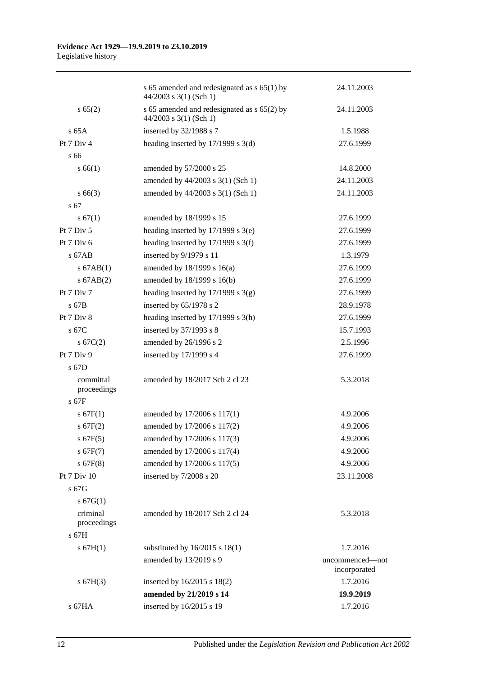|                          | s 65 amended and redesignated as $s$ 65(1) by<br>$44/2003$ s 3(1) (Sch 1) | 24.11.2003                      |
|--------------------------|---------------------------------------------------------------------------|---------------------------------|
| s 65(2)                  | s 65 amended and redesignated as s 65(2) by<br>$44/2003$ s 3(1) (Sch 1)   | 24.11.2003                      |
| $s$ 65A                  | inserted by 32/1988 s 7                                                   | 1.5.1988                        |
| Pt 7 Div 4               | heading inserted by $17/1999$ s $3(d)$                                    | 27.6.1999                       |
| s 66                     |                                                                           |                                 |
| s 66(1)                  | amended by 57/2000 s 25                                                   | 14.8.2000                       |
|                          | amended by 44/2003 s 3(1) (Sch 1)                                         | 24.11.2003                      |
| $s\,66(3)$               | amended by 44/2003 s 3(1) (Sch 1)                                         | 24.11.2003                      |
| s <sub>67</sub>          |                                                                           |                                 |
| s 67(1)                  | amended by 18/1999 s 15                                                   | 27.6.1999                       |
| Pt 7 Div 5               | heading inserted by $17/1999$ s $3(e)$                                    | 27.6.1999                       |
| Pt 7 Div 6               | heading inserted by $17/1999$ s 3(f)                                      | 27.6.1999                       |
| s 67AB                   | inserted by 9/1979 s 11                                                   | 1.3.1979                        |
| $s$ 67AB(1)              | amended by $18/1999$ s $16(a)$                                            | 27.6.1999                       |
| $s$ 67AB $(2)$           | amended by 18/1999 s 16(b)                                                | 27.6.1999                       |
| Pt 7 Div 7               | heading inserted by $17/1999$ s 3(g)                                      | 27.6.1999                       |
| s 67B                    | inserted by 65/1978 s 2                                                   | 28.9.1978                       |
| Pt 7 Div 8               | heading inserted by $17/1999$ s $3(h)$                                    | 27.6.1999                       |
| s 67C                    | inserted by $37/1993$ s 8                                                 | 15.7.1993                       |
| s 67C(2)                 | amended by 26/1996 s 2                                                    | 2.5.1996                        |
| Pt 7 Div 9               | inserted by 17/1999 s 4                                                   | 27.6.1999                       |
| s 67D                    |                                                                           |                                 |
| committal<br>proceedings | amended by 18/2017 Sch 2 cl 23                                            | 5.3.2018                        |
| $s$ 67F                  |                                                                           |                                 |
| s 67F(1)                 | amended by 17/2006 s 117(1)                                               | 4.9.2006                        |
| $s$ 67F(2)               | amended by 17/2006 s 117(2)                                               | 4.9.2006                        |
| $s$ 67F(5)               | amended by 17/2006 s 117(3)                                               | 4.9.2006                        |
| s 67F(7)                 | amended by 17/2006 s 117(4)                                               | 4.9.2006                        |
| $s$ 67F(8)               | amended by 17/2006 s 117(5)                                               | 4.9.2006                        |
| Pt 7 Div 10              | inserted by 7/2008 s 20                                                   | 23.11.2008                      |
| s 67G                    |                                                                           |                                 |
| s 67G(1)                 |                                                                           |                                 |
| criminal<br>proceedings  | amended by 18/2017 Sch 2 cl 24                                            | 5.3.2018                        |
| s 67H                    |                                                                           |                                 |
| s 67H(1)                 | substituted by $16/2015$ s $18(1)$                                        | 1.7.2016                        |
|                          | amended by 13/2019 s 9                                                    | uncommenced-not<br>incorporated |
| s 67H(3)                 | inserted by 16/2015 s 18(2)                                               | 1.7.2016                        |
|                          | amended by 21/2019 s 14                                                   | 19.9.2019                       |
| s 67HA                   | inserted by 16/2015 s 19                                                  | 1.7.2016                        |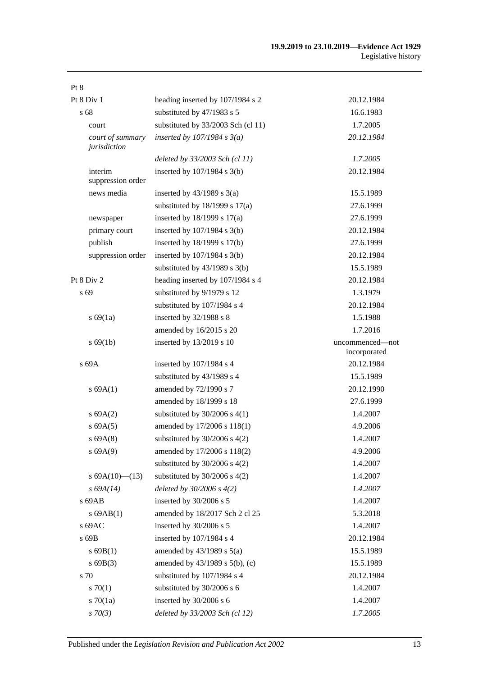| Pt 8                             |                                     |                                 |
|----------------------------------|-------------------------------------|---------------------------------|
| Pt 8 Div 1                       | heading inserted by 107/1984 s 2    | 20.12.1984                      |
| s 68                             | substituted by 47/1983 s 5          | 16.6.1983                       |
| court                            | substituted by 33/2003 Sch (cl 11)  | 1.7.2005                        |
| court of summary<br>jurisdiction | inserted by $107/1984$ s $3(a)$     | 20.12.1984                      |
|                                  | deleted by 33/2003 Sch (cl 11)      | 1.7.2005                        |
| interim<br>suppression order     | inserted by $107/1984$ s $3(b)$     | 20.12.1984                      |
| news media                       | inserted by $43/1989$ s $3(a)$      | 15.5.1989                       |
|                                  | substituted by $18/1999$ s $17(a)$  | 27.6.1999                       |
| newspaper                        | inserted by 18/1999 s 17(a)         | 27.6.1999                       |
| primary court                    | inserted by 107/1984 s 3(b)         | 20.12.1984                      |
| publish                          | inserted by 18/1999 s 17(b)         | 27.6.1999                       |
| suppression order                | inserted by $107/1984$ s $3(b)$     | 20.12.1984                      |
|                                  | substituted by $43/1989$ s $3(b)$   | 15.5.1989                       |
| Pt 8 Div 2                       | heading inserted by 107/1984 s 4    | 20.12.1984                      |
| s 69                             | substituted by 9/1979 s 12          | 1.3.1979                        |
|                                  | substituted by 107/1984 s 4         | 20.12.1984                      |
| s 69(1a)                         | inserted by 32/1988 s 8             | 1.5.1988                        |
|                                  | amended by 16/2015 s 20             | 1.7.2016                        |
| s 69(1b)                         | inserted by 13/2019 s 10            | uncommenced-not<br>incorporated |
| s 69A                            | inserted by 107/1984 s 4            | 20.12.1984                      |
|                                  | substituted by 43/1989 s 4          | 15.5.1989                       |
| s 69A(1)                         | amended by 72/1990 s 7              | 20.12.1990                      |
|                                  | amended by 18/1999 s 18             | 27.6.1999                       |
| s 69A(2)                         | substituted by $30/2006$ s 4(1)     | 1.4.2007                        |
| s 69A(5)                         | amended by 17/2006 s 118(1)         | 4.9.2006                        |
| $s$ 69A $(8)$                    | substituted by $30/2006$ s $4(2)$   | 1.4.2007                        |
| s 69A(9)                         | amended by 17/2006 s 118(2)         | 4.9.2006                        |
|                                  | substituted by $30/2006$ s $4(2)$   | 1.4.2007                        |
| s $69A(10)$ (13)                 | substituted by $30/2006$ s $4(2)$   | 1.4.2007                        |
| $s\,69A(14)$                     | deleted by $30/2006 s 4(2)$         | 1.4.2007                        |
| s 69AB                           | inserted by 30/2006 s 5             | 1.4.2007                        |
| $s$ 69AB $(1)$                   | amended by 18/2017 Sch 2 cl 25      | 5.3.2018                        |
| s 69AC                           | inserted by 30/2006 s 5             | 1.4.2007                        |
| s 69B                            | inserted by 107/1984 s 4            | 20.12.1984                      |
| s69B(1)                          | amended by $43/1989$ s $5(a)$       | 15.5.1989                       |
| s69B(3)                          | amended by $43/1989$ s $5(b)$ , (c) | 15.5.1989                       |
| s 70                             | substituted by 107/1984 s 4         | 20.12.1984                      |
| 570(1)                           | substituted by 30/2006 s 6          | 1.4.2007                        |
| $s \, 70(1a)$                    | inserted by 30/2006 s 6             | 1.4.2007                        |
| $s \, 70(3)$                     | deleted by 33/2003 Sch (cl 12)      | 1.7.2005                        |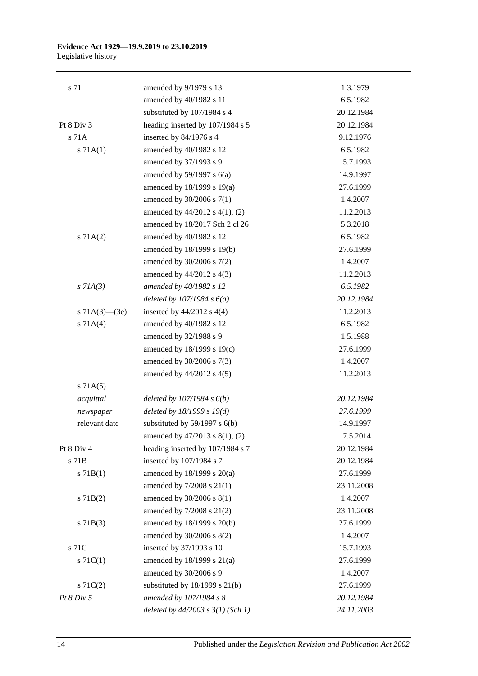#### **Evidence Act 1929—19.9.2019 to 23.10.2019** Legislative history

| s 71                | amended by 9/1979 s 13                | 1.3.1979   |
|---------------------|---------------------------------------|------------|
|                     | amended by 40/1982 s 11               | 6.5.1982   |
|                     | substituted by 107/1984 s 4           | 20.12.1984 |
| Pt $8$ Div $3$      | heading inserted by 107/1984 s 5      | 20.12.1984 |
| s 71A               | inserted by 84/1976 s 4               | 9.12.1976  |
| s 71A(1)            | amended by 40/1982 s 12               | 6.5.1982   |
|                     | amended by 37/1993 s 9                | 15.7.1993  |
|                     | amended by $59/1997$ s $6(a)$         | 14.9.1997  |
|                     | amended by 18/1999 s 19(a)            | 27.6.1999  |
|                     | amended by 30/2006 s 7(1)             | 1.4.2007   |
|                     | amended by $44/2012$ s $4(1)$ , (2)   | 11.2.2013  |
|                     | amended by 18/2017 Sch 2 cl 26        | 5.3.2018   |
| s 71A(2)            | amended by 40/1982 s 12               | 6.5.1982   |
|                     | amended by 18/1999 s 19(b)            | 27.6.1999  |
|                     | amended by 30/2006 s 7(2)             | 1.4.2007   |
|                     | amended by 44/2012 s 4(3)             | 11.2.2013  |
| $s$ 71A(3)          | amended by 40/1982 s 12               | 6.5.1982   |
|                     | deleted by $107/1984 s 6(a)$          | 20.12.1984 |
| s $71A(3)$ — $(3e)$ | inserted by $44/2012$ s $4(4)$        | 11.2.2013  |
| s 71A(4)            | amended by 40/1982 s 12               | 6.5.1982   |
|                     | amended by 32/1988 s 9                | 1.5.1988   |
|                     | amended by 18/1999 s 19(c)            | 27.6.1999  |
|                     | amended by 30/2006 s 7(3)             | 1.4.2007   |
|                     | amended by $44/2012$ s $4(5)$         | 11.2.2013  |
| s 71A(5)            |                                       |            |
| acquittal           | deleted by $107/1984 s 6(b)$          | 20.12.1984 |
| newspaper           | deleted by $18/1999 s 19(d)$          | 27.6.1999  |
| relevant date       | substituted by $59/1997$ s $6(b)$     | 14.9.1997  |
|                     | amended by $47/2013$ s $8(1)$ , (2)   | 17.5.2014  |
| Pt 8 Div 4          | heading inserted by 107/1984 s 7      | 20.12.1984 |
| s 71B               | inserted by 107/1984 s 7              | 20.12.1984 |
| s 71B(1)            | amended by 18/1999 s 20(a)            | 27.6.1999  |
|                     | amended by 7/2008 s 21(1)             | 23.11.2008 |
| $s$ 71B(2)          | amended by 30/2006 s 8(1)             | 1.4.2007   |
|                     | amended by 7/2008 s 21(2)             | 23.11.2008 |
| $s$ 71B(3)          | amended by 18/1999 s 20(b)            | 27.6.1999  |
|                     | amended by $30/2006$ s $8(2)$         | 1.4.2007   |
| s 71C               | inserted by 37/1993 s 10              | 15.7.1993  |
| s $71C(1)$          | amended by 18/1999 s 21(a)            | 27.6.1999  |
|                     | amended by 30/2006 s 9                | 1.4.2007   |
| S71C(2)             | substituted by $18/1999$ s $21(b)$    | 27.6.1999  |
| Pt 8 Div 5          | amended by 107/1984 s 8               | 20.12.1984 |
|                     | deleted by $44/2003$ s $3(1)$ (Sch 1) | 24.11.2003 |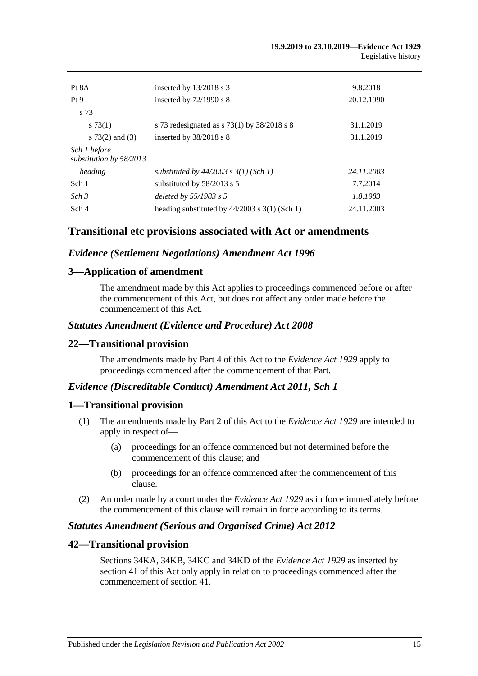| Pt 8A<br>Pt <sub>9</sub><br>s 73        | inserted by $13/2018$ s 3<br>inserted by $72/1990$ s 8                     | 9.8.2018<br>20.12.1990 |
|-----------------------------------------|----------------------------------------------------------------------------|------------------------|
| s73(1)<br>s $73(2)$ and $(3)$           | s 73 redesignated as $s$ 73(1) by 38/2018 s 8<br>inserted by $38/2018$ s 8 | 31.1.2019<br>31.1.2019 |
| Sch 1 before<br>substitution by 58/2013 |                                                                            |                        |
| heading                                 | substituted by $44/2003$ s $3(1)$ (Sch 1)                                  | 24.11.2003             |
| Sch 1                                   | substituted by 58/2013 s 5                                                 | 7.7.2014               |
| Sch <sub>3</sub>                        | deleted by $55/1983$ s 5                                                   | 1.8.1983               |
| Sch 4                                   | heading substituted by $44/2003$ s $3(1)$ (Sch 1)                          | 24.11.2003             |

# **Transitional etc provisions associated with Act or amendments**

### *Evidence (Settlement Negotiations) Amendment Act 1996*

## **3—Application of amendment**

The amendment made by this Act applies to proceedings commenced before or after the commencement of this Act, but does not affect any order made before the commencement of this Act.

### *Statutes Amendment (Evidence and Procedure) Act 2008*

### **22—Transitional provision**

The amendments made by Part 4 of this Act to the *[Evidence Act](http://www.legislation.sa.gov.au/index.aspx?action=legref&type=act&legtitle=Evidence%20Act%201929) 1929* apply to proceedings commenced after the commencement of that Part.

#### *Evidence (Discreditable Conduct) Amendment Act 2011, Sch 1*

#### **1—Transitional provision**

- (1) The amendments made by Part 2 of this Act to the *[Evidence Act](http://www.legislation.sa.gov.au/index.aspx?action=legref&type=act&legtitle=Evidence%20Act%201929) 1929* are intended to apply in respect of—
	- (a) proceedings for an offence commenced but not determined before the commencement of this clause; and
	- (b) proceedings for an offence commenced after the commencement of this clause.
- (2) An order made by a court under the *[Evidence Act](http://www.legislation.sa.gov.au/index.aspx?action=legref&type=act&legtitle=Evidence%20Act%201929) 1929* as in force immediately before the commencement of this clause will remain in force according to its terms.

## *Statutes Amendment (Serious and Organised Crime) Act 2012*

### **42—Transitional provision**

Sections 34KA, 34KB, 34KC and 34KD of the *[Evidence Act](http://www.legislation.sa.gov.au/index.aspx?action=legref&type=act&legtitle=Evidence%20Act%201929) 1929* as inserted by section 41 of this Act only apply in relation to proceedings commenced after the commencement of section 41.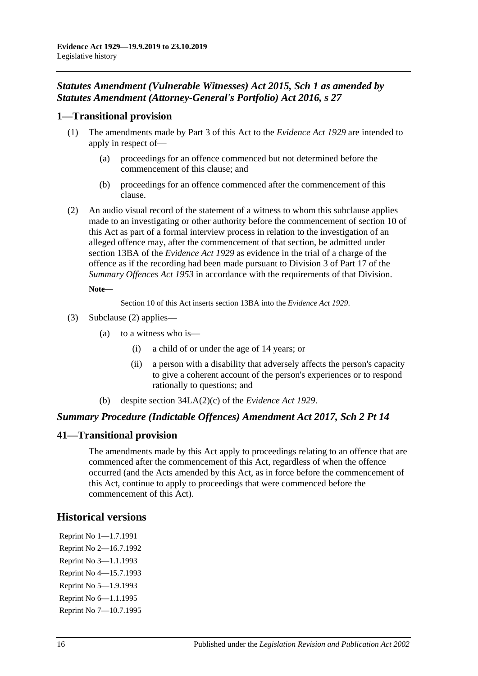# *Statutes Amendment (Vulnerable Witnesses) Act 2015, Sch 1 as amended by Statutes Amendment (Attorney-General's Portfolio) Act 2016, s 27*

# **1—Transitional provision**

- (1) The amendments made by Part 3 of this Act to the *[Evidence Act](http://www.legislation.sa.gov.au/index.aspx?action=legref&type=act&legtitle=Evidence%20Act%201929) 1929* are intended to apply in respect of—
	- (a) proceedings for an offence commenced but not determined before the commencement of this clause; and
	- (b) proceedings for an offence commenced after the commencement of this clause.
- <span id="page-113-0"></span>(2) An audio visual record of the statement of a witness to whom this subclause applies made to an investigating or other authority before the commencement of section 10 of this Act as part of a formal interview process in relation to the investigation of an alleged offence may, after the commencement of that section, be admitted under section 13BA of the *[Evidence Act](http://www.legislation.sa.gov.au/index.aspx?action=legref&type=act&legtitle=Evidence%20Act%201929) 1929* as evidence in the trial of a charge of the offence as if the recording had been made pursuant to Division 3 of Part 17 of the *[Summary Offences Act](http://www.legislation.sa.gov.au/index.aspx?action=legref&type=act&legtitle=Summary%20Offences%20Act%201953) 1953* in accordance with the requirements of that Division.

#### **Note—**

Section 10 of this Act inserts section 13BA into the *[Evidence Act](http://www.legislation.sa.gov.au/index.aspx?action=legref&type=act&legtitle=Evidence%20Act%201929) 1929*.

- (3) [Subclause \(2\)](#page-113-0) applies—
	- (a) to a witness who is—
		- (i) a child of or under the age of 14 years; or
		- (ii) a person with a disability that adversely affects the person's capacity to give a coherent account of the person's experiences or to respond rationally to questions; and
	- (b) despite section 34LA(2)(c) of the *[Evidence Act](http://www.legislation.sa.gov.au/index.aspx?action=legref&type=act&legtitle=Evidence%20Act%201929) 1929*.

# *Summary Procedure (Indictable Offences) Amendment Act 2017, Sch 2 Pt 14*

# **41—Transitional provision**

The amendments made by this Act apply to proceedings relating to an offence that are commenced after the commencement of this Act, regardless of when the offence occurred (and the Acts amended by this Act, as in force before the commencement of this Act, continue to apply to proceedings that were commenced before the commencement of this Act).

# **Historical versions**

Reprint No 1—1.7.1991 Reprint No 2—16.7.1992 Reprint No 3—1.1.1993 Reprint No 4—15.7.1993 Reprint No 5—1.9.1993 Reprint No 6—1.1.1995 Reprint No 7—10.7.1995